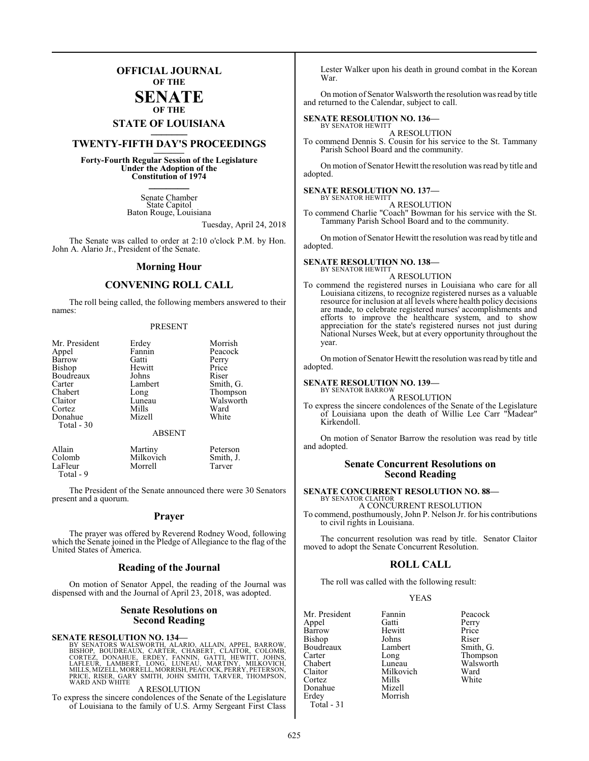## **OFFICIAL JOURNAL OF THE**

#### **SENATE OF THE**

## **STATE OF LOUISIANA \_\_\_\_\_\_\_**

## **TWENTY-FIFTH DAY'S PROCEEDINGS \_\_\_\_\_\_\_**

**Forty-Fourth Regular Session of the Legislature Under the Adoption of the Constitution of 1974 \_\_\_\_\_\_\_**

> Senate Chamber State Capitol Baton Rouge, Louisiana

> > Tuesday, April 24, 2018

The Senate was called to order at 2:10 o'clock P.M. by Hon. John A. Alario Jr., President of the Senate.

#### **Morning Hour**

### **CONVENING ROLL CALL**

The roll being called, the following members answered to their names:

#### PRESENT

| Mr. President<br>Appel<br>Barrow<br>Bishop<br>Boudreaux<br>Carter<br>Chabert<br>Claitor<br>Cortez<br>Donahue<br>Total - 30 | Erdey<br>Fannin<br>Gatti<br>Hewitt<br>Johns<br>Lambert<br>Long<br>Luneau<br>Mills<br>Mizell | Morrish<br>Peacock<br>Perry<br>Price<br>Riser<br>Smith, G.<br>Thompson<br>Walsworth<br>Ward<br>White |
|----------------------------------------------------------------------------------------------------------------------------|---------------------------------------------------------------------------------------------|------------------------------------------------------------------------------------------------------|
|                                                                                                                            | <b>ABSENT</b>                                                                               |                                                                                                      |
| Allain<br>Colomb                                                                                                           | Martiny<br>Milkovich                                                                        | Peterson<br>Smith, J.                                                                                |

LaFleur Morrell Tarver

Total - 9

The President of the Senate announced there were 30 Senators present and a quorum.

#### **Prayer**

The prayer was offered by Reverend Rodney Wood, following which the Senate joined in the Pledge of Allegiance to the flag of the United States of America.

#### **Reading of the Journal**

On motion of Senator Appel, the reading of the Journal was dispensed with and the Journal of April 23, 2018, was adopted.

#### **Senate Resolutions on Second Reading**

SENATE RESOLUTION NO. 134—<br>BY SENATORS WALSWORTH, ALARIO, ALLAIN, APPEL, BARROW, BISHOP, BOUDREAUX, CARTER, CHABERT, CLAITOR, COLOMB,<br>CORTEZ, DONAHUE, ERDEY, FANNIN, GATTI, HEWITT, JOHNS,<br>LAFLEUR, LAMBERT, LONG, LUNEAU, MA

#### A RESOLUTION

To express the sincere condolences of the Senate of the Legislature of Louisiana to the family of U.S. Army Sergeant First Class

Lester Walker upon his death in ground combat in the Korean War.

On motion of Senator Walsworth the resolution was read by title and returned to the Calendar, subject to call.

#### **SENATE RESOLUTION NO. 136—** BY SENATOR HEWITT

A RESOLUTION To commend Dennis S. Cousin for his service to the St. Tammany Parish School Board and the community.

On motion of Senator Hewitt the resolution was read by title and adopted.

#### **SENATE RESOLUTION NO. 137—**

BY SENATOR HEWITT A RESOLUTION

To commend Charlie "Coach" Bowman for his service with the St. Tammany Parish School Board and to the community.

On motion of Senator Hewitt the resolution was read by title and adopted.

#### **SENATE RESOLUTION NO. 138—** BY SENATOR HEWITT

A RESOLUTION

To commend the registered nurses in Louisiana who care for all Louisiana citizens, to recognize registered nurses as a valuable resource for inclusion at all levels where health policy decisions are made, to celebrate registered nurses' accomplishments and efforts to improve the healthcare system, and to show appreciation for the state's registered nurses not just during National Nurses Week, but at every opportunity throughout the year.

On motion of Senator Hewitt the resolution was read by title and adopted.

#### **SENATE RESOLUTION NO. 139—** BY SENATOR BARROW

A RESOLUTION

To express the sincere condolences of the Senate of the Legislature of Louisiana upon the death of Willie Lee Carr "Madear" Kirkendoll.

On motion of Senator Barrow the resolution was read by title and adopted.

#### **Senate Concurrent Resolutions on Second Reading**

#### **SENATE CONCURRENT RESOLUTION NO. 88—**

BY SENATOR CLAITOR A CONCURRENT RESOLUTION

To commend, posthumously, John P. Nelson Jr. for his contributions to civil rights in Louisiana.

The concurrent resolution was read by title. Senator Claitor moved to adopt the Senate Concurrent Resolution.

#### **ROLL CALL**

The roll was called with the following result:

#### YEAS

| Mr. President | Fannin    | Peacock   |
|---------------|-----------|-----------|
| Appel         | Gatti     | Perry     |
| Barrow        | Hewitt    | Price     |
| Bishop        | Johns     | Riser     |
| Boudreaux     | Lambert   | Smith, G. |
| Carter        | Long      | Thompson  |
| Chabert       | Luneau    | Walsworth |
| Claitor       | Milkovich | Ward      |
| Cortez        | Mills     | White     |
| Donahue       | Mizell    |           |
| Erdey         | Morrish   |           |
| Total - 31    |           |           |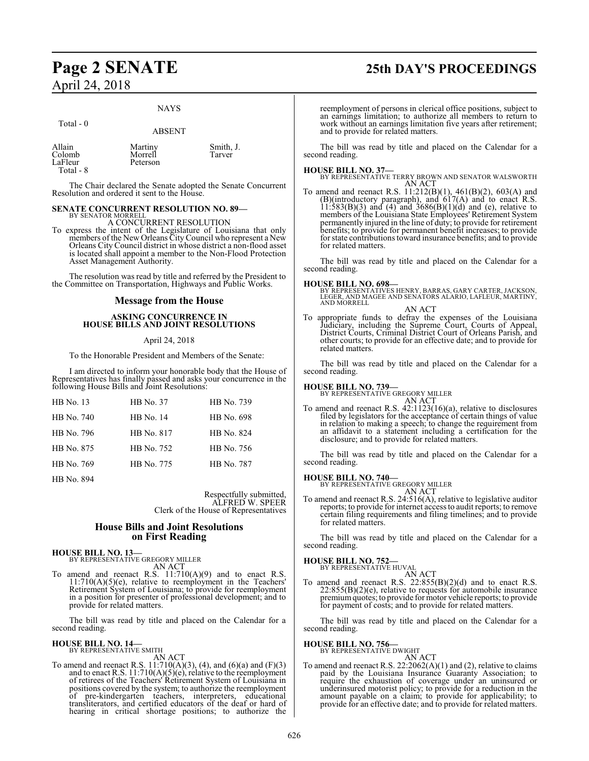#### NAYS

Total - 0

#### ABSENT

| Allain    | Martiny  | Smith, J. |
|-----------|----------|-----------|
| Colomb    | Morrell  | Tarver    |
| LaFleur   | Peterson |           |
| Total - 8 |          |           |

The Chair declared the Senate adopted the Senate Concurrent Resolution and ordered it sent to the House.

# **SENATE CONCURRENT RESOLUTION NO. 89—** BY SENATOR MORRELL

A CONCURRENT RESOLUTION

To express the intent of the Legislature of Louisiana that only members of the New Orleans City Council who represent a New Orleans City Council district in whose district a non-flood asset is located shall appoint a member to the Non-Flood Protection Asset Management Authority.

The resolution was read by title and referred by the President to the Committee on Transportation, Highways and Public Works.

#### **Message from the House**

#### **ASKING CONCURRENCE IN HOUSE BILLS AND JOINT RESOLUTIONS**

#### April 24, 2018

To the Honorable President and Members of the Senate:

I am directed to inform your honorable body that the House of Representatives has finally passed and asks your concurrence in the following House Bills and Joint Resolutions:

| <b>HB</b> No. 13 | HB No. 37        | HB No. 739 |
|------------------|------------------|------------|
| HB No. 740       | <b>HB</b> No. 14 | HB No. 698 |
| HB No. 796       | HB No. 817       | HB No. 824 |
| HB No. 875       | HB No. 752       | HB No. 756 |
| HB No. 769       | HB No. 775       | HB No. 787 |
| HB No. 894       |                  |            |

Respectfully submitted, ALFRED W. SPEER Clerk of the House of Representatives

#### **House Bills and Joint Resolutions on First Reading**

## **HOUSE BILL NO. 13-**<br>BY REPRESENTATIVE GREGORY MILLER

AN ACT

To amend and reenact R.S.  $11:710(A)(9)$  and to enact R.S. 11:710(A)(5)(e), relative to reemployment in the Teachers' Retirement System of Louisiana; to provide for reemployment in a position for presenter of professional development; and to provide for related matters.

The bill was read by title and placed on the Calendar for a second reading.

## **HOUSE BILL NO. 14—** BY REPRESENTATIVE SMITH

AN ACT

To amend and reenact R.S.  $11:710(A)(3)$ , (4), and (6)(a) and (F)(3) and to enact R.S. 11:710(A)(5)(e), relative to the reemployment of retirees of the Teachers' Retirement System of Louisiana in positions covered by the system; to authorize the reemployment of pre-kindergarten teachers, interpreters, educational transliterators, and certified educators of the deaf or hard of hearing in critical shortage positions; to authorize the

## **Page 2 SENATE 25th DAY'S PROCEEDINGS**

reemployment of persons in clerical office positions, subject to an earnings limitation; to authorize all members to return to work without an earnings limitation five years after retirement; and to provide for related matters.

The bill was read by title and placed on the Calendar for a second reading.

**HOUSE BILL NO. 37—** BY REPRESENTATIVE TERRY BROWN AND SENATOR WALSWORTH AN ACT

To amend and reenact R.S. 11:212(B)(1), 461(B)(2), 603(A) and (B)(introductory paragraph), and 617(A) and to enact R.S.  $11:583(B)(3)$  and  $(4)$  and  $3686(B)(1)(d)$  and  $(e)$ , relative to members of the Louisiana State Employees' Retirement System permanently injured in the line of duty; to provide for retirement benefits; to provide for permanent benefit increases; to provide for state contributions toward insurance benefits; and to provide for related matters.

The bill was read by title and placed on the Calendar for a second reading.

**HOUSE BILL NO. 698—** BY REPRESENTATIVES HENRY, BARRAS, GARY CARTER, JACKSON, LEGER, AND MAGEE AND SENATORS ALARIO, LAFLEUR, MARTINY, AND MORRELL

AN ACT To appropriate funds to defray the expenses of the Louisiana Judiciary, including the Supreme Court, Courts of Appeal, District Courts, Criminal District Court of Orleans Parish, and other courts; to provide for an effective date; and to provide for related matters.

The bill was read by title and placed on the Calendar for a second reading.

## **HOUSE BILL NO. 739—**<br>BY REPRESENTATIVE GREGORY MILLER

AN ACT To amend and reenact R.S. 42:1123(16)(a), relative to disclosures filed by legislators for the acceptance of certain things of value in relation to making a speech; to change the requirement from an affidavit to a statement including a certification for the disclosure; and to provide for related matters.

The bill was read by title and placed on the Calendar for a second reading.

**HOUSE BILL NO. 740—**<br>BY REPRESENTATIVE GREGORY MILLER AN ACT

To amend and reenact R.S. 24:516(A), relative to legislative auditor reports; to provide for internet access to audit reports; to remove certain filing requirements and filing timelines; and to provide for related matters.

The bill was read by title and placed on the Calendar for a second reading.

**HOUSE BILL NO. 752-**<br>BY REPRESENTATIVE HUVAL

AN ACT To amend and reenact R.S. 22:855(B)(2)(d) and to enact R.S.  $22:855(B)(2)(e)$ , relative to requests for automobile insurance premiumquotes; to provide for motor vehicle reports; to provide for payment of costs; and to provide for related matters.

The bill was read by title and placed on the Calendar for a second reading.

## **HOUSE BILL NO. 756—**<br>BY REPRESENTATIVE DWIGHT

AN ACT

To amend and reenact R.S. 22:2062(A)(1) and (2), relative to claims paid by the Louisiana Insurance Guaranty Association; to require the exhaustion of coverage under an uninsured or underinsured motorist policy; to provide for a reduction in the amount payable on a claim; to provide for applicability; to provide for an effective date; and to provide for related matters.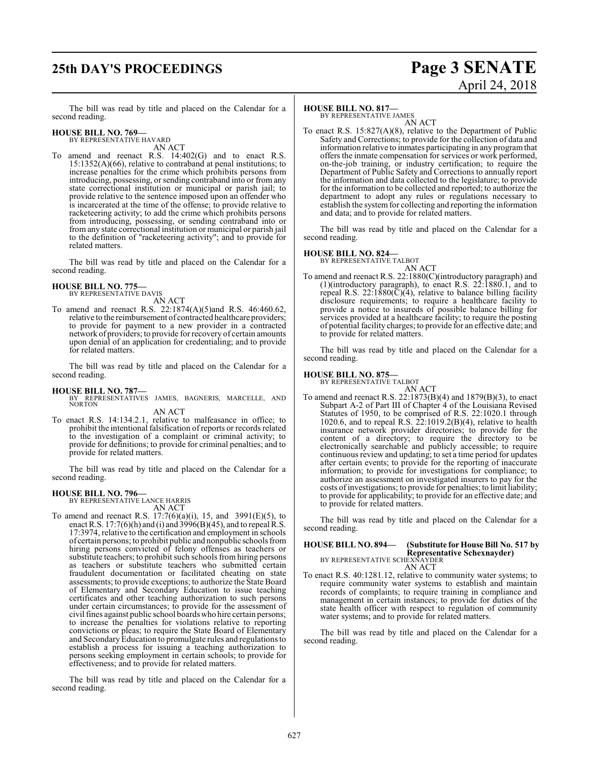# **25th DAY'S PROCEEDINGS Page 3 SENATE**

# April 24, 2018

The bill was read by title and placed on the Calendar for a second reading.

### **HOUSE BILL NO. 769—**

BY REPRESENTATIVE HAVARD AN ACT

To amend and reenact R.S. 14:402(G) and to enact R.S. 15:1352(A)(66), relative to contraband at penal institutions; to increase penalties for the crime which prohibits persons from introducing, possessing, or sending contraband into or from any state correctional institution or municipal or parish jail; to provide relative to the sentence imposed upon an offender who is incarcerated at the time of the offense; to provide relative to racketeering activity; to add the crime which prohibits persons from introducing, possessing, or sending contraband into or from any state correctional institution or municipal or parish jail to the definition of "racketeering activity"; and to provide for related matters.

The bill was read by title and placed on the Calendar for a second reading.

#### **HOUSE BILL NO. 775—** BY REPRESENTATIVE DAVIS

AN ACT

To amend and reenact R.S. 22:1874(A)(5)and R.S. 46:460.62, relative to the reimbursement of contracted healthcare providers; to provide for payment to a new provider in a contracted network of providers; to provide for recovery of certain amounts upon denial of an application for credentialing; and to provide for related matters.

The bill was read by title and placed on the Calendar for a second reading.

**HOUSE BILL NO. 787—** BY REPRESENTATIVES JAMES, BAGNERIS, MARCELLE, AND NORTON AN ACT

To enact R.S. 14:134.2.1, relative to malfeasance in office; to prohibit the intentional falsification of reports or records related to the investigation of a complaint or criminal activity; to provide for definitions; to provide for criminal penalties; and to provide for related matters.

The bill was read by title and placed on the Calendar for a second reading.

### **HOUSE BILL NO. 796—**

BY REPRESENTATIVE LANCE HARRIS

AN ACT

To amend and reenact R.S. 17:7(6)(a)(i), 15, and 3991(E)(5), to enact R.S.  $17:7(6)$ (h) and (i) and  $3996(B)(45)$ , and to repeal R.S. 17:3974, relative to the certification and employment in schools of certain persons; to prohibit public and nonpublic schools from hiring persons convicted of felony offenses as teachers or substitute teachers; to prohibit such schools from hiring persons as teachers or substitute teachers who submitted certain fraudulent documentation or facilitated cheating on state assessments; to provide exceptions; to authorize the State Board of Elementary and Secondary Education to issue teaching certificates and other teaching authorization to such persons under certain circumstances; to provide for the assessment of civil fines against public school boardswho hire certain persons; to increase the penalties for violations relative to reporting convictions or pleas; to require the State Board of Elementary and SecondaryEducation to promulgate rules and regulations to establish a process for issuing a teaching authorization to persons seeking employment in certain schools; to provide for effectiveness; and to provide for related matters.

The bill was read by title and placed on the Calendar for a second reading.

#### **HOUSE BILL NO. 817—**

BY REPRESENTATIVE JAMES AN ACT

To enact R.S. 15:827(A)(8), relative to the Department of Public Safety and Corrections; to provide for the collection of data and information relative to inmates participating in any programthat offers the inmate compensation for services or work performed, on-the-job training, or industry certification; to require the Department of Public Safety and Corrections to annually report the information and data collected to the legislature; to provide for the information to be collected and reported; to authorize the department to adopt any rules or regulations necessary to establish the systemfor collecting and reporting the information and data; and to provide for related matters.

The bill was read by title and placed on the Calendar for a second reading.

#### **HOUSE BILL NO. 824—**

BY REPRESENTATIVE TALBOT

- AN ACT To amend and reenact R.S. 22:1880(C)(introductory paragraph) and (1)(introductory paragraph), to enact R.S. 22:1880.1, and to
	- repeal R.S. 22:1880(C)(4), relative to balance billing facility disclosure requirements; to require a healthcare facility to provide a notice to insureds of possible balance billing for services provided at a healthcare facility; to require the posting of potential facility charges; to provide for an effective date; and to provide for related matters.

The bill was read by title and placed on the Calendar for a second reading.

#### **HOUSE BILL NO. 875—**

BY REPRESENTATIVE TALBOT

AN ACT To amend and reenact R.S. 22:1873(B)(4) and 1879(B)(3), to enact Subpart A-2 of Part III of Chapter 4 of the Louisiana Revised Statutes of 1950, to be comprised of R.S. 22:1020.1 through 1020.6, and to repeal R.S. 22:1019.2(B)(4), relative to health insurance network provider directories; to provide for the content of a directory; to require the directory to be electronically searchable and publicly accessible; to require continuous review and updating; to set a time period for updates after certain events; to provide for the reporting of inaccurate information; to provide for investigations for compliance; to authorize an assessment on investigated insurers to pay for the costs ofinvestigations; to provide for penalties; to limit liability; to provide for applicability; to provide for an effective date; and to provide for related matters.

The bill was read by title and placed on the Calendar for a second reading.

## **HOUSE BILL NO. 894— (Substitute for House Bill No. 517 by Representative Schexnayder)**<br>BY REPRESENTATIVE SCHEXNAYDER<br>AN ACT

To enact R.S. 40:1281.12, relative to community water systems; to require community water systems to establish and maintain records of complaints; to require training in compliance and management in certain instances; to provide for duties of the state health officer with respect to regulation of community water systems; and to provide for related matters.

The bill was read by title and placed on the Calendar for a second reading.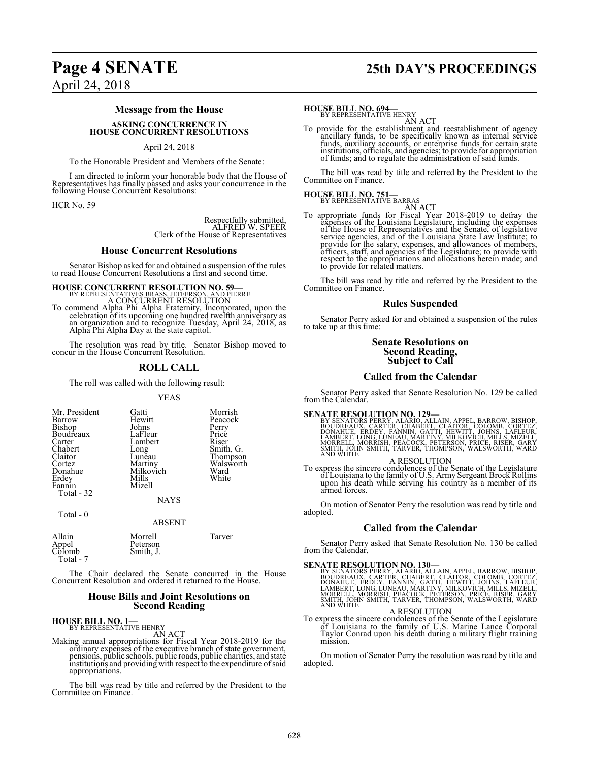## **Page 4 SENATE 25th DAY'S PROCEEDINGS**

#### **Message from the House**

#### **ASKING CONCURRENCE IN HOUSE CONCURRENT RESOLUTIONS**

#### April 24, 2018

To the Honorable President and Members of the Senate:

I am directed to inform your honorable body that the House of Representatives has finally passed and asks your concurrence in the following House Concurrent Resolutions:

HCR No. 59

Respectfully submitted, ALFRED W. SPEER Clerk of the House of Representatives

#### **House Concurrent Resolutions**

Senator Bishop asked for and obtained a suspension of the rules to read House Concurrent Resolutions a first and second time.

**HOUSE CONCURRENT RESOLUTION NO. 59—**<br>BY REPRESENTATIVES BRASS, JEFFERSON, AND PIERRE<br>A CONCURRENT RESOLUTION To commend Alpha Phi Alpha Fraternity, Incorporated, upon the celebration of its upcoming one hundred twelfth anniversary as an organization and to recognize Tuesday, April 24, 2018, as Alpha Phi Alpha Day at the state cap

The resolution was read by title. Senator Bishop moved to concur in the House Concurrent Resolution.

#### **ROLL CALL**

The roll was called with the following result:

#### YEAS

| Mr. President<br>Barrow<br>Bishop<br>Boudreaux<br>Carter<br>Chabert<br>Claitor<br>Cortez<br>Donahue<br>Erdey<br>Fannin<br>Total - 32 | Gatti<br>Hewitt<br>Johns<br>LaFleur<br>Lambert<br>Long<br>Luneau<br>Martiny<br>Milkovich<br>Mills<br>Mizell<br><b>NAYS</b> | Morrish<br>Peacock<br>Perry<br>Price<br>Riser<br>Smith, G.<br>Thompson<br>Walsworth<br>Ward<br>White |
|--------------------------------------------------------------------------------------------------------------------------------------|----------------------------------------------------------------------------------------------------------------------------|------------------------------------------------------------------------------------------------------|
| Total $-0$                                                                                                                           | ABSENT                                                                                                                     |                                                                                                      |

| Allain<br>Appel<br>Colomb<br>Total - 7 | Morrell<br>Peterson<br>Smith, J. | Tarver |
|----------------------------------------|----------------------------------|--------|
|                                        |                                  |        |

The Chair declared the Senate concurred in the House Concurrent Resolution and ordered it returned to the House.

#### **House Bills and Joint Resolutions on Second Reading**

# **HOUSE BILL NO. 1—**<br>BY REPRESENTATIVE HENRY

AN ACT

Making annual appropriations for Fiscal Year 2018-2019 for the ordinary expenses of the executive branch of state government, pensions, public schools, public roads, public charities, and state institutions and providing with respect to the expenditure ofsaid appropriations.

The bill was read by title and referred by the President to the Committee on Finance.

**HOUSE BILL NO. 694—**<br>BY REPRESENTATIVE HENRY<br>AN ACT

To provide for the establishment and reestablishment of agency<br>ancillary funds, to be specifically known as internal service<br>funds, auxiliary accounts, or enterprise funds for certain state<br>institutions, officials, and age

The bill was read by title and referred by the President to the Committee on Finance.

**HOUSE BILL NO. 751—**<br>BY REPRESENTATIVE BARRAS<br>To appropriate funds for Fiscal Year 2018-2019 to defray the<br>expenses of the Louisiana Legislature, including the expenses<br>of the House of Representatives and the Senate, of l officers, staff, and agencies of the Legislature; to provide with respect to the appropriations and allocations herein made; and to provide for related matters.

The bill was read by title and referred by the President to the Committee on Finance.

#### **Rules Suspended**

Senator Perry asked for and obtained a suspension of the rules to take up at this time:

#### **Senate Resolutions on Second Reading, Subject to Call**

#### **Called from the Calendar**

Senator Perry asked that Senate Resolution No. 129 be called from the Calendar.

SENATE RESOLUTION NO. 129—<br>BY SENATORS PERRY, ALARIO, ALLAIN, APPEL, BARROW, BISHOP, BOUDREAUX, CARTER, CHABERT, CLAITOR, COLOMB, CORTEZ,<br>DONAHUE, ERDEY, FANNIN, GATTI, HEWITT, JOHNS, LAFLEUR,<br>LAMBERT, LONG, LUNEAU, MARTIN

A RESOLUTION

To express the sincere condolences of the Senate of the Legislature of Louisiana to the family of U.S. Army Sergeant Brock Rollins upon his death while serving his country as a member of its armed forces.

On motion of Senator Perry the resolution was read by title and adopted.

#### **Called from the Calendar**

Senator Perry asked that Senate Resolution No. 130 be called from the Calendar.

SENATE RESOLUTION NO. 130—<br>BY SENATORS PERRY, ALARIO, ALLAIN, APPEL, BARROW, BISHOP, BOUDREAUX, CARTER, CHABERT, CLAITOR, COLOMB, CORTEZ,<br>DONAHUE, ERDEY, FANNIN, GATTI, HEWITT, JOHNS, LAFLEUR,<br>LAMBERT, LONG, LUNEAU, MARTIN

A RESOLUTION To express the sincere condolences of the Senate of the Legislature of Louisiana to the family of U.S. Marine Lance Corporal Taylor Conrad upon his death during a military flight training mission.

On motion of Senator Perry the resolution was read by title and adopted.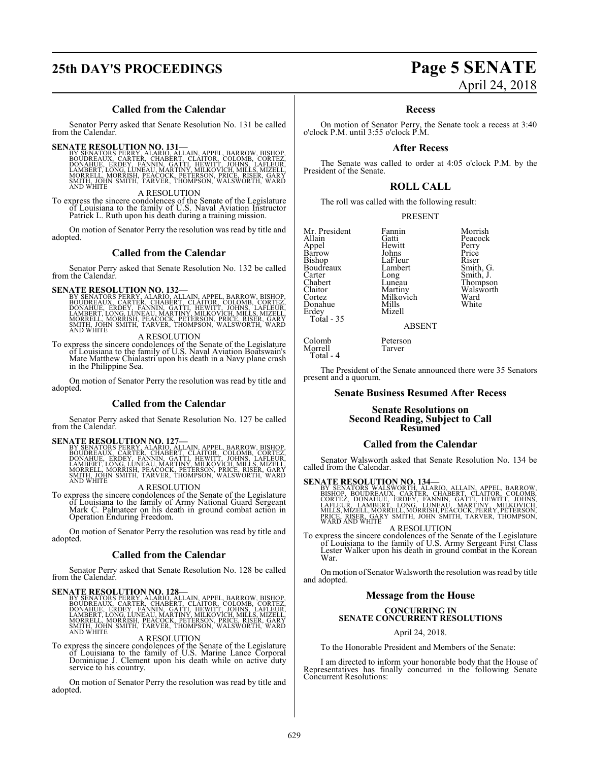# **25th DAY'S PROCEEDINGS Page 5 SENATE**

### **Called from the Calendar**

Senator Perry asked that Senate Resolution No. 131 be called from the Calendar.

SENATE RESOLUTION NO. 131—<br>BY SENATORS PERRY, ALARIO, ALLAIN, APPEL, BARROW, BISHOP, BOUDREAUX, CARTER, CHABERT, CLAITOR, COLOMB, CORTEZ,<br>DONAHUE, ERDEY, FANNIN, GATTI, HEWITT, JOHNS, LAFLEUR,<br>LAMBERT, LONG, LUNEAU, MARTIN

A RESOLUTION

To express the sincere condolences of the Senate of the Legislature of Louisiana to the family of U.S. Naval Aviation Instructor Patrick L. Ruth upon his death during a training mission.

On motion of Senator Perry the resolution was read by title and adopted.

#### **Called from the Calendar**

Senator Perry asked that Senate Resolution No. 132 be called from the Calendar.

**SENATE RESOLUTION NO. 132—**<br>BY SENATORS PERRY, ALARIO, ALLAIN, APPEL, BARROW, BISHOP, BOUDREAUX, CARTER, CHABERT, CLAITOR, COLOMB, CORTEZ,<br>DONAHUE, ERDEY, FANNIN, GATTI, HEWITT, JOHNS, LAFLEUR,<br>LAMBERT, LONG, LUNEAU, MART

A RESOLUTION

To express the sincere condolences of the Senate of the Legislature of Louisiana to the family of U.S. Naval Aviation Boatswain's Mate Matthew Chialastri upon his death in a Navy plane crash in the Philippine Sea.

On motion of Senator Perry the resolution was read by title and adopted.

#### **Called from the Calendar**

Senator Perry asked that Senate Resolution No. 127 be called from the Calendar.

SENATE RESOLUTION NO. 127—<br>BY SENATORS PERRY, ALARIO, ALLAIN, APPEL, BARROW, BISHOP, BOUDREAUX, CARTER, CHABERT, CLAITOR, COLOMB, CORTEZ,<br>DONAHUE, ERDEY, FANNIN, GATTI, HEWITT, JOHNS, LAFLEUR,<br>LAMBERT, LONG, LUNEAU, MARTIN AND WHITE

A RESOLUTION

To express the sincere condolences of the Senate of the Legislature of Louisiana to the family of Army National Guard Sergeant Mark C. Palmateer on his death in ground combat action in Operation Enduring Freedom.

On motion of Senator Perry the resolution was read by title and adopted.

#### **Called from the Calendar**

Senator Perry asked that Senate Resolution No. 128 be called from the Calendar.

**SENATE RESOLUTION NO. 128—**<br>BY SENATORS PERRY, ALARIO, ALLAIN, APPEL, BARROW, BISHOP, BOUDREAUX, CARTER, CHABERT, CLAITOR, COLOMB, CORTEZ,<br>DONAHUE, ERDEY, FANNIN, GATTI, HEWITT, JOHNS, LAFLEUR,<br>LAMBERT, LONG, LUNEAU, MART

A RESOLUTION

To express the sincere condolences of the Senate of the Legislature of Louisiana to the family of U.S. Marine Lance Corporal Dominique J. Clement upon his death while on active duty service to his country.

On motion of Senator Perry the resolution was read by title and adopted.

# April 24, 2018

#### **Recess**

On motion of Senator Perry, the Senate took a recess at 3:40 o'clock P.M. until 3:55 o'clock P.M.

#### **After Recess**

The Senate was called to order at 4:05 o'clock P.M. by the President of the Senate.

### **ROLL CALL**

The roll was called with the following result:

PRESENT

Mr. President Fannin Morrish<br>Allain Gatti Peacock Allain Gatti Peacock Barrow Johns Price<br>Bishop LaFleur Riser Bishop LaFleur Riser<br>Boudreaux Lambert Smith, G. Boudreaux Lamb<br>Carter Long Carter Long Smith, J.<br>Chabert Luneau Thompso Chabert Luneau Thompson<br>Claitor Martiny Walsworth Claitor Martiny Walsworth<br>
Cortez Milkovich Ward Donahue<br>Erdev Total - 35

Morrell Total - 4 Hewitt<br>Johns Perry<br>Price Milkovich Ward<br>
Mills White

ABSENT

Colomb Peterson<br>Morrell Tarver

Mizell

The President of the Senate announced there were 35 Senators present and a quorum.

#### **Senate Business Resumed After Recess**

#### **Senate Resolutions on Second Reading, Subject to Call Resumed**

#### **Called from the Calendar**

Senator Walsworth asked that Senate Resolution No. 134 be called from the Calendar.

SENATE RESOLUTION NO. 134<br>BY SENATORS WALSWORTH, ALLAIN, APPEL, BARROW, BISHOP, BOUDREAUX, CARTER, CHABERT, CLAITOR, COLOMB,<br>CORTEZ, DONAHUE, ERDEY, FANNIN, GATTI, HEWITT, JOHNS,<br>LAFLEUR, LAMBERT, LONG, LUNEAU, MARTINY, MI A RESOLUTION

To express the sincere condolences of the Senate of the Legislature of Louisiana to the family of U.S. Army Sergeant First Class Lester Walker upon his death in ground combat in the Korean War.

On motion of Senator Walsworth the resolution was read by title and adopted.

#### **Message from the House**

## **CONCURRING IN SENATE CONCURRENT RESOLUTIONS**

#### April 24, 2018.

To the Honorable President and Members of the Senate:

I am directed to inform your honorable body that the House of Representatives has finally concurred in the following Senate Concurrent Resolutions: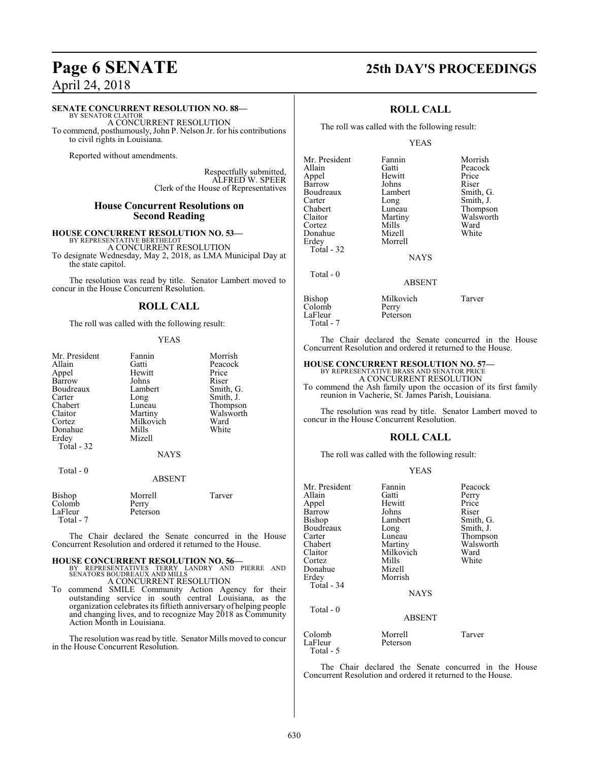#### **SENATE CONCURRENT RESOLUTION NO. 88—**

BY SENATOR CLAITOR A CONCURRENT RESOLUTION To commend, posthumously, John P. Nelson Jr. for his contributions to civil rights in Louisiana.

Reported without amendments.

Respectfully submitted, ALFRED W. SPEER Clerk of the House of Representatives

#### **House Concurrent Resolutions on Second Reading**

#### **HOUSE CONCURRENT RESOLUTION NO. 53—** BY REPRESENTATIVE BERTHELOT

A CONCURRENT RESOLUTION

To designate Wednesday, May 2, 2018, as LMA Municipal Day at the state capitol.

The resolution was read by title. Senator Lambert moved to concur in the House Concurrent Resolution.

#### **ROLL CALL**

The roll was called with the following result:

#### YEAS

| Mr. President<br>Allain<br>Appel<br>Barrow<br>Boudreaux<br>Carter<br>Chabert<br>Claitor<br>Cortez<br>Donahue<br>Erdey<br>Total - 32 | Fannin<br>Gatti<br>Hewitt<br>Johns<br>Lambert<br>Long<br>Luneau<br>Martiny<br>Milkovich<br>Mills<br>Mizell<br><b>NAYS</b> | Morrish<br>Peacock<br>Price<br>Riser<br>Smith, G.<br>Smith, J.<br>Thompson<br>Walsworth<br>Ward<br>White |
|-------------------------------------------------------------------------------------------------------------------------------------|---------------------------------------------------------------------------------------------------------------------------|----------------------------------------------------------------------------------------------------------|
|                                                                                                                                     |                                                                                                                           |                                                                                                          |

Total - 0

#### ABSENT

| Bishop<br>Colomb     | Morrell<br>Perry | Tarver |
|----------------------|------------------|--------|
| LaFleur<br>Total - 7 | Peterson         |        |

The Chair declared the Senate concurred in the House Concurrent Resolution and ordered it returned to the House.

**HOUSE CONCURRENT RESOLUTION NO. 56—** BY REPRESENTATIVES TERRY LANDRY AND PIERRE AND SENATORS BOUDREAUX AND MILLS A CONCURRENT RESOLUTION

To commend SMILE Community Action Agency for their outstanding service in south central Louisiana, as the organization celebrates its fiftieth anniversary of helping people and changing lives, and to recognize May 2018 as Community Action Month in Louisiana.

The resolution was read by title. Senator Mills moved to concur in the House Concurrent Resolution.

## **Page 6 SENATE 25th DAY'S PROCEEDINGS**

### **ROLL CALL**

The roll was called with the following result:

#### YEAS

Mr. President Fannin Morrish<br>Allain Gatti Peacock Appel Hewitt Price Barrow Johns Riser<br>Boudreaux Lambert Smith, G. Boudreaux Lambert Lambert School School Lambert School School School School School School School School School School School School School School School School School School School School School School School School School Carter Long Smith, J.<br>Chabert Luneau Thompso Chabert Luneau Thompson<br>Claitor Martiny Walsworth Cortez Mills Ward<br>
Mills White<br>
Mizell White Donahue<br>Erdev Total - 32

Total - 0

Gatti Peacock<br>
Hewitt Price Martiny Walsworth<br>Mills Ward Morrell

NAYS

#### ABSENT

| Bishop    | Milkovich | Tarver |
|-----------|-----------|--------|
| Colomb    | Perry     |        |
| LaFleur   | Peterson  |        |
| Total - 7 |           |        |

The Chair declared the Senate concurred in the House Concurrent Resolution and ordered it returned to the House.

## **HOUSE CONCURRENT RESOLUTION NO. 57—**

BY REPRESENTATIVE BRASS AND SENATOR PRICE A CONCURRENT RESOLUTION

To commend the Ash family upon the occasion of its first family reunion in Vacherie, St. James Parish, Louisiana.

The resolution was read by title. Senator Lambert moved to concur in the House Concurrent Resolution.

### **ROLL CALL**

The roll was called with the following result:

#### YEAS

| Mr. President | Fannin        | Peacock   |
|---------------|---------------|-----------|
| Allain        | Gatti         | Perry     |
| Appel         | Hewitt        | Price     |
| Barrow        | Johns         | Riser     |
| <b>Bishop</b> | Lambert       | Smith, G. |
| Boudreaux     | Long          | Smith, J. |
| Carter        | Luneau        | Thompson  |
| Chabert       | Martiny       | Walsworth |
| Claitor       | Milkovich     | Ward      |
| Cortez        | Mills         | White     |
| Donahue       | Mizell        |           |
| Erdey         | Morrish       |           |
| Total - 34    |               |           |
|               | <b>NAYS</b>   |           |
| Total - 0     |               |           |
|               | <b>ABSENT</b> |           |
| Colomb        | Morrell       | Tarver    |
| LaFleur       | Peterson      |           |
| Total - 5     |               |           |

The Chair declared the Senate concurred in the House Concurrent Resolution and ordered it returned to the House.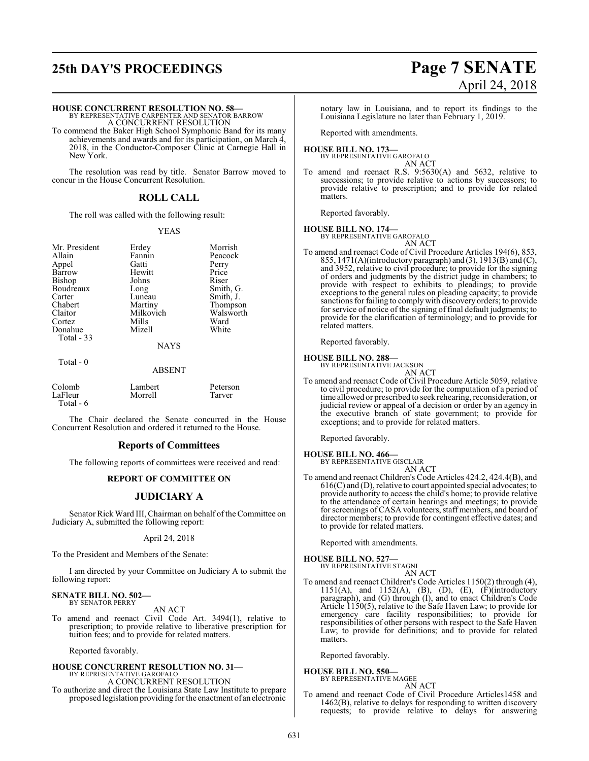## **25th DAY'S PROCEEDINGS Page 7 SENATE**

# April 24, 2018

### **HOUSE CONCURRENT RESOLUTION NO. 58—**

BY REPRESENTATIVE CARPENTER AND SENATOR BARROW A CONCURRENT RESOLUTION

To commend the Baker High School Symphonic Band for its many achievements and awards and for its participation, on March 4, 2018, in the Conductor-Composer Clinic at Carnegie Hall in New York.

The resolution was read by title. Senator Barrow moved to concur in the House Concurrent Resolution.

### **ROLL CALL**

The roll was called with the following result:

#### YEAS

Mr. President Erdey Morrish<br>Allain Fannin Peacock Appel Gatti Perry<br>Barrow Hewitt Price Barrow Hewitt Price Bishop Johns Riser<br>Boudreaux Long Smith, G. Boudreaux Long<br>
Carter Luneau Carter Luneau Smith, J.<br>
Chabert Martiny Thompso Chabert Martiny Thompson<br>Claitor Milkovich Walsworth Cortez Mills Ward Donahue Total - 33

Fannin Peacock<br>Gatti Perry Milkovich Walsworth<br>Mills Ward

NAYS

#### Total - 0

### ABSENT

| Colomb    | Lambert | Peterson |
|-----------|---------|----------|
| LaFleur   | Morrell | Tarver   |
| Total - 6 |         |          |

The Chair declared the Senate concurred in the House Concurrent Resolution and ordered it returned to the House.

#### **Reports of Committees**

The following reports of committees were received and read:

#### **REPORT OF COMMITTEE ON**

#### **JUDICIARY A**

Senator Rick Ward III, Chairman on behalf of the Committee on Judiciary A, submitted the following report:

#### April 24, 2018

To the President and Members of the Senate:

I am directed by your Committee on Judiciary A to submit the following report:

#### **SENATE BILL NO. 502—**

BY SENATOR PERRY

AN ACT

To amend and reenact Civil Code Art. 3494(1), relative to prescription; to provide relative to liberative prescription for tuition fees; and to provide for related matters.

Reported favorably.

#### **HOUSE CONCURRENT RESOLUTION NO. 31—** BY REPRESENTATIVE GAROFALO

A CONCURRENT RESOLUTION

To authorize and direct the Louisiana State Law Institute to prepare proposed legislation providing for the enactment of an electronic

notary law in Louisiana, and to report its findings to the Louisiana Legislature no later than February 1, 2019.

Reported with amendments.

#### **HOUSE BILL NO. 173—** BY REPRESENTATIVE GAROFALO

AN ACT

To amend and reenact R.S. 9:5630(A) and 5632, relative to successions; to provide relative to actions by successors; to provide relative to prescription; and to provide for related matters.

Reported favorably.

## **HOUSE BILL NO. 174—** BY REPRESENTATIVE GAROFALO

AN ACT

To amend and reenact Code of Civil Procedure Articles 194(6), 853, 855, 1471(A)(introductory paragraph) and (3), 1913(B) and (C), and 3952, relative to civil procedure; to provide for the signing of orders and judgments by the district judge in chambers; to provide with respect to exhibits to pleadings; to provide exceptions to the general rules on pleading capacity; to provide sanctions for failing to comply with discovery orders; to provide for service of notice of the signing of final default judgments; to provide for the clarification of terminology; and to provide for related matters.

Reported favorably.

#### **HOUSE BILL NO. 288—** BY REPRESENTATIVE JACKSON

AN ACT To amend and reenact Code of Civil Procedure Article 5059, relative to civil procedure; to provide for the computation of a period of time allowed or prescribed to seek rehearing, reconsideration, or judicial review or appeal of a decision or order by an agency in the executive branch of state government; to provide for exceptions; and to provide for related matters.

Reported favorably.

#### **HOUSE BILL NO. 466—**

BY REPRESENTATIVE GISCLAIR AN ACT

To amend and reenact Children's Code Articles 424.2, 424.4(B), and 616(C) and (D), relative to court appointed special advocates; to provide authority to access the child's home; to provide relative to the attendance of certain hearings and meetings; to provide for screenings ofCASA volunteers, staff members, and board of director members; to provide for contingent effective dates; and to provide for related matters.

Reported with amendments.

**HOUSE BILL NO. 527—** BY REPRESENTATIVE STAGNI

AN ACT

To amend and reenact Children's Code Articles 1150(2) through (4), 1151(A), and 1152(A), (B), (D), (E), (F)(introductory paragraph), and (G) through (I), and to enact Children's Code Article 1150(5), relative to the Safe Haven Law; to provide for emergency care facility responsibilities; to provide for responsibilities of other persons with respect to the Safe Haven Law; to provide for definitions; and to provide for related matters.

Reported favorably.

#### **HOUSE BILL NO. 550—**

BY REPRESENTATIVE MAGEE AN ACT

To amend and reenact Code of Civil Procedure Articles1458 and 1462(B), relative to delays for responding to written discovery requests; to provide relative to delays for answering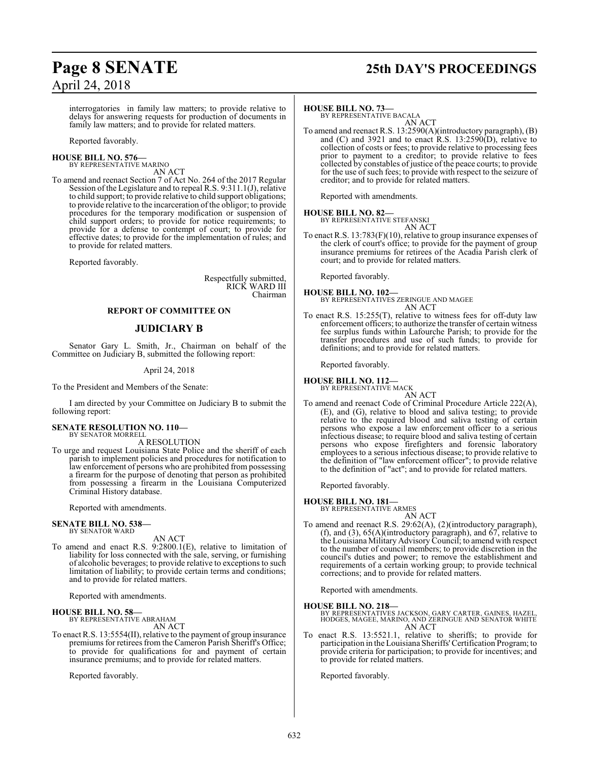## **Page 8 SENATE 25th DAY'S PROCEEDINGS**

interrogatories in family law matters; to provide relative to delays for answering requests for production of documents in family law matters; and to provide for related matters.

Reported favorably.

**HOUSE BILL NO. 576—** BY REPRESENTATIVE MARINO

AN ACT

To amend and reenact Section 7 of Act No. 264 of the 2017 Regular Session of the Legislature and to repeal R.S. 9:311.1(J), relative to child support; to provide relative to child support obligations; to provide relative to the incarceration of the obligor; to provide procedures for the temporary modification or suspension of child support orders; to provide for notice requirements; to provide for a defense to contempt of court; to provide for effective dates; to provide for the implementation of rules; and to provide for related matters.

Reported favorably.

Respectfully submitted, RICK WARD III Chairman

#### **REPORT OF COMMITTEE ON**

#### **JUDICIARY B**

Senator Gary L. Smith, Jr., Chairman on behalf of the Committee on Judiciary B, submitted the following report:

#### April 24, 2018

To the President and Members of the Senate:

I am directed by your Committee on Judiciary B to submit the following report:

#### **SENATE RESOLUTION NO. 110—** BY SENATOR MORRELL

A RESOLUTION

To urge and request Louisiana State Police and the sheriff of each parish to implement policies and procedures for notification to law enforcement of persons who are prohibited from possessing a firearm for the purpose of denoting that person as prohibited from possessing a firearm in the Louisiana Computerized Criminal History database.

Reported with amendments.

#### **SENATE BILL NO. 538—** BY SENATOR WARD

AN ACT

To amend and enact R.S. 9:2800.1(E), relative to limitation of liability for loss connected with the sale, serving, or furnishing of alcoholic beverages; to provide relative to exceptions to such limitation of liability; to provide certain terms and conditions; and to provide for related matters.

Reported with amendments.

#### **HOUSE BILL NO. 58—**

BY REPRESENTATIVE ABRAHAM AN ACT

To enact R.S. 13:5554(II), relative to the payment of group insurance premiums for retirees from the Cameron Parish Sheriff's Office; to provide for qualifications for and payment of certain insurance premiums; and to provide for related matters.

Reported favorably.

#### **HOUSE BILL NO. 73—**

BY REPRESENTATIVE BACALA AN ACT

To amend and reenact R.S. 13:2590(A)(introductory paragraph), (B) and  $(C)$  and 3921 and to enact  $\hat{R}$ . S. 13:2590 $(D)$ , relative to collection of costs or fees; to provide relative to processing fees prior to payment to a creditor; to provide relative to fees collected by constables of justice of the peace courts; to provide for the use of such fees; to provide with respect to the seizure of creditor; and to provide for related matters.

Reported with amendments.

#### **HOUSE BILL NO. 82—**

BY REPRESENTATIVE STEFANSKI

AN ACT To enact R.S. 13:783(F)(10), relative to group insurance expenses of the clerk of court's office; to provide for the payment of group insurance premiums for retirees of the Acadia Parish clerk of court; and to provide for related matters.

Reported favorably.

**HOUSE BILL NO. 102—** BY REPRESENTATIVES ZERINGUE AND MAGEE AN ACT

To enact R.S. 15:255(T), relative to witness fees for off-duty law enforcement officers; to authorize the transfer of certain witness fee surplus funds within Lafourche Parish; to provide for the transfer procedures and use of such funds; to provide for definitions; and to provide for related matters.

Reported favorably.

#### **HOUSE BILL NO. 112—**

BY REPRESENTATIVE MACK

- AN ACT
- To amend and reenact Code of Criminal Procedure Article 222(A), (E), and (G), relative to blood and saliva testing; to provide relative to the required blood and saliva testing of certain persons who expose a law enforcement officer to a serious infectious disease; to require blood and saliva testing of certain persons who expose firefighters and forensic laboratory employees to a serious infectious disease; to provide relative to the definition of "law enforcement officer"; to provide relative to the definition of "act"; and to provide for related matters.

Reported favorably.

## **HOUSE BILL NO. 181—** BY REPRESENTATIVE ARMES

AN ACT

To amend and reenact R.S. 29:62(A), (2)(introductory paragraph), (f), and (3), 65(A)(introductory paragraph), and 67, relative to the Louisiana Military Advisory Council; to amend with respect to the number of council members; to provide discretion in the council's duties and power; to remove the establishment and requirements of a certain working group; to provide technical corrections; and to provide for related matters.

Reported with amendments.

#### **HOUSE BILL NO. 218—**

BY REPRESENTATIVES JACKSON, GARY CARTER, GAINES, HAZEL, HODGES, MAGEE, MARINO, AND ZERINGUE AND SENATOR WHITE AN ACT

To enact R.S. 13:5521.1, relative to sheriffs; to provide for participation in the Louisiana Sheriffs'Certification Program; to provide criteria for participation; to provide for incentives; and to provide for related matters.

Reported favorably.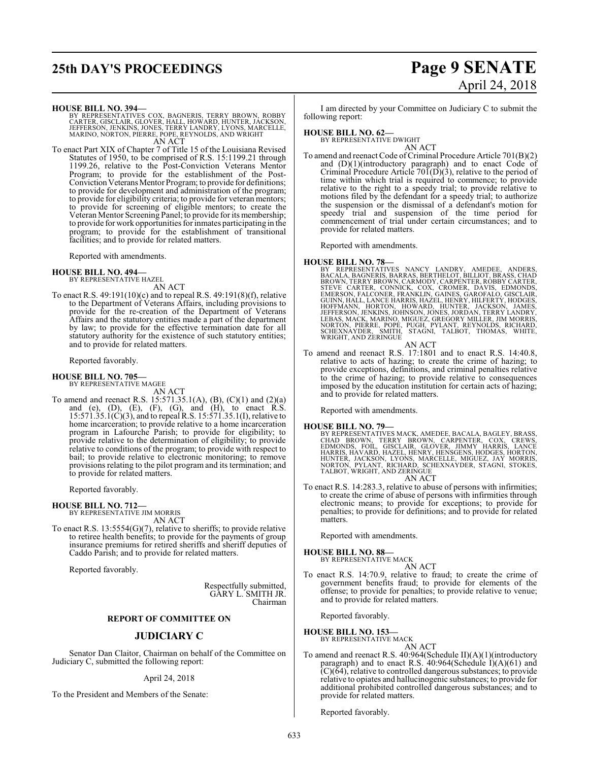## **25th DAY'S PROCEEDINGS Page 9 SENATE**

# April 24, 2018

#### **HOUSE BILL NO. 394—**

BY REPRESENTATIVES COX, BAGNERIS, TERRY BROWN, ROBBY<br>CARTER, GISCLAIR, GLOVER, HALL, HOWARD, HUNTER, JACKSON,<br>JEFFERSON, JENKINS, JONES, TERRY LANDRY, LYONS, MARCELLE,<br>MARINO, NORTON, PIERRE, POPE, REYNOLDS, AND WRIGHT AN ACT

To enact Part XIX of Chapter 7 of Title 15 of the Louisiana Revised Statutes of 1950, to be comprised of R.S. 15:1199.21 through 1199.26, relative to the Post-Conviction Veterans Mentor Program; to provide for the establishment of the Post-Conviction Veterans Mentor Program; to provide for definitions; to provide for development and administration of the program; to provide for eligibility criteria; to provide for veteran mentors; to provide for screening of eligible mentors; to create the Veteran Mentor Screening Panel; to provide for its membership; to provide for work opportunities for inmates participating in the program; to provide for the establishment of transitional facilities; and to provide for related matters.

Reported with amendments.

## **HOUSE BILL NO. 494—** BY REPRESENTATIVE HAZEL

AN ACT

To enact R.S. 49:191(10)(c) and to repeal R.S. 49:191(8)(f), relative to the Department of Veterans Affairs, including provisions to provide for the re-creation of the Department of Veterans Affairs and the statutory entities made a part of the department by law; to provide for the effective termination date for all statutory authority for the existence of such statutory entities; and to provide for related matters.

Reported favorably.

## **HOUSE BILL NO. 705—** BY REPRESENTATIVE MAGEE

AN ACT

To amend and reenact R.S. 15:571.35.1(A), (B), (C)(1) and (2)(a) and (e),  $(D)$ ,  $(E)$ ,  $(F)$ ,  $(G)$ , and  $(H)$ , to enact R.S. 15:571.35.1(C)(3), and to repeal R.S. 15:571.35.1(I), relative to home incarceration; to provide relative to a home incarceration program in Lafourche Parish; to provide for eligibility; to provide relative to the determination of eligibility; to provide relative to conditions of the program; to provide with respect to bail; to provide relative to electronic monitoring; to remove provisions relating to the pilot program and its termination; and to provide for related matters.

Reported favorably.

**HOUSE BILL NO. 712—** BY REPRESENTATIVE JIM MORRIS AN ACT

To enact R.S. 13:5554(G)(7), relative to sheriffs; to provide relative to retiree health benefits; to provide for the payments of group insurance premiums for retired sheriffs and sheriff deputies of Caddo Parish; and to provide for related matters.

Reported favorably.

Respectfully submitted, GARY L. SMITH JR. Chairman

#### **REPORT OF COMMITTEE ON**

#### **JUDICIARY C**

Senator Dan Claitor, Chairman on behalf of the Committee on Judiciary C, submitted the following report:

#### April 24, 2018

To the President and Members of the Senate:

I am directed by your Committee on Judiciary C to submit the following report:

#### **HOUSE BILL NO. 62—**

BY REPRESENTATIVE DWIGHT

AN ACT To amend and reenact Code of Criminal Procedure Article 701(B)(2) and (D)(1)(introductory paragraph) and to enact Code of Criminal Procedure Article  $70I(D)(3)$ , relative to the period of time within which trial is required to commence; to provide relative to the right to a speedy trial; to provide relative to motions filed by the defendant for a speedy trial; to authorize the suspension or the dismissal of a defendant's motion for speedy trial and suspension of the time period for commencement of trial under certain circumstances; and to provide for related matters.

Reported with amendments.

HOUSE BILL NO. 78—<br>BY REPRESENTATIVES NANCY LANDRY, AMEDEE, ANDERS, BACALA, BAGNERIS, BARRAS, BERTHELOT, BILLIOT, BRASS, CHAD<br>BROWN, TERRY BROWN, CARMODY, CARPENTER, ROBBY CARTER, STEVE CARTER, CONNICK, COX, CROMER, DAVIS,

AN ACT

To amend and reenact R.S. 17:1801 and to enact R.S. 14:40.8, relative to acts of hazing; to create the crime of hazing; to provide exceptions, definitions, and criminal penalties relative to the crime of hazing; to provide relative to consequences imposed by the education institution for certain acts of hazing; and to provide for related matters.

Reported with amendments.

**HOUSE BILL NO. 79—**

BY REPRESENTATIVES MACK, AMEDEE, BACALA, BAGLEY, BRASS,<br>CHAD BROWN, TERRY BROWN, CARPENTER, COX, CREWS,<br>EDMONDS, FOIL, GISCLAIR, GLOVER, JIMMY HARRIS, LANCE<br>HARRIS, HAVARD, HAZEL, HENRY, HENSGENS, HODGES, HORTON,<br>HUNTER, J TALBOT, WRIGHT, AND ZERINGUE AN ACT

To enact R.S. 14:283.3, relative to abuse of persons with infirmities; to create the crime of abuse of persons with infirmities through electronic means; to provide for exceptions; to provide for penalties; to provide for definitions; and to provide for related matters.

Reported with amendments.

#### **HOUSE BILL NO. 88—**

BY REPRESENTATIVE MACK AN ACT

To enact R.S. 14:70.9, relative to fraud; to create the crime of government benefits fraud; to provide for elements of the offense; to provide for penalties; to provide relative to venue; and to provide for related matters.

Reported favorably.

**HOUSE BILL NO. 153—**

BY REPRESENTATIVE MACK AN ACT

To amend and reenact R.S. 40:964(Schedule II)(A)(1)(introductory paragraph) and to enact R.S. 40:964(Schedule I)(A)(61) and (C)(64), relative to controlled dangerous substances; to provide relative to opiates and hallucinogenic substances; to provide for additional prohibited controlled dangerous substances; and to provide for related matters.

Reported favorably.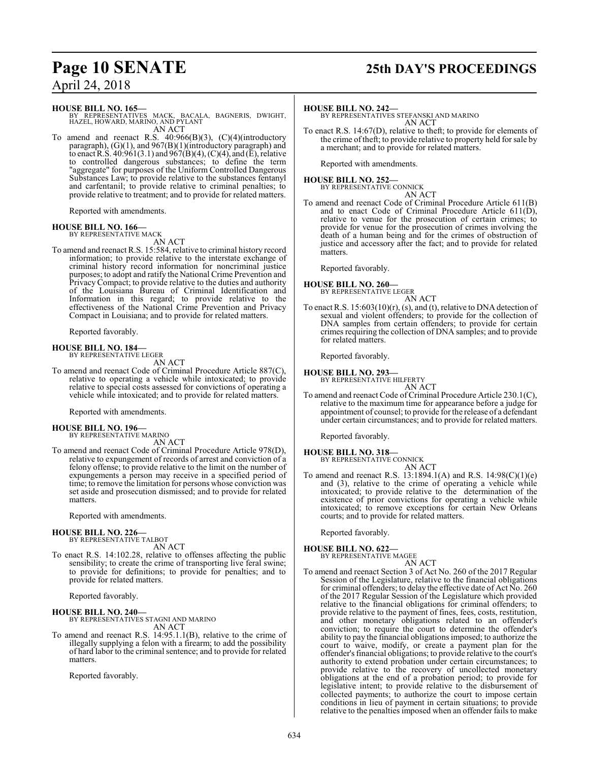#### **HOUSE BILL NO. 165—**

BY REPRESENTATIVES MACK, BACALA, BAGNERIS, DWIGHT, HAZEL, HOWARD, MARINO, AND PYLANT AN ACT

To amend and reenact R.S. 40:966(B)(3), (C)(4)(introductory paragraph),  $(G)(1)$ , and  $967(B)(1)(introductory paragraph)$  and to enact R.S.  $40:961(3.1)$  and  $967(B)(4)$ , (C)(4), and (E), relative to controlled dangerous substances; to define the term "aggregate" for purposes of the Uniform Controlled Dangerous Substances Law; to provide relative to the substances fentanyl and carfentanil; to provide relative to criminal penalties; to provide relative to treatment; and to provide for related matters.

Reported with amendments.

#### **HOUSE BILL NO. 166—** BY REPRESENTATIVE MACK

AN ACT

To amend and reenact R.S. 15:584, relative to criminal history record information; to provide relative to the interstate exchange of criminal history record information for noncriminal justice purposes; to adopt and ratify the National Crime Prevention and Privacy Compact; to provide relative to the duties and authority of the Louisiana Bureau of Criminal Identification and Information in this regard; to provide relative to the effectiveness of the National Crime Prevention and Privacy Compact in Louisiana; and to provide for related matters.

Reported favorably.

**HOUSE BILL NO. 184—** BY REPRESENTATIVE LEGER

AN ACT

To amend and reenact Code of Criminal Procedure Article 887(C), relative to operating a vehicle while intoxicated; to provide relative to special costs assessed for convictions of operating a vehicle while intoxicated; and to provide for related matters.

Reported with amendments.

#### **HOUSE BILL NO. 196—**

BY REPRESENTATIVE MARINO AN ACT

To amend and reenact Code of Criminal Procedure Article 978(D), relative to expungement of records of arrest and conviction of a felony offense; to provide relative to the limit on the number of expungements a person may receive in a specified period of time; to remove the limitation for persons whose conviction was set aside and prosecution dismissed; and to provide for related matters.

Reported with amendments.

#### **HOUSE BILL NO. 226—** BY REPRESENTATIVE TALBOT

AN ACT

To enact R.S. 14:102.28, relative to offenses affecting the public sensibility; to create the crime of transporting live feral swine; to provide for definitions; to provide for penalties; and to provide for related matters.

Reported favorably.

**HOUSE BILL NO. 240—** BY REPRESENTATIVES STAGNI AND MARINO AN ACT

To amend and reenact R.S. 14:95.1.1(B), relative to the crime of illegally supplying a felon with a firearm; to add the possibility of hard labor to the criminal sentence; and to provide for related matters.

Reported favorably.

## **Page 10 SENATE 25th DAY'S PROCEEDINGS**

#### **HOUSE BILL NO. 242—**

BY REPRESENTATIVES STEFANSKI AND MARINO AN ACT

To enact R.S. 14:67(D), relative to theft; to provide for elements of the crime oftheft; to provide relative to property held for sale by a merchant; and to provide for related matters.

Reported with amendments.

#### **HOUSE BILL NO. 252—**

BY REPRESENTATIVE CONNICK AN ACT

To amend and reenact Code of Criminal Procedure Article 611(B) and to enact Code of Criminal Procedure Article  $611(D)$ , relative to venue for the prosecution of certain crimes; to provide for venue for the prosecution of crimes involving the death of a human being and for the crimes of obstruction of justice and accessory after the fact; and to provide for related **matters** 

Reported favorably.

#### **HOUSE BILL NO. 260—** BY REPRESENTATIVE LEGER

AN ACT

To enact R.S. 15:603(10)(r), (s), and (t), relative to DNA detection of sexual and violent offenders; to provide for the collection of DNA samples from certain offenders; to provide for certain crimes requiring the collection of DNA samples; and to provide for related matters.

Reported favorably.

#### **HOUSE BILL NO. 293—**

BY REPRESENTATIVE HILFERTY

AN ACT To amend and reenact Code of Criminal Procedure Article 230.1(C), relative to the maximum time for appearance before a judge for appointment of counsel; to provide for the release of a defendant under certain circumstances; and to provide for related matters.

Reported favorably.

#### **HOUSE BILL NO. 318—**

BY REPRESENTATIVE CONNICK AN ACT

To amend and reenact R.S. 13:1894.1(A) and R.S. 14:98(C)(1)(e) and (3), relative to the crime of operating a vehicle while intoxicated; to provide relative to the determination of the existence of prior convictions for operating a vehicle while intoxicated; to remove exceptions for certain New Orleans courts; and to provide for related matters.

Reported favorably.

## **HOUSE BILL NO. 622—** BY REPRESENTATIVE MAGEE

AN ACT To amend and reenact Section 3 of Act No. 260 of the 2017 Regular Session of the Legislature, relative to the financial obligations for criminal offenders; to delay the effective date of Act No. 260 of the 2017 Regular Session of the Legislature which provided relative to the financial obligations for criminal offenders; to provide relative to the payment of fines, fees, costs, restitution, and other monetary obligations related to an offender's conviction; to require the court to determine the offender's ability to pay the financial obligations imposed; to authorize the court to waive, modify, or create a payment plan for the offender's financial obligations; to provide relative to the court's authority to extend probation under certain circumstances; to provide relative to the recovery of uncollected monetary obligations at the end of a probation period; to provide for legislative intent; to provide relative to the disbursement of collected payments; to authorize the court to impose certain conditions in lieu of payment in certain situations; to provide relative to the penalties imposed when an offender fails to make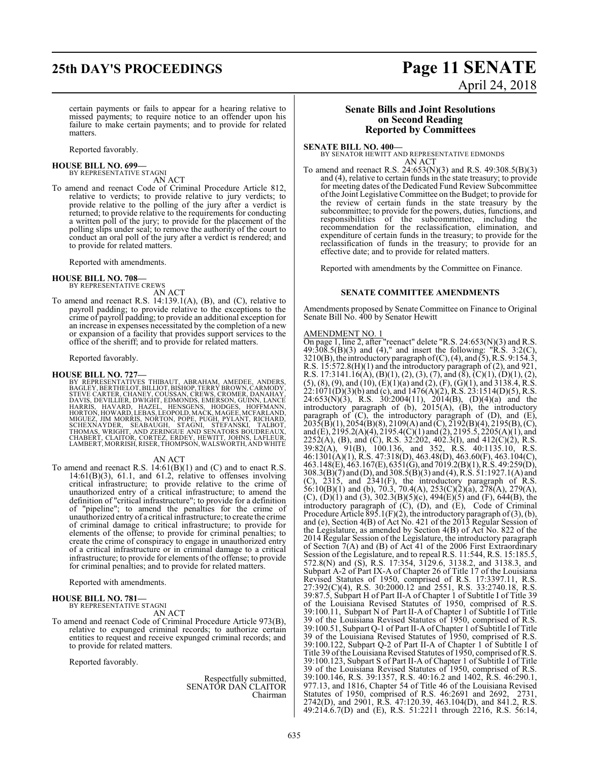## **25th DAY'S PROCEEDINGS Page 11 SENATE**

# April 24, 2018

certain payments or fails to appear for a hearing relative to missed payments; to require notice to an offender upon his failure to make certain payments; and to provide for related matters.

Reported favorably.

## **HOUSE BILL NO. 699—** BY REPRESENTATIVE STAGNI

AN ACT

To amend and reenact Code of Criminal Procedure Article 812, relative to verdicts; to provide relative to jury verdicts; to provide relative to the polling of the jury after a verdict is returned; to provide relative to the requirements for conducting a written poll of the jury; to provide for the placement of the polling slips under seal; to remove the authority of the court to conduct an oral poll of the jury after a verdict is rendered; and to provide for related matters.

Reported with amendments.

## **HOUSE BILL NO. 708—** BY REPRESENTATIVE CREWS

- AN ACT To amend and reenact R.S. 14:139.1(A), (B), and (C), relative to
- payroll padding; to provide relative to the exceptions to the crime of payroll padding; to provide an additional exception for an increase in expenses necessitated by the completion of a new or expansion of a facility that provides support services to the office of the sheriff; and to provide for related matters.

Reported favorably.

HOUSE BILL NO. 727—<br>BY REPRESENTATIVES THIBAUT, ABRAHAM, AMEDEE, ANDERS, BAGLEY, BERTHELOT, BILLIOT, BISHOP, TERRY BROWN, CARMODY,<br>STEVE CARTER, CHANEY, COUSSAN, CREWS, CROMER, DANAHAY,<br>DAVIS, DEVILLIER, DWIGHT, EDMONDS, E

#### AN ACT

To amend and reenact R.S.  $14:61(B)(1)$  and  $(C)$  and to enact R.S. 14:61(B)(3), 61.1, and 61.2, relative to offenses involving critical infrastructure; to provide relative to the crime of unauthorized entry of a critical infrastructure; to amend the definition of "critical infrastructure"; to provide for a definition of "pipeline"; to amend the penalties for the crime of unauthorized entry of a critical infrastructure; to create the crime of criminal damage to critical infrastructure; to provide for elements of the offense; to provide for criminal penalties; to create the crime of conspiracy to engage in unauthorized entry of a critical infrastructure or in criminal damage to a critical infrastructure; to provide for elements of the offense; to provide for criminal penalties; and to provide for related matters.

Reported with amendments.

#### **HOUSE BILL NO. 781—** BY REPRESENTATIVE STAGNI

AN ACT

To amend and reenact Code of Criminal Procedure Article 973(B), relative to expunged criminal records; to authorize certain entities to request and receive expunged criminal records; and to provide for related matters.

Reported favorably.

Respectfully submitted, SENATOR DAN CLAITOR Chairman

#### **Senate Bills and Joint Resolutions on Second Reading Reported by Committees**

#### **SENATE BILL NO. 400—**

BY SENATOR HEWITT AND REPRESENTATIVE EDMONDS AN ACT

To amend and reenact R.S. 24:653(N)(3) and R.S. 49:308.5(B)(3) and (4), relative to certain funds in the state treasury; to provide for meeting dates of the Dedicated Fund Review Subcommittee ofthe Joint Legislative Committee on the Budget; to provide for the review of certain funds in the state treasury by the subcommittee; to provide for the powers, duties, functions, and responsibilities of the subcommittee, including the recommendation for the reclassification, elimination, and expenditure of certain funds in the treasury; to provide for the reclassification of funds in the treasury; to provide for an effective date; and to provide for related matters.

Reported with amendments by the Committee on Finance.

#### **SENATE COMMITTEE AMENDMENTS**

Amendments proposed by Senate Committee on Finance to Original Senate Bill No. 400 by Senator Hewitt

#### AMENDMENT NO. 1

On page 1, line 2, after "reenact" delete "R.S. 24:653(N)(3) and R.S.  $49:308.5(B)(3)$  and  $(4)$ ," and insert the following: "R.S. 3:2(C), 3210(B), the introductory paragraph of (C), (4), and (5), R.S. 9:154.3, R.S. 15:572.8(H)(1) and the introductory paragraph of (2), and 921, R.S. 17:3141.16(A), (B)(1), (2), (3), (7), and (8), (C)(1), (D)(1), (2),  $(5)$ ,  $(8)$ ,  $(9)$ , and  $(10)$ ,  $(E)(1)(a)$  and  $(2)$ ,  $(F)$ ,  $(G)(1)$ , and 3138.4, R.S.  $22:1071(D)(3)(b)$  and (c), and  $1476(A)(2)$ , R.S.  $23:1514(D)(5)$ , R.S. 24:653(N)(3), R.S. 30:2004(11), 2014(B), (D)(4)(a) and the introductory paragraph of (b), 2015(A), (B), the introductory paragraph of (C), the introductory paragraph of (D), and (E),  $2035(B)(1), 2054(B)(8), 2109(A)$  and  $(C), 2192(B)(4), 2195(B), (C),$ and (E), 2195.2(A)(4), 2195.4(C)(1) and (2), 2195.5, 2205(A)(1), and 2252(A), (B), and (C), R.S. 32:202, 402.3(I), and 412(C)(2), R.S. 39:82(A), 91(B), 100.136, and 352, R.S. 40:1135.10, R.S. 46:1301(A)(1), R.S. 47:318(D), 463.48(D), 463.60(F), 463.104(C), 463.148(E), 463.167(E), 6351(G), and 7019.2(B)(1),R.S. 49:259(D), 308.3(B)(7) and (D), and 308.5(B)(3) and (4), R.S. 51:1927.1(A) and (C), 2315, and 2341(F), the introductory paragraph of R.S. 56:10(B)(1) and (b), 70.3, 70.4(A), 253(C)(2)(a), 278(A), 279(A),  $(C)$ ,  $(D)(1)$  and  $(3)$ ,  $302.3(B)(5)(c)$ ,  $494(E)(5)$  and  $(F)$ ,  $644(B)$ , the introductory paragraph of (C), (D), and (E), Code of Criminal Procedure Article  $\overline{895.1(F)(2)}$ , the introductory paragraph of (3), (b), and (e), Section 4(B) of Act No. 421 of the 2013 Regular Session of the Legislature, as amended by Section 4(B) of Act No. 822 of the 2014 Regular Session of the Legislature, the introductory paragraph of Section 7(A) and (B) of Act 41 of the 2006 First Extraordinary Session of the Legislature, and to repeal R.S. 11:544, R.S. 15:185.5, 572.8(N) and (S), R.S. 17:354, 3129.6, 3138.2, and 3138.3, and Subpart A-2 of Part IX-A of Chapter 26 of Title 17 of the Louisiana Revised Statutes of 1950, comprised of R.S. 17:3397.11, R.S. 27:392(C)(4), R.S. 30:2000.12 and 2551, R.S. 33:2740.18, R.S. 39:87.5, Subpart H of Part II-A of Chapter 1 of Subtitle I of Title 39 of the Louisiana Revised Statutes of 1950, comprised of R.S. 39:100.11, Subpart N of Part II-A of Chapter 1 of Subtitle I of Title 39 of the Louisiana Revised Statutes of 1950, comprised of R.S. 39:100.51, Subpart Q-1 of Part II-A ofChapter 1 of Subtitle I of Title 39 of the Louisiana Revised Statutes of 1950, comprised of R.S. 39:100.122, Subpart Q-2 of Part II-A of Chapter 1 of Subtitle I of Title 39 of the Louisiana Revised Statutes of 1950, comprised of R.S. 39:100.123, Subpart S of Part II-A of Chapter 1 of Subtitle I of Title 39 of the Louisiana Revised Statutes of 1950, comprised of R.S. 39:100.146, R.S. 39:1357, R.S. 40:16.2 and 1402, R.S. 46:290.1, 977.13, and 1816, Chapter 54 of Title 46 of the Louisiana Revised Statutes of 1950, comprised of R.S. 46:2691 and 2692, 2731, 2742(D), and 2901, R.S. 47:120.39, 463.104(D), and 841.2, R.S. 49:214.6.7(D) and (E), R.S. 51:2211 through 2216, R.S. 56:14,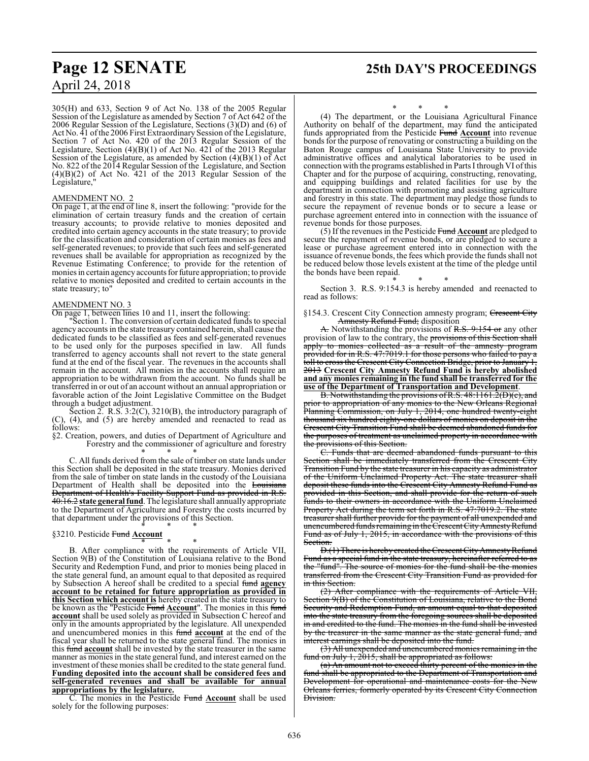## **Page 12 SENATE 25th DAY'S PROCEEDINGS** April 24, 2018

305(H) and 633, Section 9 of Act No. 138 of the 2005 Regular Session of the Legislature as amended by Section 7 of Act 642 of the 2006 Regular Session of the Legislature, Sections (3)(D) and (6) of Act No. 41 of the 2006 First Extraordinary Session of the Legislature, Section 7 of Act No. 420 of the 2013 Regular Session of the Legislature, Section  $(4)(B)(1)$  of Act No. 421 of the 2013 Regular Session of the Legislature, as amended by Section (4)(B)(1) of Act No. 822 of the 2014 Regular Session of the Legislature, and Section  $(4)(B)(2)$  of Act No. 421 of the 2013 Regular Session of the Legislature,"

#### AMENDMENT NO. 2

On page 1, at the end of line 8, insert the following: "provide for the elimination of certain treasury funds and the creation of certain treasury accounts; to provide relative to monies deposited and credited into certain agency accounts in the state treasury; to provide for the classification and consideration of certain monies as fees and self-generated revenues; to provide that such fees and self-generated revenues shall be available for appropriation as recognized by the Revenue Estimating Conference; to provide for the retention of monies in certain agency accounts forfuture appropriation; to provide relative to monies deposited and credited to certain accounts in the state treasury; to"

#### AMENDMENT NO. 3

On page 1, between lines 10 and 11, insert the following:

"Section 1. The conversion of certain dedicated funds to special agency accounts in the state treasury contained herein, shall cause the dedicated funds to be classified as fees and self-generated revenues to be used only for the purposes specified in law. All funds transferred to agency accounts shall not revert to the state general fund at the end of the fiscal year. The revenues in the accounts shall remain in the account. All monies in the accounts shall require an appropriation to be withdrawn from the account. No funds shall be transferred in or out of an account without an annual appropriation or favorable action of the Joint Legislative Committee on the Budget through a budget adjustment.

Section 2. R.S. 3:2(C), 3210(B), the introductory paragraph of (C), (4), and (5) are hereby amended and reenacted to read as follows:

§2. Creation, powers, and duties of Department of Agriculture and Forestry and the commissioner of agriculture and forestry \* \* \*

C. All funds derived from the sale of timber on state lands under this Section shall be deposited in the state treasury. Monies derived from the sale of timber on state lands in the custody of the Louisiana Department of Health shall be deposited into the Louisiana Department of Health's Facility Support Fund as provided in R.S. 40:16.2 **state general fund**. The legislature shall annually appropriate to the Department of Agriculture and Forestry the costs incurred by that department under the provisions of this Section.

#### \* \* \* §3210. Pesticide Fund **Account**

\* \* \* B. After compliance with the requirements of Article VII, Section 9(B) of the Constitution of Louisiana relative to the Bond Security and Redemption Fund, and prior to monies being placed in the state general fund, an amount equal to that deposited as required by Subsection A hereof shall be credited to a special fund **agency account to be retained for future appropriation as provided in this Section which account is** hereby created in the state treasury to be known as the "Pesticide Fund **Account**". The monies in this fund **account** shall be used solely as provided in Subsection C hereof and only in the amounts appropriated by the legislature. All unexpended and unencumbered monies in this fund **account** at the end of the fiscal year shall be returned to the state general fund. The monies in this fund **account** shall be invested by the state treasurer in the same manner as monies in the state general fund, and interest earned on the investment of these monies shall be credited to the state general fund. **Funding deposited into the account shall be considered fees and self-generated revenues and shall be available for annual appropriations by the legislature.**

C. The monies in the Pesticide Fund **Account** shall be used solely for the following purposes:

\* \* \*

(4) The department, or the Louisiana Agricultural Finance Authority on behalf of the department, may fund the anticipated funds appropriated from the Pesticide Fund **Account** into revenue bonds for the purpose of renovating or constructing a building on the Baton Rouge campus of Louisiana State University to provide administrative offices and analytical laboratories to be used in connection with the programs established in Parts I through VI ofthis Chapter and for the purpose of acquiring, constructing, renovating, and equipping buildings and related facilities for use by the department in connection with promoting and assisting agriculture and forestry in this state. The department may pledge those funds to secure the repayment of revenue bonds or to secure a lease or purchase agreement entered into in connection with the issuance of revenue bonds for those purposes.

(5) If the revenues in the Pesticide Fund **Account** are pledged to secure the repayment of revenue bonds, or are pledged to secure a lease or purchase agreement entered into in connection with the issuance of revenue bonds, the fees which provide the funds shall not be reduced below those levels existent at the time of the pledge until the bonds have been repaid.

\* \* \* Section 3. R.S. 9:154.3 is hereby amended and reenacted to read as follows:

§154.3. Crescent City Connection amnesty program; Crescent City Amnesty Refund Fund; disposition

A. Notwithstanding the provisions of R.S. 9:154 or any other provision of law to the contrary, the provisions of this Section shall apply to monies collected as a result of the amnesty program provided for in R.S. 47:7019.1 for those persons who failed to pay a toll to cross the Crescent City Connection Bridge, prior to January 2013 **Crescent City Amnesty Refund Fund is hereby abolished and any monies remaining in the fund shall be transferred for the use of the Department of Transportation and Development**.

B. Notwithstanding the provisions ofR.S. 48:1161.2(D)(c), and prior to appropriation of any monies to the New Orleans Regional Planning Commission, on July 1, 2014, one hundred twenty-eight thousand six hundred eighty-one dollars of monies on deposit in the Crescent City Transition Fund shall be deemed abandoned funds for the purposes of treatment as unclaimed property in accordance with the provisions of this Section.

C. Funds that are deemed abandoned funds pursuant to this Section shall be immediately transferred from the Crescent City Transition Fund by the state treasurer in his capacity as administrator of the Uniform Unclaimed Property Act. The state treasurer shall deposit these funds into the Crescent City Amnesty Refund Fund as provided in this Section, and shall provide for the return of such funds to their owners in accordance with the Uniform Unclaimed Property Act during the term set forth in R.S. 47:7019.2. The state treasurer shall further provide for the payment of all unexpended and unencumbered funds remaining in theCrescent CityAmnestyRefund Fund as of July 1, 2015, in accordance with the provisions of this Section.

D.(1) There is hereby created the Crescent CityAmnestyRefund Fund as a special fund in the state treasury, hereinafter referred to as the "fund". The source of monies for the fund shall be the monies the "fund". The source of monies for the fund shall be the monies transferred from the Crescent City Transition Fund as provided for in this Section.

(2) After compliance with the requirements of Article VII, Section 9(B) of the Constitution of Louisiana, relative to the Bond Security and Redemption Fund, an amount equal to that deposited into the state treasury from the foregoing sources shall be deposited in and credited to the fund. The monies in the fund shall be invested by the treasurer in the same manner as the state general fund, and interest earnings shall be deposited into the fund.

(3) All unexpended and unencumbered monies remaining in the fund on July 1, 2015, shall be appropriated as follows:

(a) An amount not to exceed thirty percent of the monies in the fund shall be appropriated to the Department of Transportation and Development for operational and maintenance costs for the New Orleans ferries, formerly operated by its Crescent City Connection Division.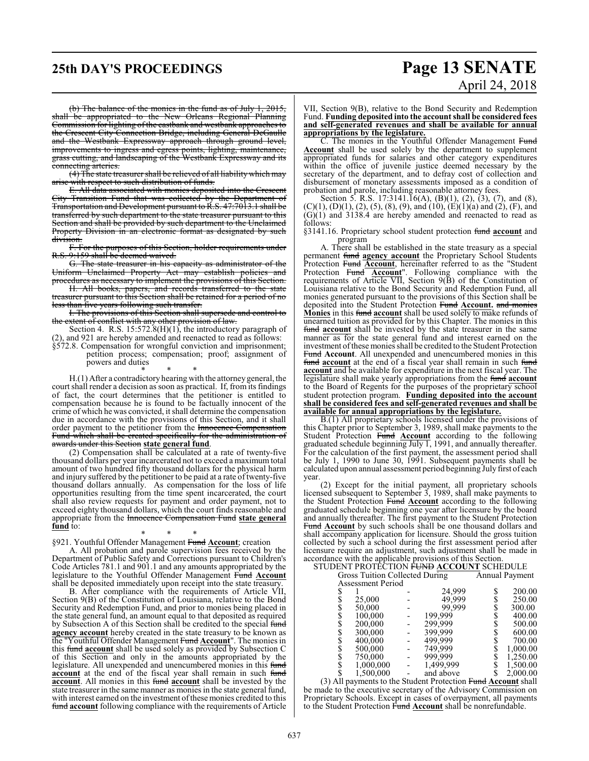## **25th DAY'S PROCEEDINGS Page 13 SENATE**

# April 24, 2018

(b) The balance of the monies in the fund as of July 1, 2015, shall be appropriated to the New Orleans Regional Planning Commission for lighting of the eastbank and westbank approaches to the Crescent City Connection Bridge, including General DeGaulle and the Westbank Expressway approach through ground level, improvements to ingress and egress points, lighting, maintenance, grass cutting, and landscaping of the Westbank Expressway and its connecting arteries.

(4) The state treasurer shall be relieved of all liability which may arise with respect to such distribution of funds.

E. All data associated with monies deposited into the Crescent City Transition Fund that was collected by the Department of Transportation and Development pursuant to R.S. 47:7013.1 shall be transferred by such department to the state treasurer pursuant to this Section and shall be provided by such department to the Unclaimed Property Division in an electronic format as designated by such division.

F. For the purposes of this Section, holder requirements under R.S. 9:159 shall be deemed waived.

G. The state treasurer in his capacity as administrator of the Uniform Unclaimed Property Act may establish policies and procedures as necessary to implement the provisions of this Section.

H. All books, papers, and records transferred to the state treasurer pursuant to this Section shall be retained for a period of no less than five years following such transfer.

I. The provisions of this Section shall supersede and control to the extent of conflict with any other provision of law.

Section 4. R.S. 15:572.8(H)(1), the introductory paragraph of (2), and 921 are hereby amended and reenacted to read as follows:

§572.8. Compensation for wrongful conviction and imprisonment; petition process; compensation; proof; assignment of powers and duties

\* \* \* H.(1) After a contradictory hearing with the attorneygeneral, the court shall render a decision as soon as practical. If, from its findings of fact, the court determines that the petitioner is entitled to compensation because he is found to be factually innocent of the crime of which he was convicted, it shall determine the compensation due in accordance with the provisions of this Section, and it shall order payment to the petitioner from the Innocence Compensation Fund which shall be created specifically for the administration of awards under this Section **state general fund**.

(2) Compensation shall be calculated at a rate of twenty-five thousand dollars per year incarcerated not to exceed a maximumtotal amount of two hundred fifty thousand dollars for the physical harm and injury suffered by the petitioner to be paid at a rate of twenty-five thousand dollars annually. As compensation for the loss of life opportunities resulting from the time spent incarcerated, the court shall also review requests for payment and order payment, not to exceed eighty thousand dollars, which the court finds reasonable and appropriate from the Innocence Compensation Fund **state general fund** to:

#### \* \* \* §921. Youthful Offender Management Fund **Account**; creation

A. All probation and parole supervision fees received by the Department of Public Safety and Corrections pursuant to Children's Code Articles 781.1 and 901.1 and any amounts appropriated by the legislature to the Youthful Offender Management Fund **Account**

shall be deposited immediately upon receipt into the state treasury. B. After compliance with the requirements of Article VII, Section 9(B) of the Constitution of Louisiana, relative to the Bond Security and Redemption Fund, and prior to monies being placed in the state general fund, an amount equal to that deposited as required by Subsection A of this Section shall be credited to the special fund **agency account** hereby created in the state treasury to be known as the "Youthful Offender Management Fund **Account**". The monies in this fund **account** shall be used solely as provided by Subsection C of this Section and only in the amounts appropriated by the legislature. All unexpended and unencumbered monies in this fund **account** at the end of the fiscal year shall remain in such fund **account**. All monies in this fund **account** shall be invested by the state treasurer in the same manner as monies in the state general fund, with interest earned on the investment of these monies credited to this fund **account** following compliance with the requirements of Article

VII, Section 9(B), relative to the Bond Security and Redemption Fund. **Funding deposited into the account shall be considered fees and self-generated revenues and shall be available for annual appropriations by the legislature.**

The monies in the Youthful Offender Management Fund **Account** shall be used solely by the department to supplement appropriated funds for salaries and other category expenditures within the office of juvenile justice deemed necessary by the secretary of the department, and to defray cost of collection and disbursement of monetary assessments imposed as a condition of probation and parole, including reasonable attorney fees.

Section 5. R.S. 17:3141.16(A), (B)(1), (2), (3), (7), and (8),  $(C)(1)$ ,  $(D)(1)$ ,  $(2)$ ,  $(5)$ ,  $(8)$ ,  $(9)$ , and  $(10)$ ,  $(E)(1)(a)$  and  $(2)$ ,  $(F)$ , and  $(G)(1)$  and 3138.4 are hereby amended and reenacted to read as follows:

§3141.16. Proprietary school student protection fund **account** and program

A. There shall be established in the state treasury as a special permanent fund **agency account** the Proprietary School Students Protection Fund **Account**, hereinafter referred to as the "Student Protection Fund **Account**". Following compliance with the requirements of Article VII, Section 9(B) of the Constitution of Louisiana relative to the Bond Security and Redemption Fund, all monies generated pursuant to the provisions of this Section shall be deposited into the Student Protection Fund **Account.** and monies **Monies** in this fund **account** shall be used solely to make refunds of unearned tuition as provided for by this Chapter. The monies in this fund **account** shall be invested by the state treasurer in the same manner as for the state general fund and interest earned on the investment ofthese monies shall be credited to the Student Protection Fund **Account**. All unexpended and unencumbered monies in this fund **account** at the end of a fiscal year shall remain in such fund **account** and be available for expenditure in the next fiscal year. The legislature shall make yearly appropriations from the fund **account** to the Board of Regents for the purposes of the proprietary school student protection program. **Funding deposited into the account shall be considered fees and self-generated revenues and shall be available for annual appropriations by the legislature.**

B.(1) All proprietary schools licensed under the provisions of this Chapter prior to September 3, 1989, shall make payments to the Student Protection Fund **Account** according to the following graduated schedule beginning  $July 1$ , 1991, and annually thereafter. For the calculation of the first payment, the assessment period shall be July 1, 1990 to June 30, 1991. Subsequent payments shall be calculated upon annual assessment period beginning July first of each year.

(2) Except for the initial payment, all proprietary schools licensed subsequent to September 3, 1989, shall make payments to the Student Protection Fund **Account** according to the following graduated schedule beginning one year after licensure by the board and annually thereafter. The first payment to the Student Protection Fund **Account** by such schools shall be one thousand dollars and shall accompany application for licensure. Should the gross tuition collected by such a school during the first assessment period after licensure require an adjustment, such adjustment shall be made in accordance with the applicable provisions of this Section.

STUDENT PROTECTION FUND **ACCOUNT** SCHEDULE

|                          | Gross Tuition Collected During |        | Annual Payment    |    |          |
|--------------------------|--------------------------------|--------|-------------------|----|----------|
| <b>Assessment Period</b> |                                |        |                   |    |          |
| \$                       |                                |        | 24,999            | \$ | 200.00   |
| \$                       | 25,000                         |        | 49,999            | \$ | 250.00   |
|                          | 50,000                         |        | 99,999            |    | 300.00   |
| \$<br>\$                 | 100,000                        |        | 199,999           |    | 400.00   |
| \$                       | 200,000                        |        | 299,999           |    | 500.00   |
| \$                       | 300,000                        |        | 399,999           |    | 600.00   |
|                          | 400,000                        |        | 499,999           |    | 700.00   |
| \$<br>\$                 | 500,000                        |        | 749,999           |    | 1,000.00 |
| \$                       | 750,000                        |        | 999,999           | \$ | 1,250.00 |
| \$                       | 1,000,000                      |        | 1,499,999         | S  | 1,500.00 |
| \$                       | 1,500,000                      |        | and above         |    | 2,000.00 |
| .11                      |                                | $\sim$ | $\mathbf{r}$<br>᠇ |    |          |

(3) All payments to the Student Protection Fund **Account** shall be made to the executive secretary of the Advisory Commission on Proprietary Schools. Except in cases of overpayment, all payments to the Student Protection Fund **Account** shall be nonrefundable.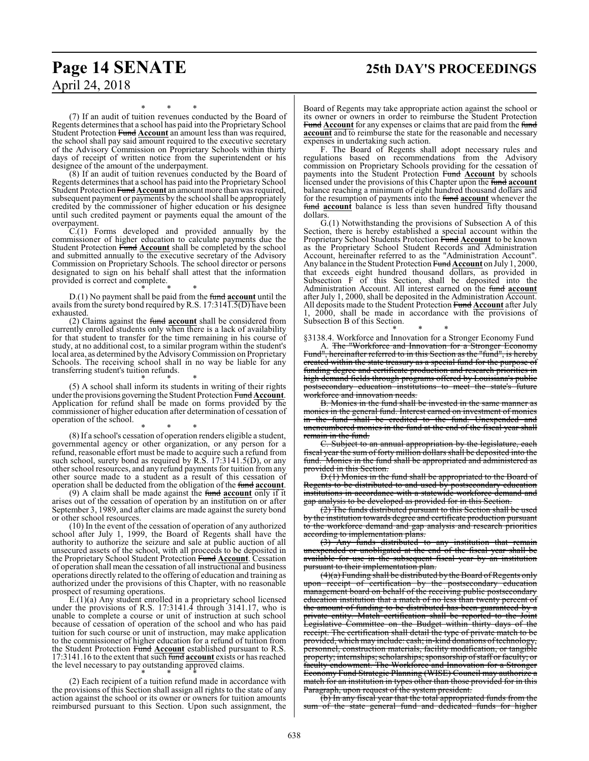## **Page 14 SENATE 25th DAY'S PROCEEDINGS**

\* \* \*

(7) If an audit of tuition revenues conducted by the Board of Regents determines that a school has paid into the Proprietary School Student Protection Fund **Account** an amount less than was required, the school shall pay said amount required to the executive secretary of the Advisory Commission on Proprietary Schools within thirty days of receipt of written notice from the superintendent or his designee of the amount of the underpayment.

(8) If an audit of tuition revenues conducted by the Board of Regents determines that a school has paid into the Proprietary School Student Protection Fund **Account** an amount more than was required, subsequent payment or payments by the school shall be appropriately credited by the commissioner of higher education or his designee until such credited payment or payments equal the amount of the overpayment.

C.(1) Forms developed and provided annually by the commissioner of higher education to calculate payments due the Student Protection Fund **Account** shall be completed by the school and submitted annually to the executive secretary of the Advisory Commission on Proprietary Schools. The school director or persons designated to sign on his behalf shall attest that the information provided is correct and complete.

\* \* \* D.(1) No payment shall be paid from the fund **account** until the avails from the surety bond required byR.S. 17:3141.5(D) have been exhausted.

(2) Claims against the fund **account** shall be considered from currently enrolled students only when there is a lack of availability for that student to transfer for the time remaining in his course of study, at no additional cost, to a similar program within the student's local area, as determined by the AdvisoryCommission on Proprietary Schools. The receiving school shall in no way be liable for any transferring student's tuition refunds.

\* \* \* (5) A school shall inform its students in writing of their rights under the provisions governing the Student Protection Fund **Account**. Application for refund shall be made on forms provided by the commissioner of higher education after determination of cessation of operation of the school.

\* \* \* (8) If a school's cessation of operation renders eligible a student, governmental agency or other organization, or any person for a refund, reasonable effort must be made to acquire such a refund from such school, surety bond as required by R.S. 17:3141.5(D), or any other school resources, and any refund payments for tuition from any other source made to a student as a result of this cessation of operation shall be deducted from the obligation of the fund **account**.

(9) A claim shall be made against the fund **account** only if it arises out of the cessation of operation by an institution on or after September 3, 1989, and after claims are made against the surety bond or other school resources.

(10) In the event of the cessation of operation of any authorized school after July 1, 1999, the Board of Regents shall have the authority to authorize the seizure and sale at public auction of all unsecured assets of the school, with all proceeds to be deposited in the Proprietary School Student Protection Fund **Account**. Cessation of operation shall mean the cessation of all instructional and business operations directly related to the offering of education and training as authorized under the provisions of this Chapter, with no reasonable prospect of resuming operations.

E.(1)(a) Any student enrolled in a proprietary school licensed under the provisions of R.S. 17:3141.4 through 3141.17, who is unable to complete a course or unit of instruction at such school because of cessation of operation of the school and who has paid tuition for such course or unit of instruction, may make application to the commissioner of higher education for a refund of tuition from the Student Protection Fund **Account** established pursuant to R.S. 17:3141.16 to the extent that such fund **account** exists or has reached the level necessary to pay outstanding approved claims.

\* \* \* (2) Each recipient of a tuition refund made in accordance with the provisions of this Section shall assign all rights to the state of any action against the school or its owner or owners for tuition amounts reimbursed pursuant to this Section. Upon such assignment, the Board of Regents may take appropriate action against the school or its owner or owners in order to reimburse the Student Protection Fund **Account** for any expenses or claims that are paid from the fund **account** and to reimburse the state for the reasonable and necessary expenses in undertaking such action.

F. The Board of Regents shall adopt necessary rules and regulations based on recommendations from the Advisory commission on Proprietary Schools providing for the cessation of payments into the Student Protection Fund **Account** by schools licensed under the provisions of this Chapter upon the fund **account** balance reaching a minimum of eight hundred thousand dollars and for the resumption of payments into the fund **account** whenever the fund **account** balance is less than seven hundred fifty thousand dollars.

G.(1) Notwithstanding the provisions of Subsection A of this Section, there is hereby established a special account within the Proprietary School Students Protection Fund **Account** to be known as the Proprietary School Student Records and Administration Account, hereinafter referred to as the "Administration Account". Any balance in the Student Protection Fund **Account** on July 1, 2000, that exceeds eight hundred thousand dollars, as provided in Subsection F of this Section, shall be deposited into the Administration Account. All interest earned on the fund **account** after July 1, 2000, shall be deposited in the Administration Account. All deposits made to the Student Protection Fund **Account** after July 1, 2000, shall be made in accordance with the provisions of Subsection B of this Section.

\* \* \* §3138.4. Workforce and Innovation for a Stronger Economy Fund

A. The "Workforce and Innovation for a Stronger Economy<br>Fund", hereinafter referred to in this Section as the "fund", is hereby hereinafter referred to in this Section as the "fund", is hereby created within the state treasury as a special fund for the purpose of funding degree and certificate production and research priorities in high demand fields through programs offered by Louisiana's public postsecondary education institutions to meet the state's future workforce and innovation needs.

B. Monies in the fund shall be invested in the same manner as monies in the general fund. Interest earned on investment of monies in the fund shall be credited to the fund. Unexpended and unencumbered monies in the fund at the end of the fiscal year shall remain in the fund.

C. Subject to an annual appropriation by the legislature, each fiscal year the sum of forty million dollars shall be deposited into the fund. Monies in the fund shall be appropriated and administered as provided in this Section.

D.(1) Monies in the fund shall be appropriated to the Board of Regents to be distributed to and used by postsecondary education institutions in accordance with a statewide workforce demand and gap analysis to be developed as provided for in this Section.

(2) The funds distributed pursuant to this Section shall be used by the institution towards degree and certificate production pursuant to the workforce demand and gap analysis and research priorities according to implementation plans.

 $(3)$  Any funds distributed to any institution that unexpended or unobligated at the end of the fiscal year shall be available for use in the subsequent fiscal year by an institution pursuant to their implementation plan.

 $(4)(a)$  Funding shall be distributed by the Board of Regents only upon receipt of certification by the postsecondary education management board on behalf of the receiving public postsecondary education institution that a match of no less than twenty percent of the amount of funding to be distributed has been guaranteed by a private entity. Match certification shall be reported to the Joint Legislative Committee on the Budget within thirty days of the receipt. The certification shall detail the type of private match to be provided, which may include: eash; in-kind donations of technology, personnel, construction materials, facility modification, or tangible property; internships; scholarships; sponsorship ofstaff or faculty; or faculty endowment. The Workforce and Innovation for a Stronger Economy Fund Strategic Planning (WISE) Council may authorize a match for an institution in types other than those provided for in this Paragraph, upon request of the system president.

(b) In any fiscal year that the total appropriated funds from the sum of the state general fund and dedicated funds for higher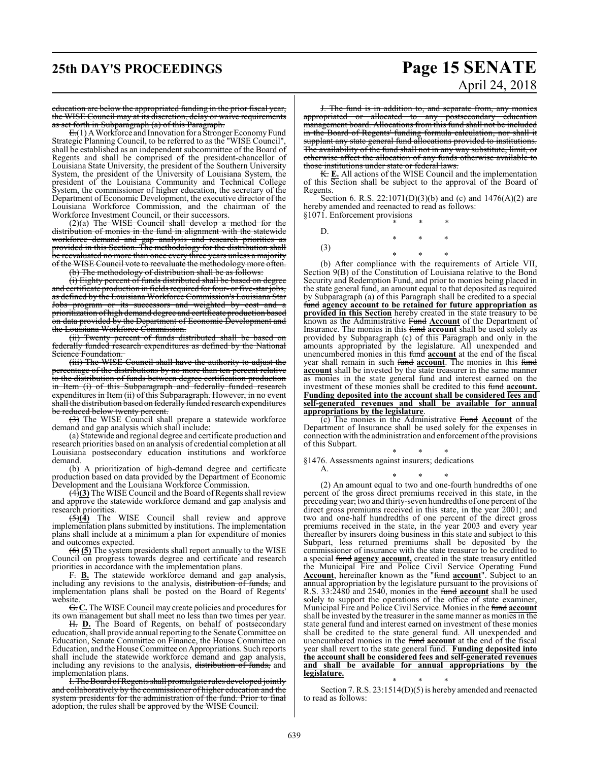## **25th DAY'S PROCEEDINGS Page 15 SENATE** April 24, 2018

education are below the appropriated funding in the prior fiscal year, the WISE Council may at its discretion, delay or waive requirements as set forth in Subparagraph (a) of this Paragraph.

<del>E.</del>(1) A Workforce and Innovation for a Stronger Economy Fund Strategic Planning Council, to be referred to as the "WISE Council", shall be established as an independent subcommittee of the Board of Regents and shall be comprised of the president-chancellor of Louisiana State University, the president of the Southern University System, the president of the University of Louisiana System, the president of the Louisiana Community and Technical College System, the commissioner of higher education, the secretary of the Department of Economic Development, the executive director of the Louisiana Workforce Commission, and the chairman of the Workforce Investment Council, or their successors.

 $(2)(a)$  The WISE Council shall develop a method for the distribution of monies in the fund in alignment with the statewide workforce demand and gap analysis and research priorities as provided in this Section. The methodology for the distribution shall be reevaluated no more than once every three years unless a majority of the WISE Council vote to reevaluate the methodology more often.

(b) The methodology of distribution shall be as follows:

(i) Eighty percent of funds distributed shall be based on degree and certificate production in fields required for four- or five-star jobs, as defined by the Louisiana Workforce Commission's Louisiana Star<br>Johs program or its successors and weighted by cost and a program or its successors and weighted by cost and a prioritization of high demand degree and certificate production based on data provided by the Department of Economic Development and the Louisiana Workforce Commission.

(ii) Twenty percent of funds distributed shall be based on federally funded research expenditures as defined by the National Science Foundation.

(iii) The WISE Council shall have the authority to adjust the percentage of the distributions by no more than ten percent relative to the distribution of funds between degree certification production in Item (i) of this Subparagraph and federally funded research expenditures in Item (ii) of this Subparagraph. However, in no event shall the distribution based on federally funded research expenditures be reduced below twenty percent.

(3) The WISE Council shall prepare a statewide workforce demand and gap analysis which shall include:

(a) Statewide and regional degree and certificate production and research priorities based on an analysis of credential completion at all Louisiana postsecondary education institutions and workforce demand.

(b) A prioritization of high-demand degree and certificate production based on data provided by the Department of Economic Development and the Louisiana Workforce Commission.

(4)**(3)** The WISE Council and the Board of Regents shall review and approve the statewide workforce demand and gap analysis and research priorities.

(5)**(4)** The WISE Council shall review and approve implementation plans submitted by institutions. The implementation plans shall include at a minimum a plan for expenditure of monies and outcomes expected.

(6) **(5)** The system presidents shall report annually to the WISE Council on progress towards degree and certificate and research priorities in accordance with the implementation plans.

F. **B.** The statewide workforce demand and gap analysis, including any revisions to the analysis, distribution of funds, and implementation plans shall be posted on the Board of Regents' website.

G. **C.** The WISE Council may create policies and procedures for its own management but shall meet no less than two times per year.

H. **D.** The Board of Regents, on behalf of postsecondary education, shall provide annual reporting to the Senate Committee on Education, Senate Committee on Finance, the House Committee on Education, and the House Committee onAppropriations. Such reports shall include the statewide workforce demand and gap analysis, including any revisions to the analysis, distribution of funds, and implementation plans.

I. The Board of Regents shall promulgate rules developed jointly and collaboratively by the commissioner of higher education and the system presidents for the administration of the fund. Prior to final adoption, the rules shall be approved by the WISE Council.

J. The fund is in addition to, and separate from, any monies appropriated or allocated to any postsecondary education management board. Allocations from this fund shall not be included in the Board of Regents' funding formula calculation, nor shall it supplant any state general fund allocations provided to institutions. The availability of the fund shall not in any way substitute, limit, or otherwise affect the allocation of any funds otherwise available to those institutions under state or federal laws.

K. **E.** All actions of the WISE Council and the implementation of this Section shall be subject to the approval of the Board of Regents.

Section 6. R.S. 22:1071(D)(3)(b) and (c) and 1476(A)(2) are hereby amended and reenacted to read as follows:

§1071. Enforcement provisions

*\* \* \** D. \* \* \* (3)

\* \* \*

(b) After compliance with the requirements of Article VII, Section 9(B) of the Constitution of Louisiana relative to the Bond Security and Redemption Fund, and prior to monies being placed in the state general fund, an amount equal to that deposited as required by Subparagraph (a) of this Paragraph shall be credited to a special fund **agency account to be retained for future appropriation as provided in this Section** hereby created in the state treasury to be known as the Administrative Fund **Account** of the Department of Insurance. The monies in this fund **account** shall be used solely as provided by Subparagraph (c) of this Paragraph and only in the amounts appropriated by the legislature. All unexpended and unencumbered monies in this fund **account** at the end of the fiscal year shall remain in such fund **account**. The monies in this fund **account** shall be invested by the state treasurer in the same manner as monies in the state general fund and interest earned on the investment of these monies shall be credited to this fund **account. Funding deposited into the account shall be considered fees and self-generated revenues and shall be available for annual appropriations by the legislature**.

(c) The monies in the Administrative Fund **Account** of the Department of Insurance shall be used solely for the expenses in connection with the administration and enforcement ofthe provisions of this Subpart.

\* \* \* §1476. Assessments against insurers; dedications

A.

\* \* \*

(2) An amount equal to two and one-fourth hundredths of one percent of the gross direct premiums received in this state, in the preceding year; two and thirty-seven hundredths of one percent of the direct gross premiums received in this state, in the year 2001; and two and one-half hundredths of one percent of the direct gross premiums received in the state, in the year 2003 and every year thereafter by insurers doing business in this state and subject to this Subpart, less returned premiums shall be deposited by the commissioner of insurance with the state treasurer to be credited to a special fund **agency account,** created in the state treasury entitled the Municipal Fire and Police Civil Service Operating Fund **Account**, hereinafter known as the "fund **account**". Subject to an annual appropriation by the legislature pursuant to the provisions of R.S. 33:2480 and 2540, monies in the fund **account** shall be used solely to support the operations of the office of state examiner, Municipal Fire and Police Civil Service. Monies in the fund **account** shall be invested by the treasurer in the same manner as monies in the state general fund and interest earned on investment of these monies shall be credited to the state general fund. All unexpended and unencumbered monies in the fund **account** at the end of the fiscal year shall revert to the state general fund. **Funding deposited into the account shall be considered fees and self-generated revenues and shall be available for annual appropriations by the legislature.**

\* \* \* Section 7. R.S. 23:1514(D)(5) is hereby amended and reenacted to read as follows: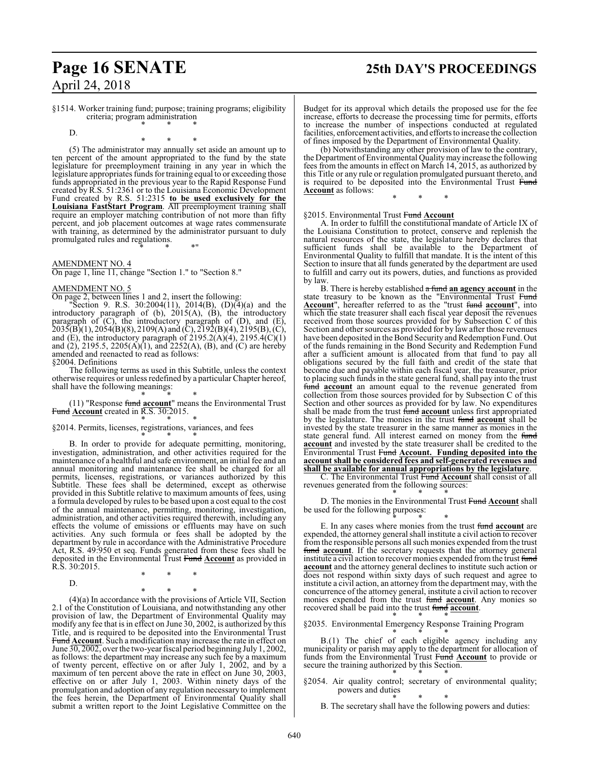## **Page 16 SENATE 25th DAY'S PROCEEDINGS**

§1514. Worker training fund; purpose; training programs; eligibility criteria; program administration \* \* \*

D.

\* \* \*

(5) The administrator may annually set aside an amount up to ten percent of the amount appropriated to the fund by the state legislature for preemployment training in any year in which the legislature appropriates funds fortraining equal to or exceeding those funds appropriated in the previous year to the Rapid Response Fund created by R.S. 51:2361 or to the Louisiana Economic Development Fund created by R.S. 51:2315 **to be used exclusively for the Louisiana FastStart Program**. All preemployment training shall require an employer matching contribution of not more than fifty percent, and job placement outcomes at wage rates commensurate with training, as determined by the administrator pursuant to duly promulgated rules and regulations.

\* \* \*"

AMENDMENT NO. 4

On page 1, line 11, change "Section 1." to "Section 8."

#### AMENDMENT NO. 5

On page 2, between lines 1 and 2, insert the following:

"Section 9. R.S. 30:2004(11), 2014(B),  $(D)(4)(a)$  and the introductory paragraph of (b), 2015(A), (B), the introductory paragraph of (C), the introductory paragraph of (D), and (E),  $2035(B)(1), 2054(B)(8), 2109(A)$  and  $(C), 2192(B)(4), 2195(B), (C),$ and  $(E)$ , the introductory paragraph of 2195.2(A)(4), 2195.4(C)(1) and (2),  $2195.5$ ,  $2205(A)(1)$ , and  $2252(A)$ , (B), and (C) are hereby amended and reenacted to read as follows: §2004. Definitions

The following terms as used in this Subtitle, unless the context otherwise requires or unless redefined by a particular Chapter hereof, shall have the following meanings:

\* \* \* (11) "Response fund **account**" means the Environmental Trust Fund **Account** created in R.S. 30:2015.

\* \* \* §2014. Permits, licenses, registrations, variances, and fees

\* \* \* B. In order to provide for adequate permitting, monitoring, investigation, administration, and other activities required for the maintenance of a healthful and safe environment, an initial fee and an annual monitoring and maintenance fee shall be charged for all permits, licenses, registrations, or variances authorized by this Subtitle. These fees shall be determined, except as otherwise provided in this Subtitle relative to maximum amounts of fees, using a formula developed by rules to be based upon a cost equal to the cost of the annual maintenance, permitting, monitoring, investigation, administration, and other activities required therewith, including any effects the volume of emissions or effluents may have on such activities. Any such formula or fees shall be adopted by the department by rule in accordance with the Administrative Procedure Act, R.S. 49:950 et seq. Funds generated from these fees shall be deposited in the Environmental Trust Fund **Account** as provided in R.S. 30:2015. \* \* \*

D.

\* \* \*

(4)(a) In accordance with the provisions of Article VII, Section 2.1 of the Constitution of Louisiana, and notwithstanding any other provision of law, the Department of Environmental Quality may modify any fee that is in effect on June 30, 2002, is authorized by this Title, and is required to be deposited into the Environmental Trust Fund **Account**. Such a modification may increase the rate in effect on June 30, 2002, over the two-year fiscal period beginning July 1, 2002, as follows: the department may increase any such fee by a maximum of twenty percent, effective on or after July 1, 2002, and by a maximum of ten percent above the rate in effect on June 30, 2003, effective on or after July 1, 2003. Within ninety days of the promulgation and adoption of any regulation necessary to implement the fees herein, the Department of Environmental Quality shall submit a written report to the Joint Legislative Committee on the Budget for its approval which details the proposed use for the fee increase, efforts to decrease the processing time for permits, efforts to increase the number of inspections conducted at regulated facilities, enforcement activities, and efforts to increase the collection of fines imposed by the Department of Environmental Quality.

(b) Notwithstanding any other provision of law to the contrary, the Department ofEnvironmental Qualitymay increase the following fees from the amounts in effect on March 14, 2015, as authorized by this Title or any rule or regulation promulgated pursuant thereto, and is required to be deposited into the Environmental Trust Fund **Account** as follows:

\* \* \*

#### §2015. Environmental Trust Fund **Account**

A. In order to fulfill the constitutional mandate of Article IX of the Louisiana Constitution to protect, conserve and replenish the natural resources of the state, the legislature hereby declares that sufficient funds shall be available to the Department of Environmental Quality to fulfill that mandate. It is the intent of this Section to insure that all funds generated by the department are used to fulfill and carry out its powers, duties, and functions as provided by law.

B. There is hereby established a fund **an agency account** in the state treasury to be known as the "Environmental Trust Fund **Account**", hereafter referred to as the "trust fund **account**", into which the state treasurer shall each fiscal year deposit the revenues received from those sources provided for by Subsection C of this Section and other sources as provided for by law after those revenues have been deposited in the Bond Security and Redemption Fund. Out of the funds remaining in the Bond Security and Redemption Fund after a sufficient amount is allocated from that fund to pay all obligations secured by the full faith and credit of the state that become due and payable within each fiscal year, the treasurer, prior to placing such funds in the state general fund, shall pay into the trust fund **account** an amount equal to the revenue generated from collection from those sources provided for by Subsection C of this Section and other sources as provided for by law. No expenditures shall be made from the trust fund **account** unless first appropriated by the legislature. The monies in the trust fund **account** shall be invested by the state treasurer in the same manner as monies in the state general fund. All interest earned on money from the fund **account** and invested by the state treasurer shall be credited to the Environmental Trust Fund **Account. Funding deposited into the account shall be considered fees and self-generated revenues and shall be available for annual appropriations by the legislature**.

C. The Environmental Trust Fund **Account** shall consist of all revenues generated from the following sources:

\* \* \* D. The monies in the Environmental Trust Fund **Account** shall be used for the following purposes:

\* \* \* E. In any cases where monies from the trust fund **account** are expended, the attorney general shall institute a civil action to recover fromthe responsible persons all such monies expended fromthe trust fund **account**. If the secretary requests that the attorney general institute a civil action to recover monies expended from the trust fund **account** and the attorney general declines to institute such action or does not respond within sixty days of such request and agree to institute a civil action, an attorney from the department may, with the concurrence of the attorney general, institute a civil action to recover monies expended from the trust fund **account**. Any monies so recovered shall be paid into the trust fund **account**.

#### \* \* \* §2035. Environmental Emergency Response Training Program

\* \* \* B.(1) The chief of each eligible agency including any municipality or parish may apply to the department for allocation of funds from the Environmental Trust Fund **Account** to provide or secure the training authorized by this Section. \* \* \*

- §2054. Air quality control; secretary of environmental quality; powers and duties
	- \* \* \* B. The secretary shall have the following powers and duties: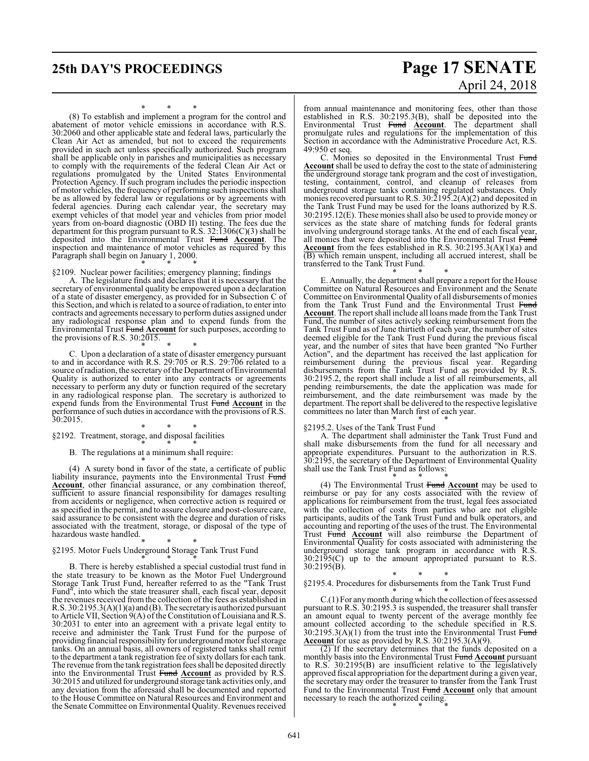## **25th DAY'S PROCEEDINGS Page 17 SENATE**

April 24, 2018

\* \* \*

(8) To establish and implement a program for the control and abatement of motor vehicle emissions in accordance with R.S. 30:2060 and other applicable state and federal laws, particularly the Clean Air Act as amended, but not to exceed the requirements provided in such act unless specifically authorized. Such program shall be applicable only in parishes and municipalities as necessary to comply with the requirements of the federal Clean Air Act or regulations promulgated by the United States Environmental Protection Agency. If such program includes the periodic inspection of motor vehicles, the frequency of performing such inspections shall be as allowed by federal law or regulations or by agreements with federal agencies. During each calendar year, the secretary may exempt vehicles of that model year and vehicles from prior model years from on-board diagnostic (OBD II) testing. The fees due the department for this program pursuant to R.S. 32:1306(C)(3) shall be deposited into the Environmental Trust Fund **Account**. The inspection and maintenance of motor vehicles as required by this Paragraph shall begin on January 1, 2000. \* \* \*

§2109. Nuclear power facilities; emergency planning; findings

A. The legislature finds and declares that it is necessary that the secretary of environmental quality be empowered upon a declaration of a state of disaster emergency, as provided for in Subsection C of this Section, and which is related to a source ofradiation, to enter into contracts and agreements necessary to perform duties assigned under any radiological response plan and to expend funds from the Environmental Trust Fund **Account** for such purposes, according to the provisions of R.S. 30:2015.

\* \* \* C. Upon a declaration of a state of disaster emergency pursuant to and in accordance with R.S. 29:705 or R.S. 29:706 related to a source of radiation, the secretary of the Department of Environmental Quality is authorized to enter into any contracts or agreements necessary to perform any duty or function required of the secretary in any radiological response plan. The secretary is authorized to expend funds from the Environmental Trust Fund Account in the expend funds from the Environmental Trust Fund **Account** in the performance of such duties in accordance with the provisions of R.S. 30:2015.

\* \* \* §2192. Treatment, storage, and disposal facilities

\* \* \* B. The regulations at a minimum shall require:

\* \* \* (4) A surety bond in favor of the state, a certificate of public liability insurance, payments into the Environmental Trust Fund **Account**, other financial assurance, or any combination thereof, sufficient to assure financial responsibility for damages resulting from accidents or negligence, when corrective action is required or as specified in the permit, and to assure closure and post-closure care, said assurance to be consistent with the degree and duration of risks associated with the treatment, storage, or disposal of the type of hazardous waste handled.

#### \* \* \* §2195. Motor Fuels Underground Storage Tank Trust Fund

\* \* \* B. There is hereby established a special custodial trust fund in the state treasury to be known as the Motor Fuel Underground Storage Tank Trust Fund, hereafter referred to as the "Tank Trust Fund", into which the state treasurer shall, each fiscal year, deposit the revenues received from the collection of the fees as established in R.S. 30:2195.3(A)(1)(a) and (B). The secretaryis authorized pursuant to Article VII, Section 9(A) of the Constitution of Louisiana and R.S. 30:2031 to enter into an agreement with a private legal entity to receive and administer the Tank Trust Fund for the purpose of providing financial responsibility for underground motor fuel storage tanks. On an annual basis, all owners of registered tanks shall remit to the department a tank registration fee ofsixty dollars for each tank. The revenue from the tank registration fees shall be deposited directly into the Environmental Trust Fund **Account** as provided by R.S. 30:2015 and utilized for underground storage tank activities only, and any deviation from the aforesaid shall be documented and reported to the House Committee on Natural Resources and Environment and the Senate Committee on Environmental Quality. Revenues received

from annual maintenance and monitoring fees, other than those established in R.S. 30:2195.3(B), shall be deposited into the Environmental Trust Fund **Account**. The department shall promulgate rules and regulations for the implementation of this Section in accordance with the Administrative Procedure Act, R.S. 49:950 et seq.

C. Monies so deposited in the Environmental Trust Fund **Account** shall be used to defray the cost to the state of administering the underground storage tank program and the cost of investigation, testing, containment, control, and cleanup of releases from underground storage tanks containing regulated substances. Only monies recovered pursuant to R.S. 30:2195.2(A)(2) and deposited in the Tank Trust Fund may be used for the loans authorized by R.S. 30:2195.12(E). These monies shall also be used to provide money or services as the state share of matching funds for federal grants involving underground storage tanks. At the end of each fiscal year, all monies that were deposited into the Environmental Trust Fund **Account** from the fees established in R.S. 30:2195.3(A)(1)(a) and (B) which remain unspent, including all accrued interest, shall be transferred to the Tank Trust Fund.

\* \* \* E. Annually, the department shall prepare a report for the House Committee on Natural Resources and Environment and the Senate Committee on Environmental Quality of all disbursements of monies from the Tank Trust Fund and the Environmental Trust Fund **Account**. The report shall include all loans made fromthe Tank Trust Fund, the number of sites actively seeking reimbursement from the Tank Trust Fund as of June thirtieth of each year, the number of sites deemed eligible for the Tank Trust Fund during the previous fiscal year, and the number of sites that have been granted "No Further Action", and the department has received the last application for reimbursement during the previous fiscal year. Regarding disbursements from the Tank Trust Fund as provided by R.S. 30:2195.2, the report shall include a list of all reimbursements, all pending reimbursements, the date the application was made for reimbursement, and the date reimbursement was made by the department. The report shall be delivered to the respective legislative committees no later than March first of each year.

\* \* \* §2195.2. Uses of the Tank Trust Fund

A. The department shall administer the Tank Trust Fund and shall make disbursements from the fund for all necessary and appropriate expenditures. Pursuant to the authorization in R.S. 30:2195, the secretary of the Department of Environmental Quality shall use the Tank Trust Fund as follows:

\* \* \* (4) The Environmental Trust Fund **Account** may be used to reimburse or pay for any costs associated with the review of applications for reimbursement from the trust, legal fees associated with the collection of costs from parties who are not eligible participants, audits of the Tank Trust Fund and bulk operators, and accounting and reporting of the uses of the trust. The Environmental Trust Fund **Account** will also reimburse the Department of Environmental Quality for costs associated with administering the underground storage tank program in accordance with R.S.  $30:21\overline{95}(C)$  up to the amount appropriated pursuant to R.S. 30:2195(B).

\* \* \* §2195.4. Procedures for disbursements from the Tank Trust Fund

\* \* \* C.(1) For anymonth during which the collection offees assessed pursuant to R.S. 30:2195.3 is suspended, the treasurer shall transfer an amount equal to twenty percent of the average monthly fee amount collected according to the schedule specified in R.S.  $30:2195.3(A)(1)$  from the trust into the Environmental Trust Fund **Account** for use as provided by R.S. 30:2195.3(A)(9).

 $\overline{(2)}$  If the secretary determines that the funds deposited on a monthly basis into the Environmental Trust Fund **Account** pursuant to R.S.  $30:2195(B)$  are insufficient relative to the legislatively approved fiscal appropriation for the department during a given year, the secretary may order the treasurer to transfer from the Tank Trust Fund to the Environmental Trust Fund **Account** only that amount necessary to reach the authorized ceiling. \* \* \*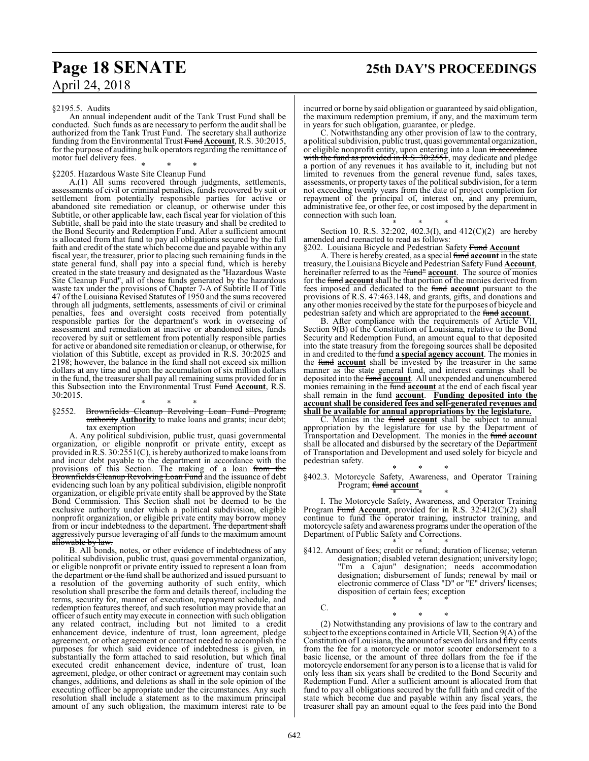## **Page 18 SENATE 25th DAY'S PROCEEDINGS**

§2195.5. Audits

An annual independent audit of the Tank Trust Fund shall be conducted. Such funds as are necessary to perform the audit shall be authorized from the Tank Trust Fund. The secretary shall authorize funding from the Environmental Trust Fund **Account**, R.S. 30:2015, for the purpose of auditing bulk operators regarding the remittance of motor fuel delivery fees.

\* \* \* §2205. Hazardous Waste Site Cleanup Fund

A.(1) All sums recovered through judgments, settlements, assessments of civil or criminal penalties, funds recovered by suit or settlement from potentially responsible parties for active or abandoned site remediation or cleanup, or otherwise under this Subtitle, or other applicable law, each fiscal year for violation of this Subtitle, shall be paid into the state treasury and shall be credited to the Bond Security and Redemption Fund. After a sufficient amount is allocated from that fund to pay all obligations secured by the full faith and credit of the state which become due and payable within any fiscal year, the treasurer, prior to placing such remaining funds in the state general fund, shall pay into a special fund, which is hereby created in the state treasury and designated as the "Hazardous Waste Site Cleanup Fund", all of those funds generated by the hazardous waste tax under the provisions of Chapter 7-A of Subtitle II of Title 47 of the Louisiana Revised Statutes of 1950 and the sums recovered through all judgments, settlements, assessments of civil or criminal penalties, fees and oversight costs received from potentially responsible parties for the department's work in overseeing of assessment and remediation at inactive or abandoned sites, funds recovered by suit or settlement from potentially responsible parties for active or abandoned site remediation or cleanup, or otherwise, for violation of this Subtitle, except as provided in R.S. 30:2025 and 2198; however, the balance in the fund shall not exceed six million dollars at any time and upon the accumulation of six million dollars in the fund, the treasurer shall pay all remaining sums provided for in this Subsection into the Environmental Trust Fund **Account**, R.S. 30:2015.

#### \* \* \* §2552. Brownfields Cleanup Revolving Loan Fund Program; **authority Authority** to make loans and grants; incur debt; tax exemption

A. Any political subdivision, public trust, quasi governmental organization, or eligible nonprofit or private entity, except as provided inR.S. 30:2551(C), is hereby authorized tomake loans from and incur debt payable to the department in accordance with the provisions of this Section. The making of a loan from the Brownfields Cleanup Revolving Loan Fund and the issuance of debt evidencing such loan by any political subdivision, eligible nonprofit organization, or eligible private entity shall be approved by the State Bond Commission. This Section shall not be deemed to be the exclusive authority under which a political subdivision, eligible nonprofit organization, or eligible private entity may borrow money from or incur indebtedness to the department. The department shall aggressively pursue leveraging of all funds to the maximum amount a<del>llowable by law.</del>

B. All bonds, notes, or other evidence of indebtedness of any political subdivision, public trust, quasi governmental organization, or eligible nonprofit or private entity issued to represent a loan from the department or the fund shall be authorized and issued pursuant to a resolution of the governing authority of such entity, which resolution shall prescribe the form and details thereof, including the terms, security for, manner of execution, repayment schedule, and redemption features thereof, and such resolution may provide that an officer of such entity may execute in connection with such obligation any related contract, including but not limited to a credit enhancement device, indenture of trust, loan agreement, pledge agreement, or other agreement or contract needed to accomplish the purposes for which said evidence of indebtedness is given, in substantially the form attached to said resolution, but which final executed credit enhancement device, indenture of trust, loan agreement, pledge, or other contract or agreement may contain such changes, additions, and deletions as shall in the sole opinion of the executing officer be appropriate under the circumstances. Any such resolution shall include a statement as to the maximum principal amount of any such obligation, the maximum interest rate to be

incurred or borne by said obligation or guaranteed by said obligation, the maximum redemption premium, if any, and the maximum term in years for such obligation, guarantee, or pledge.

C. Notwithstanding any other provision of law to the contrary, a political subdivision, public trust, quasi governmental organization, or eligible nonprofit entity, upon entering into a loan in accordance with the fund as provided in R.S. 30:2551, may dedicate and pledge a portion of any revenues it has available to it, including but not limited to revenues from the general revenue fund, sales taxes, assessments, or property taxes of the political subdivision, for a term not exceeding twenty years from the date of project completion for repayment of the principal of, interest on, and any premium, administrative fee, or other fee, or cost imposed by the department in connection with such loan.

\* \* \*

Section 10. R.S. 32:202, 402.3(I), and 412(C)(2) are hereby amended and reenacted to read as follows:

§202. Louisiana Bicycle and Pedestrian Safety Fund **Account**

A. There is hereby created, as a special fund **account** in the state treasury, the Louisiana Bicycle and Pedestrian Safety Fund **Account**, hereinafter referred to as the "fund" **account**. The source of monies for the *fund account* shall be that portion of the monies derived from fees imposed and dedicated to the fund **account** pursuant to the provisions of R.S. 47:463.148, and grants, gifts, and donations and any other monies received by the state for the purposes of bicycle and pedestrian safety and which are appropriated to the fund **account**.

B. After compliance with the requirements of Article VII, Section 9(B) of the Constitution of Louisiana, relative to the Bond Security and Redemption Fund, an amount equal to that deposited into the state treasury from the foregoing sources shall be deposited in and credited to the fund **a special agency account**. The monies in the fund **account** shall be invested by the treasurer in the same manner as the state general fund, and interest earnings shall be deposited into the fund **account**. All unexpended and unencumbered monies remaining in the fund **account** at the end of each fiscal year shall remain in the fund **account**. **Funding deposited into the account shall be considered fees and self-generated revenues and shall be available for annual appropriations by the legislature.**

C. Monies in the fund **account** shall be subject to annual appropriation by the legislature for use by the Department of Transportation and Development. The monies in the fund **account** shall be allocated and disbursed by the secretary of the Department of Transportation and Development and used solely for bicycle and pedestrian safety.

\* \* \* §402.3. Motorcycle Safety, Awareness, and Operator Training Program; fund **account** 

\* \* \* I. The Motorcycle Safety, Awareness, and Operator Training Program Fund **Account**, provided for in R.S. 32:412(C)(2) shall continue to fund the operator training, instructor training, and motorcycle safety and awareness programs under the operation ofthe Department of Public Safety and Corrections. \* \* \*

§412. Amount of fees; credit or refund; duration of license; veteran designation; disabled veteran designation; university logo; "I'm a Cajun" designation; needs accommodation designation; disbursement of funds; renewal by mail or electronic commerce of Class "D" or "E" drivers' licenses; disposition of certain fees; exception

\* \* \*

\* \* \* (2) Notwithstanding any provisions of law to the contrary and subject to the exceptions contained in Article VII, Section 9(A) of the Constitution of Louisiana, the amount of seven dollars and fifty cents from the fee for a motorcycle or motor scooter endorsement to a basic license, or the amount of three dollars from the fee if the motorcycle endorsement for any person is to a license that is valid for only less than six years shall be credited to the Bond Security and Redemption Fund. After a sufficient amount is allocated from that fund to pay all obligations secured by the full faith and credit of the state which become due and payable within any fiscal years, the treasurer shall pay an amount equal to the fees paid into the Bond

 $\mathcal{C}$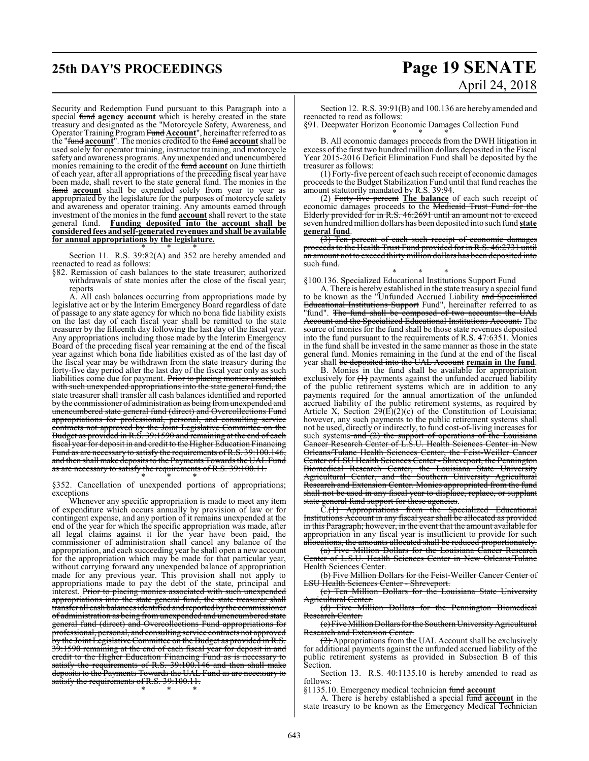Security and Redemption Fund pursuant to this Paragraph into a special fund **agency account** which is hereby created in the state treasury and designated as the "Motorcycle Safety, Awareness, and Operator Training ProgramFund **Account**", hereinafter referred to as the "fund **account**". The monies credited to the fund **account**shall be used solely for operator training, instructor training, and motorcycle safety and awareness programs. Any unexpended and unencumbered monies remaining to the credit of the fund **account** on June thirtieth of each year, after all appropriations of the preceding fiscal year have been made, shall revert to the state general fund. The monies in the fund **account** shall be expended solely from year to year as appropriated by the legislature for the purposes of motorcycle safety and awareness and operator training. Any amounts earned through investment of the monies in the fund **account** shall revert to the state general fund. **Funding deposited into the account shall be consideredfees and self-generated revenues and shall be available for annual appropriations by the legislature.**

\* \* \* Section 11. R.S. 39:82(A) and 352 are hereby amended and reenacted to read as follows:

§82. Remission of cash balances to the state treasurer; authorized withdrawals of state monies after the close of the fiscal year; reports

A. All cash balances occurring from appropriations made by legislative act or by the Interim Emergency Board regardless of date of passage to any state agency for which no bona fide liability exists on the last day of each fiscal year shall be remitted to the state treasurer by the fifteenth day following the last day of the fiscal year. Any appropriations including those made by the Interim Emergency Board of the preceding fiscal year remaining at the end of the fiscal year against which bona fide liabilities existed as of the last day of the fiscal year may be withdrawn from the state treasury during the forty-five day period after the last day of the fiscal year only as such liabilities come due for payment. Prior to placing monies associated with such unexpended appropriations into the state general fund, the state treasurer shall transfer all cash balances identified and reported by the commissioner of administration as being fromunexpended and unencumbered state general fund (direct) and Overcollections Fund appropriations for professional, personal, and consulting service contracts not approved by the Joint Legislative Committee on the Budget as provided in R.S. 39:1590 and remaining at the end of each fiscal year for deposit in and credit to the Higher Education Financing Fund as are necessary to satisfy the requirements of R.S. 39:100.146, and then shall make deposits to the Payments Towards the UAL Fund as are necessary to satisfy the requirements of R.S. 39:100.11.

\* \* \* §352. Cancellation of unexpended portions of appropriations; exceptions

Whenever any specific appropriation is made to meet any item of expenditure which occurs annually by provision of law or for contingent expense, and any portion of it remains unexpended at the end of the year for which the specific appropriation was made, after all legal claims against it for the year have been paid, the commissioner of administration shall cancel any balance of the appropriation, and each succeeding year he shall open a new account for the appropriation which may be made for that particular year, without carrying forward any unexpended balance of appropriation made for any previous year. This provision shall not apply to appropriations made to pay the debt of the state, principal and interest. Prior to placing monies associated with such unexpended appropriations into the state general fund, the state treasurer shall transfer all cash balances identified and reported by the commissioner of administration as being from unexpended and unencumbered state general fund (direct) and Overcollections Fund appropriations for professional, personal, and consulting service contracts not approved by the Joint Legislative Committee on the Budget as provided in R.S. 39:1590 remaining at the end of each fiscal year for deposit in and credit to the Higher Education Financing Fund as is necessary to satisfy the requirements of R.S. 39:100.146 and then shall make deposits to the Payments Towards the UAL Fund as are necessary to satisfy the requirements of R.S. 39:100.11. \* \* \*

## **25th DAY'S PROCEEDINGS Page 19 SENATE** April 24, 2018

Section 12. R.S. 39:91(B) and 100.136 are hereby amended and reenacted to read as follows:

§91. Deepwater Horizon Economic Damages Collection Fund \* \* \*

B. All economic damages proceeds from the DWH litigation in excess of the first two hundred million dollars deposited in the Fiscal Year 2015-2016 Deficit Elimination Fund shall be deposited by the treasurer as follows:

(1) Forty-five percent of each such receipt of economic damages proceeds to the Budget Stabilization Fund until that fund reaches the amount statutorily mandated by R.S. 39:94.

(2) Forty-five percent **The balance** of each such receipt of economic damages proceeds to the Medicaid Trust Fund for the Elderly provided for in R.S. 46:2691 until an amount not to exceed seven hundredmillion dollars has been deposited into such fund **state general fund**.

(3) Ten percent of each such receipt of economic damages proceeds to the Health Trust Fund provided for in R.S. 46:2731 until an amount not to exceed thirtymillion dollars has been deposited into such fund.

\* \* \* §100.136. Specialized Educational Institutions Support Fund

A. There is hereby established in the state treasury a special fund to be known as the "Unfunded Accrued Liability and Specialized Educational Institutions Support Fund", hereinafter referred to as "fund". The fund shall be composed of two accounts: the UAL Account and the Specialized Educational Institutions Account. The source of monies for the fund shall be those state revenues deposited into the fund pursuant to the requirements of R.S. 47:6351. Monies in the fund shall be invested in the same manner as those in the state general fund. Monies remaining in the fund at the end of the fiscal year shall be deposited into the UAL Account **remain in the fund**.

B. Monies in the fund shall be available for appropriation exclusively for  $(1)$  payments against the unfunded accrued liability of the public retirement systems which are in addition to any payments required for the annual amortization of the unfunded accrued liability of the public retirement systems, as required by Article X, Section 29(E)(2)(c) of the Constitution of Louisiana; however, any such payments to the public retirement systems shall not be used, directly or indirectly, to fund cost-of-living increases for such systems and (2) the support of operations of the Louisiana Cancer Research Center of L.S.U. Health Sciences Center in New Orleans/Tulane Health Sciences Center, the Feist-Weiller Cancer Center of LSU Health Sciences Center - Shreveport, the Pennington Biomedical Research Center, the Louisiana State University Agricultural Center, and the Southern University Agricultural Research and Extension Center. Monies appropriated from the fund shall not be used in any fiscal year to displace, replace, or supplant e general fund support for these agencies.

C.(1) Appropriations from the Specialized Educational Institutions Account in any fiscal year shall be allocated as provided in this Paragraph; however, in the event that the amount available for appropriation in any fiscal year is insufficient to provide for such allocations, the amounts allocated shall be reduced proportionately.

(a) Five Million Dollars for the Louisiana Cancer Research Center of L.S.U. Health Sciences Center in New Orleans/Tulane Health Sciences Center.

(b) Five Million Dollars for the Feist-Weiller Cancer Center of **LSU** Health Sciences Center - Shreveport.

(c) Ten Million Dollars for the Louisiana State University Agricultural Center.

(d) Five Million Dollars for the Pennington Biomedical Research Center.

(e) Five MillionDollars for the SouthernUniversityAgricultural Research and Extension Center.

(2) Appropriations from the UAL Account shall be exclusively for additional payments against the unfunded accrued liability of the public retirement systems as provided in Subsection B of this Section.

Section 13. R.S. 40:1135.10 is hereby amended to read as follows:

§1135.10. Emergency medical technician fund **account**

A. There is hereby established a special fund **account** in the state treasury to be known as the Emergency Medical Technician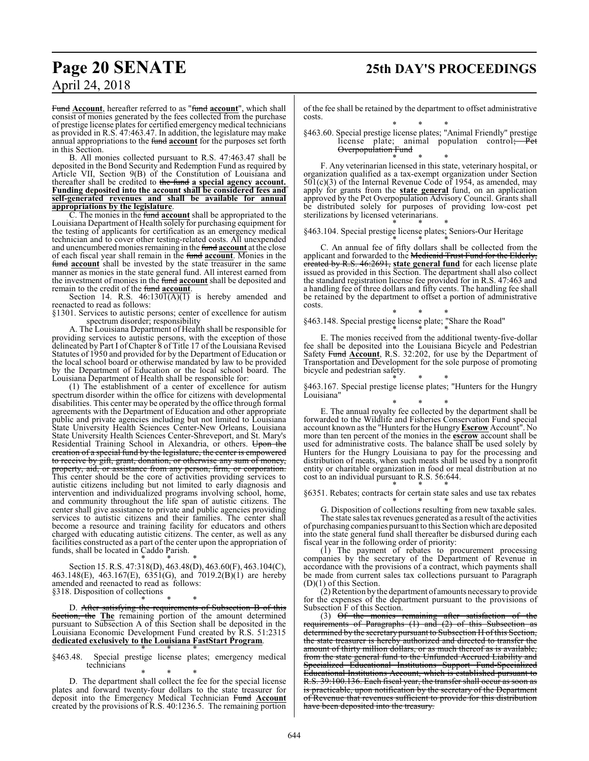Fund **Account**, hereafter referred to as "fund **account**", which shall consist of monies generated by the fees collected from the purchase of prestige license plates for certified emergency medical technicians as provided in R.S. 47:463.47. In addition, the legislature may make

annual appropriations to the fund **account** for the purposes set forth in this Section.

B. All monies collected pursuant to R.S. 47:463.47 shall be deposited in the Bond Security and Redemption Fund as required by Article VII, Section 9(B) of the Constitution of Louisiana and thereafter shall be credited to the fund **a special agency account. Funding deposited into the account shall be considered fees and self-generated revenues and shall be available for annual appropriations by the legislature**.

C. The monies in the fund **account** shall be appropriated to the Louisiana Department of Health solely for purchasing equipment for the testing of applicants for certification as an emergency medical technician and to cover other testing-related costs. All unexpended and unencumbered monies remaining in the fund **account** at the close of each fiscal year shall remain in the fund **account**. Monies in the fund account shall be invested by the state treasurer in the same manner as monies in the state general fund. All interest earned from the investment of monies in the fund **account** shall be deposited and remain to the credit of the fund **account**.

Section 14. R.S.  $46:130\overline{1(A)(1)}$  is hereby amended and reenacted to read as follows:

§1301. Services to autistic persons; center of excellence for autism spectrum disorder; responsibility

A. The Louisiana Department of Health shall be responsible for providing services to autistic persons, with the exception of those delineated by Part I of Chapter 8 of Title 17 of the Louisiana Revised Statutes of 1950 and provided for by the Department of Education or the local school board or otherwise mandated by law to be provided by the Department of Education or the local school board. The Louisiana Department of Health shall be responsible for:

(1) The establishment of a center of excellence for autism spectrum disorder within the office for citizens with developmental disabilities. This center may be operated by the office through formal agreements with the Department of Education and other appropriate public and private agencies including but not limited to Louisiana State University Health Sciences Center-New Orleans, Louisiana State University Health Sciences Center-Shreveport, and St. Mary's Residential Training School in Alexandria, or others. Upon the creation of a special fund by the legislature, the center is empowered to receive by gift, grant, donation, or otherwise any sum of money, property, aid, or assistance from any person, firm, or corporation. ssistance from any person, firm, or corporation. This center should be the core of activities providing services to autistic citizens including but not limited to early diagnosis and intervention and individualized programs involving school, home, and community throughout the life span of autistic citizens. The center shall give assistance to private and public agencies providing services to autistic citizens and their families. The center shall become a resource and training facility for educators and others charged with educating autistic citizens. The center, as well as any facilities constructed as a part of the center upon the appropriation of funds, shall be located in Caddo Parish.

\* \* \* Section 15. R.S. 47:318(D), 463.48(D), 463.60(F), 463.104(C), 463.148(E), 463.167(E), 6351(G), and 7019.2(B)(1) are hereby amended and reenacted to read as follows: §318. Disposition of collections

\* \* \* D. After satisfying the requirements of Subsection B of this Section, the **The** remaining portion of the amount determined pursuant to Subsection A of this Section shall be deposited in the Louisiana Economic Development Fund created by R.S. 51:2315 **dedicated exclusively to the Louisiana FastStart Program**. \* \* \*

§463.48. Special prestige license plates; emergency medical technicians

\* \* \* D. The department shall collect the fee for the special license plates and forward twenty-four dollars to the state treasurer for deposit into the Emergency Medical Technician Fund **Account** created by the provisions of R.S. 40:1236.5. The remaining portion of the fee shall be retained by the department to offset administrative costs.

\* \* \* §463.60. Special prestige license plates; "Animal Friendly" prestige license plate; animal population control; Pet Overpopulation Fund

\* \* \* F. Any veterinarian licensed in this state, veterinary hospital, or organization qualified as a tax-exempt organization under Section  $501(c)(3)$  of the Internal Revenue Code of 1954, as amended, may apply for grants from the **state general** fund, on an application approved by the Pet Overpopulation Advisory Council. Grants shall be distributed solely for purposes of providing low-cost pet sterilizations by licensed veterinarians. \* \* \*

§463.104. Special prestige license plates; Seniors-Our Heritage

\* \* \* C. An annual fee of fifty dollars shall be collected from the applicant and forwarded to the Medicaid Trust Fund for the Elderly, created by R.S. 46:2691, **state general fund** for each license plate issued as provided in this Section. The department shall also collect the standard registration license fee provided for in R.S. 47:463 and a handling fee of three dollars and fifty cents. The handling fee shall be retained by the department to offset a portion of administrative costs.

\* \* \* §463.148. Special prestige license plate; "Share the Road"

\* \* \* E. The monies received from the additional twenty-five-dollar fee shall be deposited into the Louisiana Bicycle and Pedestrian Safety Fund **Account**, R.S. 32:202, for use by the Department of Transportation and Development for the sole purpose of promoting bicycle and pedestrian safety.

\* \* \* §463.167. Special prestige license plates; "Hunters for the Hungry Louisiana"

\* \* \* E. The annual royalty fee collected by the department shall be forwarded to the Wildlife and Fisheries Conservation Fund special account known as the "Hunters for the Hungry**Escrow** Account". No more than ten percent of the monies in the **escrow** account shall be used for administrative costs. The balance shall be used solely by Hunters for the Hungry Louisiana to pay for the processing and distribution of meats, when such meats shall be used by a nonprofit entity or charitable organization in food or meal distribution at no cost to an individual pursuant to R.S. 56:644.

\* \* \* §6351. Rebates; contracts for certain state sales and use tax rebates \* \* \*

G. Disposition of collections resulting from new taxable sales.

The state sales tax revenues generated as a result of the activities of purchasing companies pursuant to this Section which are deposited into the state general fund shall thereafter be disbursed during each fiscal year in the following order of priority:

(1) The payment of rebates to procurement processing companies by the secretary of the Department of Revenue in accordance with the provisions of a contract, which payments shall be made from current sales tax collections pursuant to Paragraph (D)(1) of this Section.

(2) Retention bythe department of amounts necessaryto provide for the expenses of the department pursuant to the provisions of Subsection F of this Section.

(3) Of the monies remaining after satisfaction of the requirements of Paragraphs (1) and (2) of this Subsection as determined by the secretary pursuant to Subsection H of this Section, the state treasurer is hereby authorized and directed to transfer the amount of thirty million dollars, or as much thereof as is available, from the state general fund to the Unfunded Accrued Liability and Specialized Educational Institutions Educational Institutions Account, which is established pursuant to R.S. 39:100.136. Each fiscal year, the transfer shall occur as soon as is practicable, upon notification by the secretary of the Department of Revenue that revenues sufficient to provide for this distribution have been deposited into the treasury.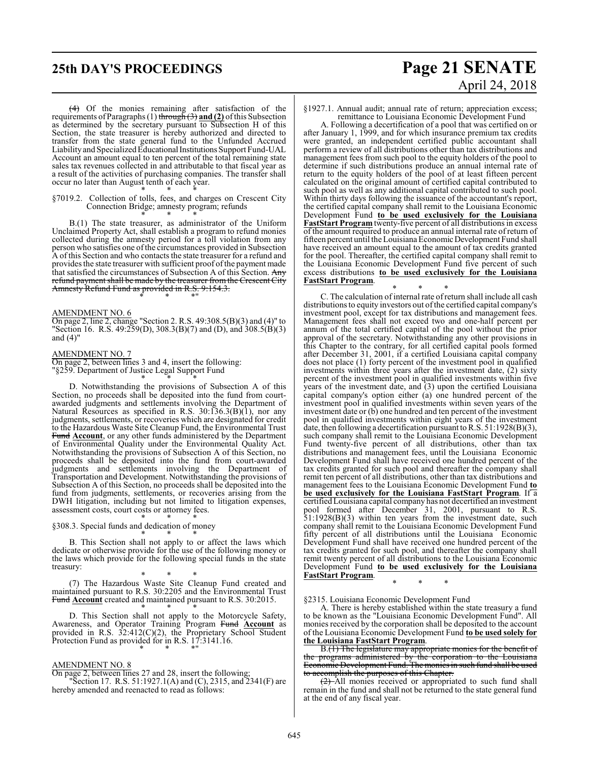## **25th DAY'S PROCEEDINGS Page 21 SENATE** April 24, 2018

(4) Of the monies remaining after satisfaction of the requirements of Paragraphs (1) through (3) **and (2)** ofthis Subsection as determined by the secretary pursuant to Subsection H of this Section, the state treasurer is hereby authorized and directed to transfer from the state general fund to the Unfunded Accrued Liability and Specialized Educational Institutions Support Fund-UAL Account an amount equal to ten percent of the total remaining state sales tax revenues collected in and attributable to that fiscal year as a result of the activities of purchasing companies. The transfer shall occur no later than August tenth of each year.

#### \* \* \* §7019.2. Collection of tolls, fees, and charges on Crescent City Connection Bridge; amnesty program; refunds

\* \* \* B.(1) The state treasurer, as administrator of the Uniform Unclaimed Property Act, shall establish a program to refund monies collected during the amnesty period for a toll violation from any person who satisfies one ofthe circumstances provided in Subsection A of this Section and who contacts the state treasurer for a refund and provides the state treasurer with sufficient proof ofthe payment made that satisfied the circumstances of Subsection A of this Section. Any refund payment shall be made by the treasurer from the Crescent City Amnesty Refund Fund as provided in R.S. 9:154.3. \* \* \*"

#### AMENDMENT NO. 6

On page 2, line 2, change "Section 2. R.S. 49:308.5(B)(3) and (4)" to "Section 16. R.S. 49:259(D), 308.3(B)(7) and (D), and 308.5(B)(3) and (4)"

#### AMENDMENT NO. 7

On page 2, between lines 3 and 4, insert the following: "§259. Department of Justice Legal Support Fund \* \* \*

D. Notwithstanding the provisions of Subsection A of this Section, no proceeds shall be deposited into the fund from courtawarded judgments and settlements involving the Department of Natural Resources as specified in R.S. 30:136.3(B)(1), nor any judgments, settlements, or recoveries which are designated for credit to the Hazardous Waste Site Cleanup Fund, the Environmental Trust Fund **Account**, or any other funds administered by the Department of Environmental Quality under the Environmental Quality Act. Notwithstanding the provisions of Subsection A of this Section, no proceeds shall be deposited into the fund from court-awarded judgments and settlements involving the Department of Transportation and Development. Notwithstanding the provisions of Subsection A of this Section, no proceeds shall be deposited into the fund from judgments, settlements, or recoveries arising from the DWH litigation, including but not limited to litigation expenses, assessment costs, court costs or attorney fees.

\* \* \* §308.3. Special funds and dedication of money

\* \* \* B. This Section shall not apply to or affect the laws which dedicate or otherwise provide for the use of the following money or the laws which provide for the following special funds in the state treasury:

\* \* \* (7) The Hazardous Waste Site Cleanup Fund created and maintained pursuant to R.S. 30:2205 and the Environmental Trust Fund **Account** created and maintained pursuant to R.S. 30:2015.

\* \* \* D. This Section shall not apply to the Motorcycle Safety, Awareness, and Operator Training Program Fund **Account** as provided in R.S. 32:412(C)(2), the Proprietary School Student Protection Fund as provided for in R.S. 17:3141.16. \* \* \*"

#### AMENDMENT NO. 8

On page 2, between lines 27 and 28, insert the following; "Section 17. R.S. 51:1927.1(A) and (C), 2315, and 2341(F) are hereby amended and reenacted to read as follows:

§1927.1. Annual audit; annual rate of return; appreciation excess; remittance to Louisiana Economic Development Fund

A. Following a decertification of a pool that was certified on or after January 1, 1999, and for which insurance premium tax credits were granted, an independent certified public accountant shall perform a review of all distributions other than tax distributions and management fees from such pool to the equity holders of the pool to determine if such distributions produce an annual internal rate of return to the equity holders of the pool of at least fifteen percent calculated on the original amount of certified capital contributed to such pool as well as any additional capital contributed to such pool. Within thirty days following the issuance of the accountant's report, the certified capital company shall remit to the Louisiana Economic Development Fund **to be used exclusively for the Louisiana FastStart Program** twenty-five percent of all distributions in excess of the amount required to produce an annual internal rate of return of fifteen percent until the Louisiana EconomicDevelopment Fund shall have received an amount equal to the amount of tax credits granted for the pool. Thereafter, the certified capital company shall remit to the Louisiana Economic Development Fund five percent of such excess distributions **to be used exclusively for the Louisiana FastStart Program**.

\* \* \* C. The calculation of internal rate ofreturn shall include all cash distributions to equity investors out of the certified capital company's investment pool, except for tax distributions and management fees. Management fees shall not exceed two and one-half percent per annum of the total certified capital of the pool without the prior approval of the secretary. Notwithstanding any other provisions in this Chapter to the contrary, for all certified capital pools formed after December 31, 2001, if a certified Louisiana capital company does not place (1) forty percent of the investment pool in qualified investments within three years after the investment date, (2) sixty percent of the investment pool in qualified investments within five years of the investment date, and (3) upon the certified Louisiana capital company's option either (a) one hundred percent of the investment pool in qualified investments within seven years of the investment date or (b) one hundred and ten percent of the investment pool in qualified investments within eight years of the investment date, then following a decertification pursuant to R.S.  $51:1928(B)(3)$ , such company shall remit to the Louisiana Economic Development Fund twenty-five percent of all distributions, other than tax distributions and management fees, until the Louisiana Economic Development Fund shall have received one hundred percent of the tax credits granted for such pool and thereafter the company shall remit ten percent of all distributions, other than tax distributions and management fees to the Louisiana Economic Development Fund **to be used exclusively for the Louisiana FastStart Program**. If a certifiedLouisiana capital company has not decertified an investment pool formed after December 31, 2001, pursuant to R.S. 51:1928(B)(3) within ten years from the investment date, such company shall remit to the Louisiana Economic Development Fund fifty percent of all distributions until the Louisiana Economic Development Fund shall have received one hundred percent of the tax credits granted for such pool, and thereafter the company shall remit twenty percent of all distributions to the Louisiana Economic Development Fund **to be used exclusively for the Louisiana FastStart Program**.

#### §2315. Louisiana Economic Development Fund

A. There is hereby established within the state treasury a fund to be known as the "Louisiana Economic Development Fund". All monies received by the corporation shall be deposited to the account of the Louisiana Economic Development Fund **to be used solely for the Louisiana FastStart Program**.

\* \* \*

B.(1) The legislature may appropriate monies for the benefit of the programs administered by the corporation to the Louisiana Economic Development Fund. The monies in such fund shall be used to accomplish the purposes of this Chapter.

(2) All monies received or appropriated to such fund shall remain in the fund and shall not be returned to the state general fund at the end of any fiscal year.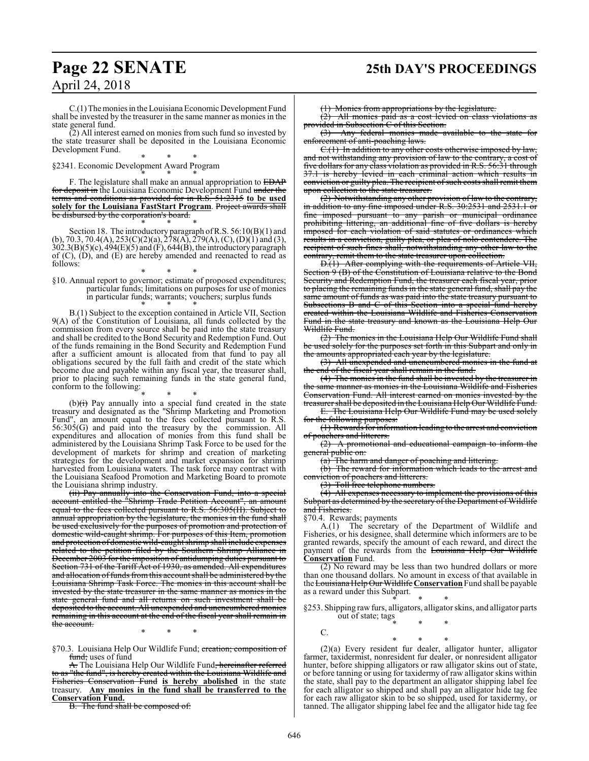C.(1)The monies in the Louisiana Economic Development Fund

shall be invested by the treasurer in the same manner as monies in the state general fund.

 $(2)$  All interest earned on monies from such fund so invested by the state treasurer shall be deposited in the Louisiana Economic Development Fund.

\* \* \* §2341. Economic Development Award Program

\* \* \* F. The legislature shall make an annual appropriation to EDAP for deposit in the Louisiana Economic Development Fund under the terms and conditions as provided for in R.S. 51:2315 **to be used solely for the Louisiana FastStart Program**. Project awards shall be disbursed by the corporation's board.

\* \* \* Section 18. The introductory paragraph ofR.S. 56:10(B)(1) and (b), 70.3, 70.4(A), 253(C)(2)(a), 278(A), 279(A), (C), (D)(1) and (3),  $302.3(B)(5)(c)$ ,  $494(E)(5)$  and  $(F)$ ,  $644(B)$ , the introductory paragraph of  $(C)$ ,  $(D)$ , and  $(E)$  are hereby amended and reenacted to read as follows:

\* \* \* §10. Annual report to governor; estimate of proposed expenditures; particular funds; limitations on purposes for use of monies in particular funds; warrants; vouchers; surplus funds \* \* \*

B.(1) Subject to the exception contained in Article VII, Section 9(A) of the Constitution of Louisiana, all funds collected by the commission from every source shall be paid into the state treasury and shall be credited to the Bond Security and Redemption Fund. Out of the funds remaining in the Bond Security and Redemption Fund after a sufficient amount is allocated from that fund to pay all obligations secured by the full faith and credit of the state which become due and payable within any fiscal year, the treasurer shall, prior to placing such remaining funds in the state general fund, conform to the following:

\* \* \*  $(b)(i)$  Pay annually into a special fund created in the state treasury and designated as the "Shrimp Marketing and Promotion Fund", an amount equal to the fees collected pursuant to R.S. 56:305(G) and paid into the treasury by the commission. All expenditures and allocation of monies from this fund shall be administered by the Louisiana Shrimp Task Force to be used for the development of markets for shrimp and creation of marketing strategies for the development and market expansion for shrimp harvested from Louisiana waters. The task force may contract with the Louisiana Seafood Promotion and Marketing Board to promote the Louisiana shrimp industry.

(ii) Pay annually into the Conservation Fund, into a special account entitled the "Shrimp Trade Petition Account", an amount equal to the fees collected pursuant to R.S. 56:305(H). Subject to annual appropriation by the legislature, the monies in the fund shall be used exclusively for the purposes of promotion and protection of domestic wild-caught shrimp. For purposes of this Item, promotion and protection of domestic wild-caught shrimp shall include expenses related to the petition filed by the Southern Shrimp Alliance in December 2003 for the imposition of antidumping duties pursuant to Section 731 of the Tariff Act of 1930, as amended. All expenditures and allocation of funds from this account shall be administered by the Louisiana Shrimp Task Force. The monies in this account shall be invested by the state treasurer in the same manner as monies in the state general fund and all returns on such investment shall be deposited to the account. All unexpended and unencumbered monies remaining in this account at the end of the fiscal year shall remain in the account.

\* \* \*

§70.3. Louisiana Help Our Wildlife Fund; creation; composition of fund; uses of fund

A. The Louisiana Help Our Wildlife Fund<del>, hereinafter referred</del> to as "the fund", is hereby created within the Louisiana Wildlife and Fisheries Conservation Fund **is hereby abolished** in the state Any monies in the fund shall be transferred to the **Conservation Fund.**

B. The fund shall be composed of:

## **Page 22 SENATE 25th DAY'S PROCEEDINGS**

(1) Monies from appropriations by the legislature.<br> $(2)$  All monies paid as a cost levied on class v All monies paid as a cost levied on class violations as  $\vec{n}$  rided in Subsection  $C$  of this Section.

(3) Any federal monies made available to the state for orcement of anti-poaching laws.

C.(1) In addition to any other costs otherwise imposed by law, and not withstanding any provision of law to the contrary, a cost of five dollars for any class violation as provided in R.S. 56:31 through is hereby levied in each criminal action which results in conviction or guilty plea. The recipient of such costs shall remit them upon collection to the state treasurer.

(2) Notwithstanding any other provision of law to the contrary, in addition to any fine imposed under R.S. 30:2531 and 2531.1 or imposed pursuant to any parish or municipal ordinance prohibiting littering, an additional fine of five dollars is hereby imposed for each violation of said statutes or ordinances which results in a conviction, guilty plea, or plea of nolo contendere. The recipient of such fines shall, notwithstanding any other law to the contrary, remit them to the state treasurer upon collection.

D.(1) After complying with the requirements of Article VII, Section 9 (B) of the Constitution of Louisiana relative to the Bond Security and Redemption Fund, the treasurer each fiscal year, prior to placing the remaining funds in the state general fund, shall pay the same amount of funds as was paid into the state treasury pursuant to Subsections B and C of this Section into a special fund hereby created within the Louisiana Wildlife and Fisheries Conservation Fund in the state treasury and known as the Louisiana Help Our Wildlife Fund.

(2) The monies in the Louisiana Help Our Wildlife Fund shall be used solely for the purposes set forth in this Subpart and only in the amounts appropriated each year by the legislature.

(3) All unexpended and unencumbered monies in the fund at the end of the fiscal year shall remain in the fund.

(4) The monies in the fund shall be invested by the treasurer in the same manner as monies in the Louisiana Wildlife and Fisheries Conservation Fund. All interest earned on monies invested by the treasurer shall be deposited in the Louisiana Help Our Wildlife Fund.

E. The Louisiana Help Our Wildlife Fund may be used solely for the following purposes:

(1) Rewards for information leading to the arrest and conviction of poachers and litterers.

(2) A promotional and educational campaign to inform the general public on:

(a) The harm and danger of poaching and littering.

(b) The reward for information which leads to the arrest and conviction of poachers and litterers.

(3) Toll free telephone numbers.

(4) All expenses necessary to implement the provisions of this Subpart as determined by the secretary of the Department of Wildlife and Fisheries.

§70.4. Rewards; payments<br>A.(1) The secretary The secretary of the Department of Wildlife and Fisheries, or his designee, shall determine which informers are to be granted rewards, specify the amount of each reward, and direct the payment of the rewards from the Louisiana Help Our Wildlife **Conservation** Fund.

(2) No reward may be less than two hundred dollars or more than one thousand dollars. No amount in excess of that available in the Louisiana Help Our Wildlife **Conservation**Fund shall be payable as a reward under this Subpart.

\* \* \* §253. Shipping raw furs, alligators, alligator skins, and alligator parts out of state; tags

\* \* \* C. \* \* \*

(2)(a) Every resident fur dealer, alligator hunter, alligator farmer, taxidermist, nonresident fur dealer, or nonresident alligator hunter, before shipping alligators or raw alligator skins out of state, or before tanning or using for taxidermy of raw alligator skins within the state, shall pay to the department an alligator shipping label fee for each alligator so shipped and shall pay an alligator hide tag fee for each raw alligator skin to be so shipped, used for taxidermy, or tanned. The alligator shipping label fee and the alligator hide tag fee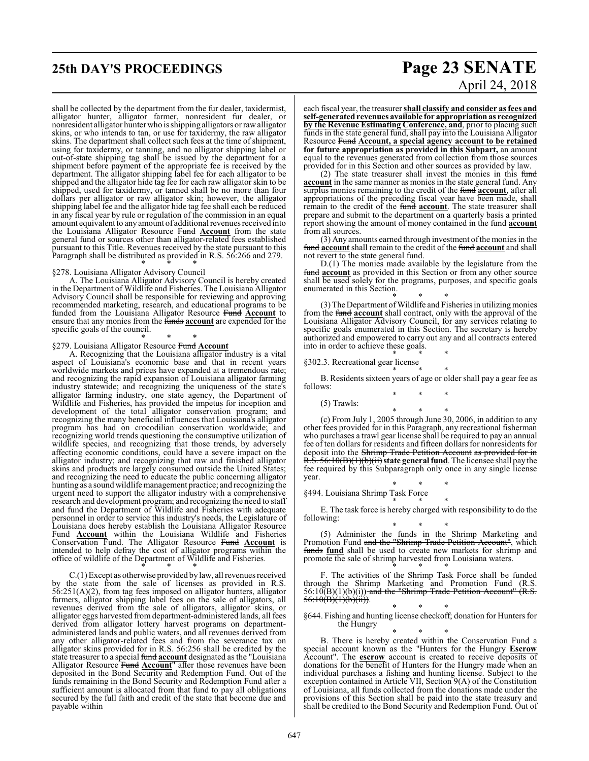shall be collected by the department from the fur dealer, taxidermist, alligator hunter, alligator farmer, nonresident fur dealer, or nonresident alligator hunter who is shipping alligators or rawalligator skins, or who intends to tan, or use for taxidermy, the raw alligator skins. The department shall collect such fees at the time of shipment, using for taxidermy, or tanning, and no alligator shipping label or out-of-state shipping tag shall be issued by the department for a shipment before payment of the appropriate fee is received by the department. The alligator shipping label fee for each alligator to be shipped and the alligator hide tag fee for each raw alligator skin to be shipped, used for taxidermy, or tanned shall be no more than four dollars per alligator or raw alligator skin; however, the alligator shipping label fee and the alligator hide tag fee shall each be reduced in any fiscal year by rule or regulation of the commission in an equal amount equivalent to any amount of additional revenues received into the Louisiana Alligator Resource Fund **Account** from the state general fund or sources other than alligator-related fees established pursuant to this Title. Revenues received by the state pursuant to this Paragraph shall be distributed as provided in R.S. 56:266 and 279.

#### \* \* \* §278. Louisiana Alligator Advisory Council

A. The Louisiana Alligator Advisory Council is hereby created in the Department of Wildlife and Fisheries. The Louisiana Alligator Advisory Council shall be responsible for reviewing and approving recommended marketing, research, and educational programs to be funded from the Louisiana Alligator Resource Fund **Account** to ensure that any monies from the funds **account** are expended for the specific goals of the council. \* \* \*

#### §279. Louisiana Alligator Resource Fund **Account**

A. Recognizing that the Louisiana alligator industry is a vital aspect of Louisiana's economic base and that in recent years worldwide markets and prices have expanded at a tremendous rate; and recognizing the rapid expansion of Louisiana alligator farming industry statewide; and recognizing the uniqueness of the state's alligator farming industry, one state agency, the Department of Wildlife and Fisheries, has provided the impetus for inception and development of the total alligator conservation program; and recognizing the many beneficial influences that Louisiana's alligator program has had on crocodilian conservation worldwide; and recognizing world trends questioning the consumptive utilization of wildlife species, and recognizing that those trends, by adversely affecting economic conditions, could have a severe impact on the alligator industry; and recognizing that raw and finished alligator skins and products are largely consumed outside the United States; and recognizing the need to educate the public concerning alligator hunting as a sound wildlife management practice; and recognizing the urgent need to support the alligator industry with a comprehensive research and development program; and recognizing the need to staff and fund the Department of Wildlife and Fisheries with adequate personnel in order to service this industry's needs, the Legislature of Louisiana does hereby establish the Louisiana Alligator Resource Fund **Account** within the Louisiana Wildlife and Fisheries Conservation Fund. The Alligator Resource Fund **Account** is intended to help defray the cost of alligator programs within the office of wildlife of the Department of Wildlife and Fisheries.

\* \* \*

C.(1) Except as otherwise provided by law, all revenues received by the state from the sale of licenses as provided in R.S. 56:251(A)(2), from tag fees imposed on alligator hunters, alligator farmers, alligator shipping label fees on the sale of alligators, all revenues derived from the sale of alligators, alligator skins, or alligator eggs harvested fromdepartment-administered lands, all fees derived from alligator lottery harvest programs on departmentadministered lands and public waters, and all revenues derived from any other alligator-related fees and from the severance tax on alligator skins provided for in R.S. 56:256 shall be credited by the state treasurer to a special fund **account** designated as the "Louisiana Alligator Resource Fund **Account**" after those revenues have been deposited in the Bond Security and Redemption Fund. Out of the funds remaining in the Bond Security and Redemption Fund after a sufficient amount is allocated from that fund to pay all obligations secured by the full faith and credit of the state that become due and payable within

## **25th DAY'S PROCEEDINGS Page 23 SENATE** April 24, 2018

each fiscal year, the treasurer **shall classify and consider asfees and** self-generated revenues available for appropriation as recognized **by the Revenue Estimating Conference, and**, prior to placing such funds in the state general fund, shall pay into the Louisiana Alligator Resource Fund **Account, a special agency account to be retained for future appropriation as provided in this Subpart,** an amount equal to the revenues generated from collection from those sources provided for in this Section and other sources as provided by law.

(2) The state treasurer shall invest the monies in this fund **account** in the same manner as monies in the state general fund. Any surplus monies remaining to the credit of the fund **account**, after all appropriations of the preceding fiscal year have been made, shall remain to the credit of the fund **account**. The state treasurer shall prepare and submit to the department on a quarterly basis a printed report showing the amount of money contained in the fund **account** from all sources.

(3) Any amounts earned through investment ofthe monies in the fund **account**shall remain to the credit of the fund **account** and shall not revert to the state general fund.

D.(1) The monies made available by the legislature from the fund **account** as provided in this Section or from any other source shall be used solely for the programs, purposes, and specific goals enumerated in this Section.

\* \* \* (3) The Department ofWildlife and Fisheries in utilizingmonies from the fund **account** shall contract, only with the approval of the Louisiana Alligator Advisory Council, for any services relating to specific goals enumerated in this Section. The secretary is hereby authorized and empowered to carry out any and all contracts entered into in order to achieve these goals.

\* \* \* §302.3. Recreational gear license

\* \* \* B. Residents sixteen years of age or older shall pay a gear fee as follows: \* \* \*

(5) Trawls:

\* \* \* (c) From July 1, 2005 through June 30, 2006, in addition to any other fees provided for in this Paragraph, any recreational fisherman who purchases a trawl gear license shall be required to pay an annual fee of ten dollars for residents and fifteen dollars for nonresidents for deposit into the Shrimp Trade Petition Account as provided for in R.S. 56:10(B)(1)(b)(ii) **state general fund**. The licensee shall paythe fee required by this Subparagraph only once in any single license

year. \* \* \* §494. Louisiana Shrimp Task Force

\* \* \* E. The task force is hereby charged with responsibility to do the following:

\* \* \* (5) Administer the funds in the Shrimp Marketing and Promotion Fund and the "Shrimp Trade Petition Account", which funds fund shall be used to create new markets for shrimp and promote the sale of shrimp harvested from Louisiana waters.

\* \* \* F. The activities of the Shrimp Task Force shall be funded through the Shrimp Marketing and Promotion Fund (R.S.  $56:10(B)(1)(b)(i)$  and the "Shrimp Trade Petition Account" (R.S.  $56:10(B)(1)(b)(ii)$ ).

\* \* \* §644. Fishing and hunting license checkoff; donation for Hunters for the Hungry

\* \* \* B. There is hereby created within the Conservation Fund a special account known as the "Hunters for the Hungry **Escrow** Account". The **escrow** account is created to receive deposits of donations for the benefit of Hunters for the Hungry made when an individual purchases a fishing and hunting license. Subject to the exception contained in Article VII, Section 9(A) of the Constitution of Louisiana, all funds collected from the donations made under the provisions of this Section shall be paid into the state treasury and shall be credited to the Bond Security and Redemption Fund. Out of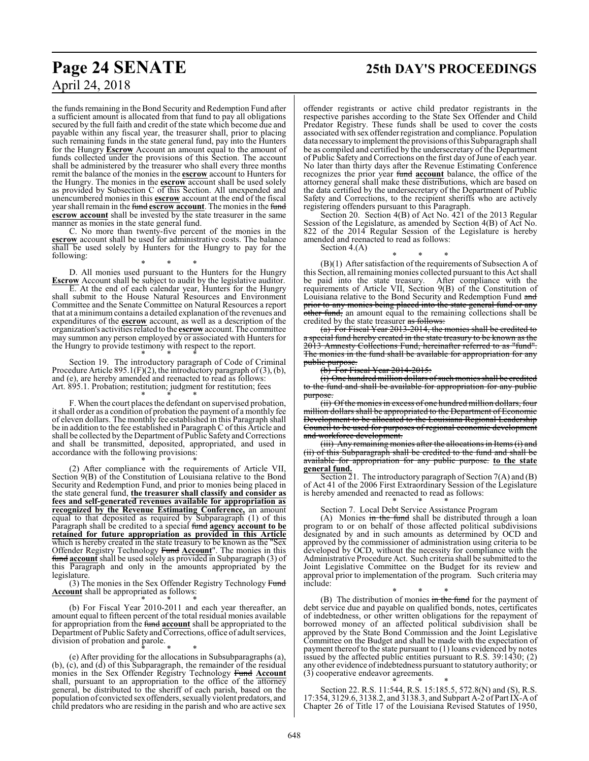the funds remaining in the Bond Security and Redemption Fund after a sufficient amount is allocated from that fund to pay all obligations secured by the full faith and credit of the state which become due and payable within any fiscal year, the treasurer shall, prior to placing such remaining funds in the state general fund, pay into the Hunters for the Hungry **Escrow** Account an amount equal to the amount of funds collected under the provisions of this Section. The account shall be administered by the treasurer who shall every three months remit the balance of the monies in the **escrow** account to Hunters for the Hungry. The monies in the **escrow** account shall be used solely as provided by Subsection C of this Section. All unexpended and unencumbered monies in this **escrow** account at the end of the fiscal year shall remain in the fund **escrow account**. The monies in the fund **escrow account** shall be invested by the state treasurer in the same manner as monies in the state general fund.

C. No more than twenty-five percent of the monies in the **escrow** account shall be used for administrative costs. The balance shall be used solely by Hunters for the Hungry to pay for the following:

\* \* \* D. All monies used pursuant to the Hunters for the Hungry **Escrow** Account shall be subject to audit by the legislative auditor.

E. At the end of each calendar year, Hunters for the Hungry shall submit to the House Natural Resources and Environment Committee and the Senate Committee on Natural Resources a report that at a minimum contains a detailed explanation of the revenues and expenditures of the **escrow** account, as well as a description of the organization's activities related to the **escrow** account. The committee may summon any person employed by or associated with Hunters for the Hungry to provide testimony with respect to the report.

\* \* \* Section 19. The introductory paragraph of Code of Criminal Procedure Article 895.1(F)(2), the introductory paragraph of (3), (b), and (e), are hereby amended and reenacted to read as follows: Art. 895.1. Probation; restitution; judgment for restitution; fees \* \* \*

F. When the court places the defendant on supervised probation, it shall order as a condition of probation the payment of a monthly fee of eleven dollars. The monthly fee established in this Paragraph shall be in addition to the fee established in Paragraph C of this Article and shall be collected by the Department of Public Safety and Corrections and shall be transmitted, deposited, appropriated, and used in accordance with the following provisions:

\* \* \* (2) After compliance with the requirements of Article VII, Section 9(B) of the Constitution of Louisiana relative to the Bond Security and Redemption Fund, and prior to monies being placed in the state general fund, **the treasurer shall classify and consider as fees and self-generated revenues available for appropriation as recognized by the Revenue Estimating Conference,** an amount equal to that deposited as required by Subparagraph (1) of this Paragraph shall be credited to a special fund **agency account to be retained for future appropriation as provided in this Article** which is hereby created in the state treasury to be known as the "Sex Offender Registry Technology Fund **Account**". The monies in this fund **account** shall be used solely as provided in Subparagraph (3) of this Paragraph and only in the amounts appropriated by the legislature.

(3) The monies in the Sex Offender Registry Technology Fund **Account** shall be appropriated as follows:

\* \* \* (b) For Fiscal Year 2010-2011 and each year thereafter, an amount equal to fifteen percent of the total residual monies available for appropriation from the fund **account** shall be appropriated to the Department of Public Safety and Corrections, office of adult services, division of probation and parole.

\* \* \* (e) After providing for the allocations in Subsubparagraphs (a), (b), (c), and (d) of this Subparagraph, the remainder of the residual monies in the Sex Offender Registry Technology Fund **Account** shall, pursuant to an appropriation to the office of the attorney general, be distributed to the sheriff of each parish, based on the population of convicted sex offenders, sexually violent predators, and child predators who are residing in the parish and who are active sex

## **Page 24 SENATE 25th DAY'S PROCEEDINGS**

offender registrants or active child predator registrants in the respective parishes according to the State Sex Offender and Child Predator Registry. These funds shall be used to cover the costs associated with sex offender registration and compliance. Population data necessaryto implement the provisions ofthis Subparagraph shall be as compiled and certified by the undersecretary of the Department of Public Safety and Corrections on the first day of June of each year. No later than thirty days after the Revenue Estimating Conference recognizes the prior year fund **account** balance, the office of the attorney general shall make these distributions, which are based on the data certified by the undersecretary of the Department of Public Safety and Corrections, to the recipient sheriffs who are actively registering offenders pursuant to this Paragraph.

Section 20. Section 4(B) of Act No. 421 of the 2013 Regular Session of the Legislature, as amended by Section 4(B) of Act No. 822 of the 2014 Regular Session of the Legislature is hereby amended and reenacted to read as follows:

Section 4.(A)

\* \* \* (B)(1) After satisfaction of the requirements of Subsection A of this Section, all remaining monies collected pursuant to this Act shall be paid into the state treasury. After compliance with the requirements of Article VII, Section 9(B) of the Constitution of Louisiana relative to the Bond Security and Redemption Fund and prior to any monies being placed into the state general fund or other fund, an amount equal to the remaining collections shall be credited by the state treasurer as follows:

(a) For Fiscal Year 2013-2014, the monies shall be credited to a special fund hereby created in the state treasury to be known as the 2013 Amnesty Collections Fund, hereinafter referred to as "fund". The monies in the fund shall be available for appropriation for any public purpose.

(b) For Fiscal Year 2014-2015:

(i) One hundred million dollars ofsuch monies shall be credited to the fund and shall be available for appropriation for any public purpose.

(ii) Of the monies in excess of one hundred million dollars, four million dollars shall be appropriated to the Department of Economic Development to be allocated to the Louisiana Regional Leadership Council to be used for purposes of regional economic development and workforce development.

(iii) Any remaining monies after the allocations in Items (i) and (ii) of this Subparagraph shall be credited to the fund and shall be available for appropriation for any public purpose. **to the state general fund.**

Section  $\overline{2}1$ . The introductory paragraph of Section 7(A) and (B) of Act 41 of the 2006 First Extraordinary Session of the Legislature is hereby amended and reenacted to read as follows:

\* \* \* Section 7. Local Debt Service Assistance Program

(A) Monies in the fund shall be distributed through a loan program to or on behalf of those affected political subdivisions designated by and in such amounts as determined by OCD and approved by the commissioner of administration using criteria to be developed by OCD, without the necessity for compliance with the Administrative Procedure Act. Such criteria shall be submitted to the Joint Legislative Committee on the Budget for its review and approval prior to implementation of the program. Such criteria may include:

\* \* \* (B) The distribution of monies in the fund for the payment of debt service due and payable on qualified bonds, notes, certificates of indebtedness, or other written obligations for the repayment of borrowed money of an affected political subdivision shall be approved by the State Bond Commission and the Joint Legislative Committee on the Budget and shall be made with the expectation of payment thereof to the state pursuant to (1) loans evidenced by notes issued by the affected public entities pursuant to R.S. 39:1430; (2) any other evidence ofindebtedness pursuant to statutory authority; or (3) cooperative endeavor agreements.

\* \* \* Section 22. R.S. 11:544, R.S. 15:185.5, 572.8(N) and (S), R.S. 17:354, 3129.6, 3138.2, and 3138.3, and Subpart A-2 of Part IX-A of Chapter 26 of Title 17 of the Louisiana Revised Statutes of 1950,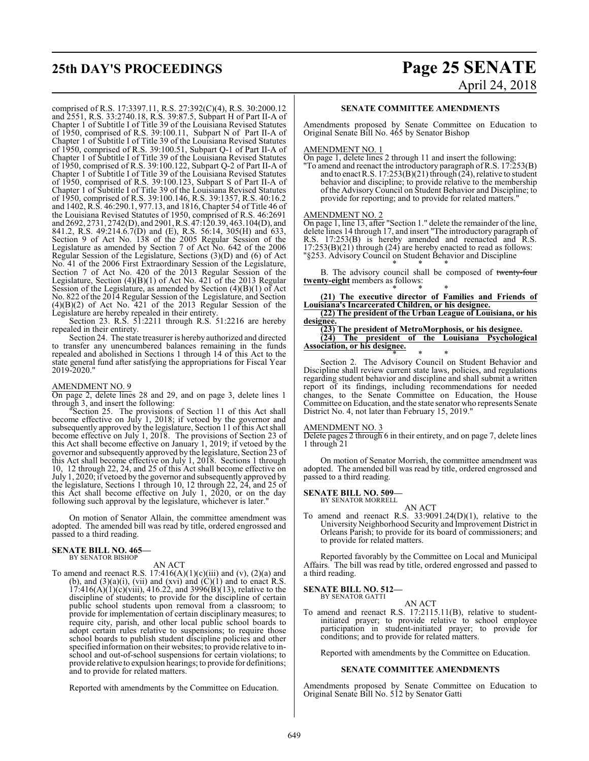**25th DAY'S PROCEEDINGS Page 25 SENATE** April 24, 2018

comprised of R.S. 17:3397.11, R.S. 27:392(C)(4), R.S. 30:2000.12 and 2551, R.S. 33:2740.18, R.S. 39:87.5, Subpart H of Part II-A of Chapter 1 of Subtitle I of Title 39 of the Louisiana Revised Statutes of 1950, comprised of R.S. 39:100.11, Subpart N of Part II-A of Chapter 1 of Subtitle I of Title 39 of the Louisiana Revised Statutes of 1950, comprised of R.S. 39:100.51, Subpart Q-1 of Part II-A of Chapter 1 of Subtitle I of Title 39 of the Louisiana Revised Statutes of 1950, comprised of R.S. 39:100.122, Subpart Q-2 of Part II-A of Chapter 1 of Subtitle I of Title 39 of the Louisiana Revised Statutes of 1950, comprised of R.S. 39:100.123, Subpart S of Part II-A of Chapter 1 of Subtitle I of Title 39 of the Louisiana Revised Statutes of 1950, comprised of R.S. 39:100.146, R.S. 39:1357, R.S. 40:16.2 and 1402, R.S. 46:290.1, 977.13, and 1816, Chapter 54 of Title 46 of the Louisiana Revised Statutes of 1950, comprised of R.S. 46:2691 and 2692, 2731, 2742(D), and 2901,R.S. 47:120.39, 463.104(D), and 841.2, R.S. 49:214.6.7(D) and (E), R.S. 56:14, 305(H) and 633, Section 9 of Act No. 138 of the 2005 Regular Session of the Legislature as amended by Section 7 of Act No. 642 of the 2006 Regular Session of the Legislature, Sections (3)(D) and (6) of Act No. 41 of the 2006 First Extraordinary Session of the Legislature, Section 7 of Act No. 420 of the 2013 Regular Session of the Legislature, Section (4)(B)(1) of Act No. 421 of the 2013 Regular Session of the Legislature, as amended by Section  $(4)(B)(1)$  of Act No. 822 of the 2014 Regular Session of the Legislature, and Section  $(4)(B)(2)$  of Act No.  $421$  of the 2013 Regular Session of the Legislature are hereby repealed in their entirety.

Section 23. R.S. 51:2211 through R.S. 51:2216 are hereby repealed in their entirety.

Section 24. The state treasurer is hereby authorized and directed to transfer any unencumbered balances remaining in the funds repealed and abolished in Sections 1 through 14 of this Act to the state general fund after satisfying the appropriations for Fiscal Year 2019-2020."

#### AMENDMENT NO. 9

On page 2, delete lines 28 and 29, and on page 3, delete lines 1 through 3, and insert the following:

"Section 25. The provisions of Section 11 of this Act shall become effective on July 1, 2018; if vetoed by the governor and subsequently approved by the legislature, Section 11 of this Act shall become effective on July 1, 2018. The provisions of Section 23 of this Act shall become effective on January 1, 2019; if vetoed by the governor and subsequently approved by the legislature, Section 23 of this Act shall become effective on July 1, 2018. Sections 1 through 10, 12 through 22, 24, and 25 of this Act shall become effective on July 1, 2020; if vetoed by the governor and subsequently approved by the legislature, Sections 1 through 10, 12 through 22, 24, and 25 of this Act shall become effective on July 1, 2020, or on the day following such approval by the legislature, whichever is later.

On motion of Senator Allain, the committee amendment was adopted. The amended bill was read by title, ordered engrossed and passed to a third reading.

#### **SENATE BILL NO. 465—** BY SENATOR BISHOP

AN ACT

To amend and reenact R.S.  $17:416(A)(1)(c)(iii)$  and  $(v)$ ,  $(2)(a)$  and (b), and  $(3)(a)(i)$ , (vii) and (xvi) and  $(C)(1)$  and to enact R.S.  $17:416(A)(1)(c)(viii)$ , 416.22, and 3996(B)(13), relative to the discipline of students; to provide for the discipline of certain public school students upon removal from a classroom; to provide for implementation of certain disciplinary measures; to require city, parish, and other local public school boards to adopt certain rules relative to suspensions; to require those school boards to publish student discipline policies and other specified information on their websites; to provide relative to inschool and out-of-school suspensions for certain violations; to provide relative to expulsion hearings; to provide for definitions; and to provide for related matters.

Reported with amendments by the Committee on Education.

#### **SENATE COMMITTEE AMENDMENTS**

Amendments proposed by Senate Committee on Education to Original Senate Bill No. 465 by Senator Bishop

#### AMENDMENT NO. 1

On page 1, delete lines 2 through 11 and insert the following: "To amend and reenact the introductory paragraph ofR.S. 17:253(B) and to enact R.S. 17:253(B)(21) through (24), relative to student behavior and discipline; to provide relative to the membership of the Advisory Council on Student Behavior and Discipline; to provide for reporting; and to provide for related matters."

#### AMENDMENT NO. 2

On page 1, line 13, after "Section 1." delete the remainder of the line, delete lines 14 through 17, and insert "The introductory paragraph of R.S. 17:253(B) is hereby amended and reenacted and R.S. 17:253(B)(21) through (24) are hereby enacted to read as follows: "§253. Advisory Council on Student Behavior and Discipline

\* \* \* B. The advisory council shall be composed of twenty-four **twenty-eight** members as follows:

\* \* \* **(21) The executive director of Families and Friends of Louisiana's Incarcerated Children, or his designee. (22) The president of the Urban League of Louisiana, or his**

**designee.**

**(23) The president of MetroMorphosis, or his designee. (24) The president of the Louisiana Psychological Association, or his designee.**

\* \* \* Section 2. The Advisory Council on Student Behavior and Discipline shall review current state laws, policies, and regulations regarding student behavior and discipline and shall submit a written report of its findings, including recommendations for needed changes, to the Senate Committee on Education, the House Committee on Education, and the state senator who represents Senate District No. 4, not later than February 15, 2019."

#### AMENDMENT NO. 3

Delete pages 2 through 6 in their entirety, and on page 7, delete lines 1 through 21

On motion of Senator Morrish, the committee amendment was adopted. The amended bill was read by title, ordered engrossed and passed to a third reading.

## **SENATE BILL NO. 509—** BY SENATOR MORRELL

AN ACT

To amend and reenact R.S. 33:9091.24(D)(1), relative to the University Neighborhood Security and Improvement District in Orleans Parish; to provide for its board of commissioners; and to provide for related matters.

Reported favorably by the Committee on Local and Municipal Affairs. The bill was read by title, ordered engrossed and passed to a third reading.

## **SENATE BILL NO. 512—** BY SENATOR GATTI

AN ACT To amend and reenact R.S. 17:2115.11(B), relative to studentinitiated prayer; to provide relative to school employee participation in student-initiated prayer; to provide for conditions; and to provide for related matters.

Reported with amendments by the Committee on Education.

#### **SENATE COMMITTEE AMENDMENTS**

Amendments proposed by Senate Committee on Education to Original Senate Bill No. 512 by Senator Gatti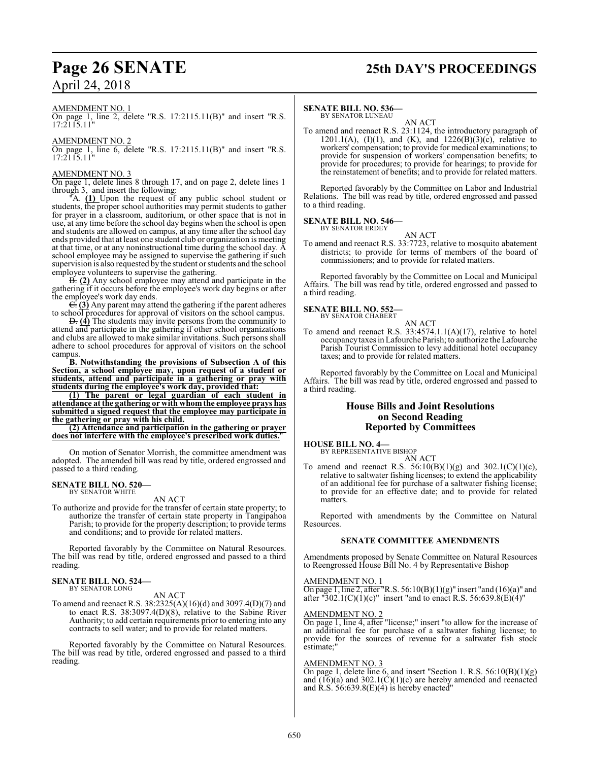## **Page 26 SENATE 25th DAY'S PROCEEDINGS**

#### AMENDMENT NO. 1

On page 1, line 2, delete "R.S. 17:2115.11(B)" and insert "R.S. 17:2115.11"

#### AMENDMENT NO. 2

On page 1, line 6, delete "R.S. 17:2115.11(B)" and insert "R.S. 17:2115.11"

#### AMENDMENT NO. 3

On page 1, delete lines 8 through 17, and on page 2, delete lines 1 through 3, and insert the following:

"A. **(1)** Upon the request of any public school student or students, the proper school authorities may permit students to gather for prayer in a classroom, auditorium, or other space that is not in use, at any time before the school day begins when the school is open and students are allowed on campus, at any time after the school day ends provided that at least one student club or organization is meeting at that time, or at any noninstructional time during the school day. A school employee may be assigned to supervise the gathering if such supervision is also requested by the student or students and the school employee volunteers to supervise the gathering.

B. **(2)** Any school employee may attend and participate in the gathering if it occurs before the employee's work day begins or after the employee's work day ends.

C. **(3)** Any parent may attend the gathering if the parent adheres to school procedures for approval of visitors on the school campus.

D. **(4)** The students may invite persons from the community to attend and participate in the gathering if other school organizations and clubs are allowed to make similar invitations. Such persons shall adhere to school procedures for approval of visitors on the school campus.

**B. Notwithstanding the provisions of Subsection A of this Section, a school employee may, upon request of a student or students, attend and participate in a gathering or pray with students during the employee's work day, provided that:**

**(1) The parent or legal guardian of each student in attendance at the gathering or with whom the employee prays has submitted a signed request that the employee may participate in the gathering or pray with his child.**

**(2) Attendance and participation in the gathering or prayer does not interfere with the employee's prescribed work duties.**"

On motion of Senator Morrish, the committee amendment was adopted. The amended bill was read by title, ordered engrossed and passed to a third reading.

#### **SENATE BILL NO. 520—** BY SENATOR WHITE

AN ACT

To authorize and provide for the transfer of certain state property; to authorize the transfer of certain state property in Tangipahoa Parish; to provide for the property description; to provide terms and conditions; and to provide for related matters.

Reported favorably by the Committee on Natural Resources. The bill was read by title, ordered engrossed and passed to a third reading.

## **SENATE BILL NO. 524—** BY SENATOR LONG

AN ACT

To amend and reenact R.S. 38:2325(A)(16)(d) and 3097.4(D)(7) and to enact R.S. 38:3097.4(D)(8), relative to the Sabine River Authority; to add certain requirements prior to entering into any contracts to sell water; and to provide for related matters.

Reported favorably by the Committee on Natural Resources. The bill was read by title, ordered engrossed and passed to a third reading.

#### **SENATE BILL NO. 536—**

BY SENATOR LUNEAU AN ACT

To amend and reenact R.S. 23:1124, the introductory paragraph of 1201.1(A), (I)(1), and (K), and  $1226(B)(3)(c)$ , relative to workers' compensation; to provide for medical examinations; to provide for suspension of workers' compensation benefits; to provide for procedures; to provide for hearings; to provide for the reinstatement of benefits; and to provide for related matters.

Reported favorably by the Committee on Labor and Industrial Relations. The bill was read by title, ordered engrossed and passed to a third reading.

#### **SENATE BILL NO. 546—** BY SENATOR ERDEY

AN ACT

To amend and reenact R.S. 33:7723, relative to mosquito abatement districts; to provide for terms of members of the board of commissioners; and to provide for related matters.

Reported favorably by the Committee on Local and Municipal Affairs. The bill was read by title, ordered engrossed and passed to a third reading.

#### **SENATE BILL NO. 552—** BY SENATOR CHABERT

AN ACT To amend and reenact R.S. 33:4574.1.1(A)(17), relative to hotel occupancy taxes in Lafourche Parish; to authorize the Lafourche Parish Tourist Commission to levy additional hotel occupancy

taxes; and to provide for related matters. Reported favorably by the Committee on Local and Municipal

Affairs. The bill was read by title, ordered engrossed and passed to a third reading.

#### **House Bills and Joint Resolutions on Second Reading Reported by Committees**

#### **HOUSE BILL NO. 4—**

BY REPRESENTATIVE BISHOP AN ACT

To amend and reenact R.S.  $56:10(B)(1)(g)$  and  $302.1(C)(1)(c)$ , relative to saltwater fishing licenses; to extend the applicability of an additional fee for purchase of a saltwater fishing license; to provide for an effective date; and to provide for related matters.

Reported with amendments by the Committee on Natural Resources.

#### **SENATE COMMITTEE AMENDMENTS**

Amendments proposed by Senate Committee on Natural Resources to Reengrossed House Bill No. 4 by Representative Bishop

#### AMENDMENT NO. 1

On page 1, line 2, after "R.S. 56:10(B)(1)(g)" insert "and (16)(a)" and after "302.1(C)(1)(c)" insert "and to enact R.S. 56:639.8(E)(4)"

#### AMENDMENT NO. 2

On page 1, line 4, after "license;" insert "to allow for the increase of an additional fee for purchase of a saltwater fishing license; to provide for the sources of revenue for a saltwater fish stock estimate;"

#### AMENDMENT NO. 3

On page 1, delete line 6, and insert "Section 1. R.S. 56:10(B)(1)(g) and  $(16)(a)$  and  $302.1(\dot{C})(1)(c)$  are hereby amended and reenacted and R.S.  $56:639.8(E)(4)$  is hereby enacted"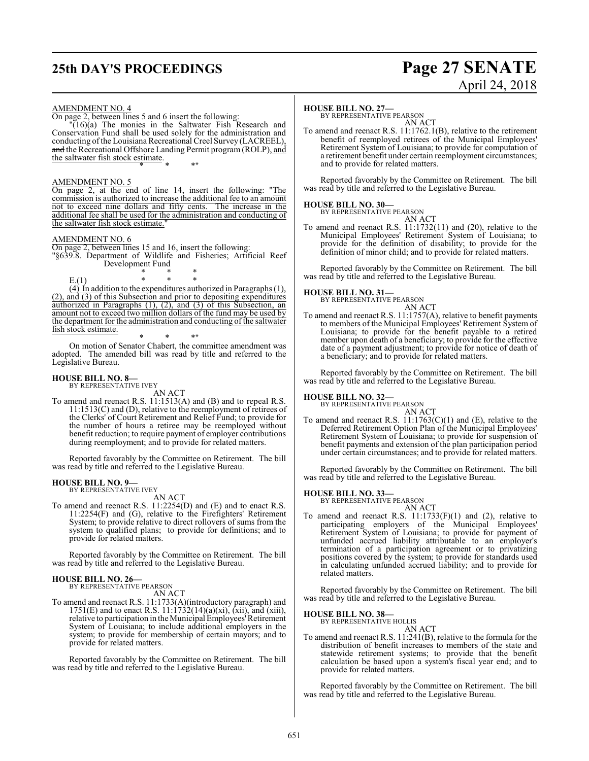## **25th DAY'S PROCEEDINGS Page 27 SENATE**

# April 24, 2018

AMENDMENT NO. 4

On page 2, between lines 5 and 6 insert the following:

"(16)(a) The monies in the Saltwater Fish Research and Conservation Fund shall be used solely for the administration and conducting of the Louisiana Recreational Creel Survey (LACREEL), and the Recreational Offshore Landing Permit program (ROLP), and the saltwater fish stock estimate. \* \* \*"

#### AMENDMENT NO. 5

On page 2, at the end of line 14, insert the following: "The commission is authorized to increase the additional fee to an amount not to exceed nine dollars and fifty cents. The increase in the additional fee shall be used for the administration and conducting of the saltwater fish stock estimate.

### AMENDMENT NO. 6

On page 2, between lines 15 and 16, insert the following: "§639.8. Department of Wildlife and Fisheries; Artificial Reef Development Fund

\* \* \*

 $E(1)$ (4) In addition to the expenditures authorized in Paragraphs (1), (2), and (3) of this Subsection and prior to depositing expenditures authorized in Paragraphs (1), (2), and (3) of this Subsection, an amount not to exceed two million dollars of the fund may be used by the department for the administration and conducting of the saltwater fish stock estimate. \* \* \*"

On motion of Senator Chabert, the committee amendment was adopted. The amended bill was read by title and referred to the Legislative Bureau.

## **HOUSE BILL NO. 8—** BY REPRESENTATIVE IVEY

AN ACT

To amend and reenact R.S. 11:1513(A) and (B) and to repeal R.S. 11:1513(C) and (D), relative to the reemployment of retirees of the Clerks' of Court Retirement and Relief Fund; to provide for the number of hours a retiree may be reemployed without benefit reduction; to require payment of employer contributions during reemployment; and to provide for related matters.

Reported favorably by the Committee on Retirement. The bill was read by title and referred to the Legislative Bureau.

## **HOUSE BILL NO. 9—** BY REPRESENTATIVE IVEY

AN ACT

To amend and reenact R.S. 11:2254(D) and (E) and to enact R.S. 11:2254(F) and (G), relative to the Firefighters' Retirement System; to provide relative to direct rollovers of sums from the system to qualified plans; to provide for definitions; and to provide for related matters.

Reported favorably by the Committee on Retirement. The bill was read by title and referred to the Legislative Bureau.

## **HOUSE BILL NO. 26—** BY REPRESENTATIVE PEARSON

AN ACT

To amend and reenact R.S. 11:1733(A)(introductory paragraph) and 1751(E) and to enact R.S.  $11:1732(14)(a)(xi)$ , (xii), and (xiii), relative to participation in the Municipal Employees' Retirement System of Louisiana; to include additional employers in the system; to provide for membership of certain mayors; and to provide for related matters.

Reported favorably by the Committee on Retirement. The bill was read by title and referred to the Legislative Bureau.

#### **HOUSE BILL NO. 27—**

BY REPRESENTATIVE PEARSON AN ACT

To amend and reenact R.S. 11:1762.1(B), relative to the retirement benefit of reemployed retirees of the Municipal Employees' Retirement System of Louisiana; to provide for computation of a retirement benefit under certain reemployment circumstances; and to provide for related matters.

Reported favorably by the Committee on Retirement. The bill was read by title and referred to the Legislative Bureau.

#### **HOUSE BILL NO. 30—**

BY REPRESENTATIVE PEARSON

AN ACT To amend and reenact R.S. 11:1732(11) and (20), relative to the Municipal Employees' Retirement System of Louisiana; to provide for the definition of disability; to provide for the definition of minor child; and to provide for related matters.

Reported favorably by the Committee on Retirement. The bill was read by title and referred to the Legislative Bureau.

## **HOUSE BILL NO. 31—** BY REPRESENTATIVE PEARSON

AN ACT

To amend and reenact R.S. 11:1757(A), relative to benefit payments to members of the Municipal Employees' Retirement System of Louisiana; to provide for the benefit payable to a retired member upon death of a beneficiary; to provide for the effective date of a payment adjustment; to provide for notice of death of a beneficiary; and to provide for related matters.

Reported favorably by the Committee on Retirement. The bill was read by title and referred to the Legislative Bureau.

## **HOUSE BILL NO. 32—** BY REPRESENTATIVE PEARSON

- AN ACT
- To amend and reenact R.S.  $11:1763(C)(1)$  and (E), relative to the Deferred Retirement Option Plan of the Municipal Employees' Retirement System of Louisiana; to provide for suspension of benefit payments and extension of the plan participation period under certain circumstances; and to provide for related matters.

Reported favorably by the Committee on Retirement. The bill was read by title and referred to the Legislative Bureau.

## **HOUSE BILL NO. 33—** BY REPRESENTATIVE PEARSON

AN ACT To amend and reenact R.S. 11:1733(F)(1) and (2), relative to participating employers of the Municipal Employees' Retirement System of Louisiana; to provide for payment of unfunded accrued liability attributable to an employer's termination of a participation agreement or to privatizing positions covered by the system; to provide for standards used in calculating unfunded accrued liability; and to provide for related matters.

Reported favorably by the Committee on Retirement. The bill was read by title and referred to the Legislative Bureau.

#### **HOUSE BILL NO. 38—**

BY REPRESENTATIVE HOLLIS AN ACT

To amend and reenact R.S. 11:241(B), relative to the formula for the distribution of benefit increases to members of the state and statewide retirement systems; to provide that the benefit calculation be based upon a system's fiscal year end; and to provide for related matters.

Reported favorably by the Committee on Retirement. The bill was read by title and referred to the Legislative Bureau.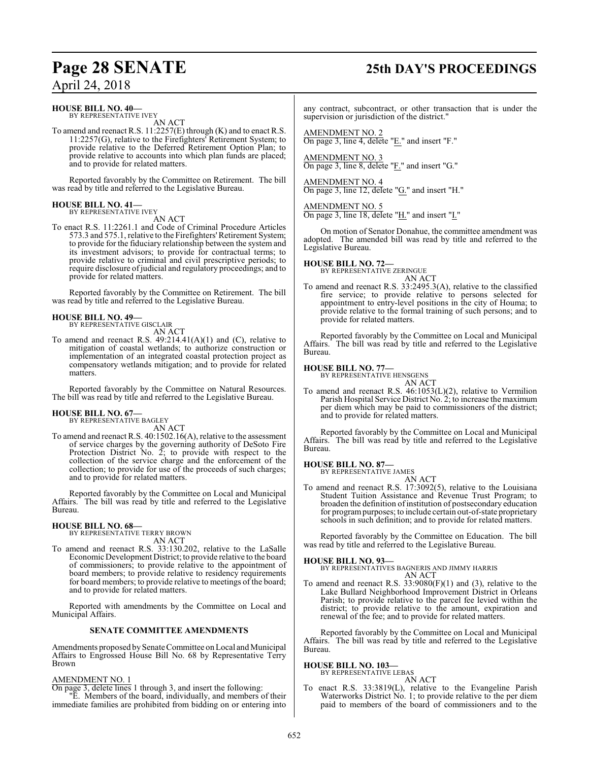## **Page 28 SENATE 25th DAY'S PROCEEDINGS**

**HOUSE BILL NO. 40—** BY REPRESENTATIVE IVEY

AN ACT

To amend and reenact R.S. 11:2257(E) through (K) and to enact R.S. 11:2257(G), relative to the Firefighters' Retirement System; to provide relative to the Deferred Retirement Option Plan; to provide relative to accounts into which plan funds are placed; and to provide for related matters.

Reported favorably by the Committee on Retirement. The bill was read by title and referred to the Legislative Bureau.

#### **HOUSE BILL NO. 41—** BY REPRESENTATIVE IVEY

AN ACT

To enact R.S. 11:2261.1 and Code of Criminal Procedure Articles 573.3 and 575.1, relative to the Firefighters'Retirement System; to provide for the fiduciary relationship between the system and its investment advisors; to provide for contractual terms; to provide relative to criminal and civil prescriptive periods; to require disclosure ofjudicial and regulatory proceedings; and to provide for related matters.

Reported favorably by the Committee on Retirement. The bill was read by title and referred to the Legislative Bureau.

## **HOUSE BILL NO. 49—**

BY REPRESENTATIVE GISCLAIR AN ACT

To amend and reenact R.S. 49:214.41(A)(1) and (C), relative to mitigation of coastal wetlands; to authorize construction or implementation of an integrated coastal protection project as compensatory wetlands mitigation; and to provide for related matters.

Reported favorably by the Committee on Natural Resources. The bill was read by title and referred to the Legislative Bureau.

### **HOUSE BILL NO. 67—**

BY REPRESENTATIVE BAGLEY AN ACT

To amend and reenact R.S. 40:1502.16(A), relative to the assessment of service charges by the governing authority of DeSoto Fire Protection District No. 2; to provide with respect to the collection of the service charge and the enforcement of the collection; to provide for use of the proceeds of such charges; and to provide for related matters.

Reported favorably by the Committee on Local and Municipal Affairs. The bill was read by title and referred to the Legislative Bureau.

**HOUSE BILL NO. 68—** BY REPRESENTATIVE TERRY BROWN AN ACT

To amend and reenact R.S. 33:130.202, relative to the LaSalle Economic Development District; to provide relative to the board of commissioners; to provide relative to the appointment of board members; to provide relative to residency requirements for board members; to provide relative to meetings of the board; and to provide for related matters.

Reported with amendments by the Committee on Local and Municipal Affairs.

### **SENATE COMMITTEE AMENDMENTS**

Amendments proposed by Senate Committee on Local and Municipal Affairs to Engrossed House Bill No. 68 by Representative Terry Brown

#### AMENDMENT NO. 1

On page 3, delete lines 1 through 3, and insert the following:

"E. Members of the board, individually, and members of their immediate families are prohibited from bidding on or entering into

any contract, subcontract, or other transaction that is under the supervision or jurisdiction of the district."

AMENDMENT NO. 2 On page 3, line 4, delete "E." and insert "F."

AMENDMENT NO. 3 On page 3, line 8, delete "F." and insert "G."

AMENDMENT NO. 4 On page 3, line 12, delete "G." and insert "H."

AMENDMENT NO. 5

On page 3, line 18, delete "H." and insert "I."

On motion of Senator Donahue, the committee amendment was adopted. The amended bill was read by title and referred to the Legislative Bureau.

#### **HOUSE BILL NO. 72—**

BY REPRESENTATIVE ZERINGUE AN ACT

To amend and reenact R.S. 33:2495.3(A), relative to the classified fire service; to provide relative to persons selected for appointment to entry-level positions in the city of Houma; to provide relative to the formal training of such persons; and to provide for related matters.

Reported favorably by the Committee on Local and Municipal Affairs. The bill was read by title and referred to the Legislative Bureau.

#### **HOUSE BILL NO. 77—**

BY REPRESENTATIVE HENSGENS

AN ACT To amend and reenact R.S. 46:1053(L)(2), relative to Vermilion Parish Hospital Service District No. 2; to increase the maximum per diem which may be paid to commissioners of the district; and to provide for related matters.

Reported favorably by the Committee on Local and Municipal Affairs. The bill was read by title and referred to the Legislative Bureau.

#### **HOUSE BILL NO. 87—**

BY REPRESENTATIVE JAMES AN ACT

To amend and reenact R.S.  $17:3092(5)$ , relative to the Louisiana Student Tuition Assistance and Revenue Trust Program; to broaden the definition of institution of postsecondary education for programpurposes; to include certain out-of-state proprietary schools in such definition; and to provide for related matters.

Reported favorably by the Committee on Education. The bill was read by title and referred to the Legislative Bureau.

#### **HOUSE BILL NO. 93—**

BY REPRESENTATIVES BAGNERIS AND JIMMY HARRIS AN ACT

To amend and reenact R.S.  $33:9080(F)(1)$  and  $(3)$ , relative to the Lake Bullard Neighborhood Improvement District in Orleans Parish; to provide relative to the parcel fee levied within the district; to provide relative to the amount, expiration and renewal of the fee; and to provide for related matters.

Reported favorably by the Committee on Local and Municipal Affairs. The bill was read by title and referred to the Legislative Bureau.

## **HOUSE BILL NO. 103—** BY REPRESENTATIVE LEBAS

- AN ACT
- To enact R.S. 33:3819(L), relative to the Evangeline Parish Waterworks District No. 1; to provide relative to the per diem paid to members of the board of commissioners and to the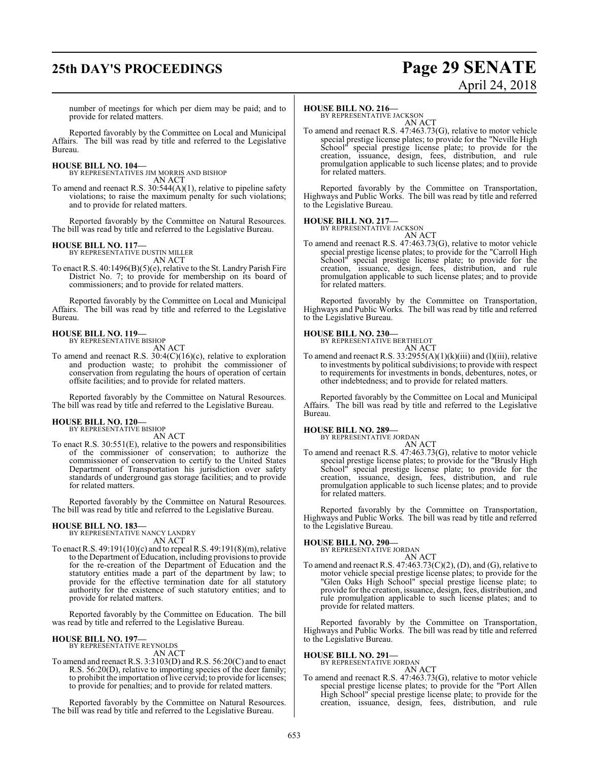# **25th DAY'S PROCEEDINGS Page 29 SENATE**

# April 24, 2018

number of meetings for which per diem may be paid; and to provide for related matters.

Reported favorably by the Committee on Local and Municipal Affairs. The bill was read by title and referred to the Legislative Bureau.

#### **HOUSE BILL NO. 104—**

BY REPRESENTATIVES JIM MORRIS AND BISHOP AN ACT

To amend and reenact R.S. 30:544(A)(1), relative to pipeline safety violations; to raise the maximum penalty for such violations; and to provide for related matters.

Reported favorably by the Committee on Natural Resources. The bill was read by title and referred to the Legislative Bureau.

#### **HOUSE BILL NO. 117—**

BY REPRESENTATIVE DUSTIN MILLER AN ACT

To enact R.S. 40:1496(B)(5)(e), relative to the St. Landry Parish Fire District No. 7; to provide for membership on its board of commissioners; and to provide for related matters.

Reported favorably by the Committee on Local and Municipal Affairs. The bill was read by title and referred to the Legislative Bureau.

## **HOUSE BILL NO. 119—** BY REPRESENTATIVE BISHOP

- AN ACT
- To amend and reenact R.S. 30:4(C)(16)(c), relative to exploration and production waste; to prohibit the commissioner of conservation from regulating the hours of operation of certain offsite facilities; and to provide for related matters.

Reported favorably by the Committee on Natural Resources. The bill was read by title and referred to the Legislative Bureau.

## **HOUSE BILL NO. 120—** BY REPRESENTATIVE BISHOP

AN ACT

To enact R.S. 30:551(E), relative to the powers and responsibilities of the commissioner of conservation; to authorize the commissioner of conservation to certify to the United States Department of Transportation his jurisdiction over safety standards of underground gas storage facilities; and to provide for related matters.

Reported favorably by the Committee on Natural Resources. The bill was read by title and referred to the Legislative Bureau.

#### **HOUSE BILL NO. 183—**

BY REPRESENTATIVE NANCY LANDRY AN ACT

To enact R.S.  $49:191(10)(c)$  and to repeal R.S.  $49:191(8)(m)$ , relative to the Department of Education, including provisions to provide for the re-creation of the Department of Education and the statutory entities made a part of the department by law; to provide for the effective termination date for all statutory authority for the existence of such statutory entities; and to provide for related matters.

Reported favorably by the Committee on Education. The bill was read by title and referred to the Legislative Bureau.

#### **HOUSE BILL NO. 197—**

BY REPRESENTATIVE REYNOLDS AN ACT

To amend and reenact R.S. 3:3103(D) and R.S. 56:20(C) and to enact R.S. 56:20(D), relative to importing species of the deer family; to prohibit the importation oflive cervid; to provide for licenses; to provide for penalties; and to provide for related matters.

Reported favorably by the Committee on Natural Resources. The bill was read by title and referred to the Legislative Bureau.

#### **HOUSE BILL NO. 216—**

BY REPRESENTATIVE JACKSON AN ACT

To amend and reenact R.S. 47:463.73(G), relative to motor vehicle special prestige license plates; to provide for the "Neville High School" special prestige license plate; to provide for the creation, issuance, design, fees, distribution, and rule promulgation applicable to such license plates; and to provide for related matters.

Reported favorably by the Committee on Transportation, Highways and Public Works. The bill was read by title and referred to the Legislative Bureau.

#### **HOUSE BILL NO. 217—**

BY REPRESENTATIVE JACKSON AN ACT

To amend and reenact R.S. 47:463.73(G), relative to motor vehicle special prestige license plates; to provide for the "Carroll High School" special prestige license plate; to provide for the creation, issuance, design, fees, distribution, and rule promulgation applicable to such license plates; and to provide for related matters.

Reported favorably by the Committee on Transportation, Highways and Public Works. The bill was read by title and referred to the Legislative Bureau.

## **HOUSE BILL NO. 230—** BY REPRESENTATIVE BERTHELOT

AN ACT To amend and reenact R.S.  $33:2955(A)(1)(k)(iii)$  and (1)(iii), relative to investments by political subdivisions; to provide with respect to requirements for investments in bonds, debentures, notes, or other indebtedness; and to provide for related matters.

Reported favorably by the Committee on Local and Municipal Affairs. The bill was read by title and referred to the Legislative Bureau.

#### **HOUSE BILL NO. 289—**

BY REPRESENTATIVE JORDAN

AN ACT To amend and reenact R.S. 47:463.73(G), relative to motor vehicle special prestige license plates; to provide for the "Brusly High School" special prestige license plate; to provide for the creation, issuance, design, fees, distribution, and rule promulgation applicable to such license plates; and to provide for related matters.

Reported favorably by the Committee on Transportation, Highways and Public Works. The bill was read by title and referred to the Legislative Bureau.

## **HOUSE BILL NO. 290—** BY REPRESENTATIVE JORDAN

#### AN ACT

To amend and reenact R.S.  $47:463.73(C)(2)$ , (D), and (G), relative to motor vehicle special prestige license plates; to provide for the "Glen Oaks High School" special prestige license plate; to provide for the creation, issuance, design, fees, distribution, and rule promulgation applicable to such license plates; and to provide for related matters.

Reported favorably by the Committee on Transportation, Highways and Public Works. The bill was read by title and referred to the Legislative Bureau.

**HOUSE BILL NO. 291—** BY REPRESENTATIVE JORDAN

#### AN ACT

To amend and reenact R.S. 47:463.73(G), relative to motor vehicle special prestige license plates; to provide for the "Port Allen High School" special prestige license plate; to provide for the creation, issuance, design, fees, distribution, and rule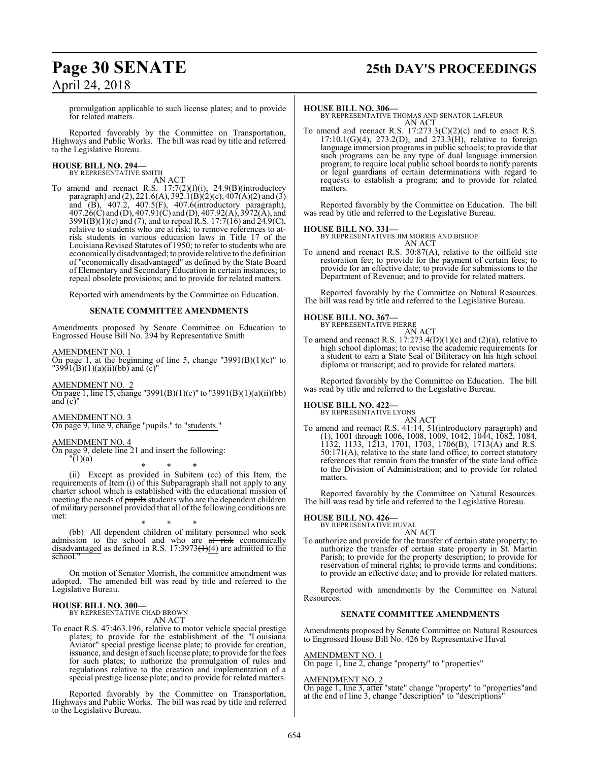## **Page 30 SENATE 25th DAY'S PROCEEDINGS**

promulgation applicable to such license plates; and to provide for related matters.

Reported favorably by the Committee on Transportation, Highways and Public Works. The bill was read by title and referred to the Legislative Bureau.

#### **HOUSE BILL NO. 294—** BY REPRESENTATIVE SMITH

AN ACT

To amend and reenact R.S.  $17:7(2)(f)(i)$ ,  $24.9(B)(introductory)$ paragraph) and (2), 221.6(A), 392.1(B)(2)(c), 407(A)(2) and (3) and (B), 407.2, 407.5(F), 407.6(introductory paragraph), 407.26(C) and (D), 407.91(C) and (D), 407.92(A), 3972(A), and 3991(B)(1)(c) and (7), and to repeal  $\hat{R}$ .S. 17:7(16) and 24.9(C), relative to students who are at risk; to remove references to atrisk students in various education laws in Title 17 of the Louisiana Revised Statutes of 1950; to refer to students who are economicallydisadvantaged; to provide relative to the definition of "economically disadvantaged" as defined by the State Board of Elementary and Secondary Education in certain instances; to repeal obsolete provisions; and to provide for related matters.

Reported with amendments by the Committee on Education.

#### **SENATE COMMITTEE AMENDMENTS**

Amendments proposed by Senate Committee on Education to Engrossed House Bill No. 294 by Representative Smith

AMENDMENT NO. 1

On page 1, at the beginning of line 5, change "3991 $(B)(1)(c)$ " to "3991(B)(1)(a)(ii)(bb) and (c)"

AMENDMENT NO. 2 On page 1, line 15, change "3991(B)(1)(c)" to "3991(B)(1)(a)(ii)(bb) and  $(c)$ 

AMENDMENT NO. 3 On page 9, line 9, change "pupils." to "students."

#### AMENDMENT NO. 4

On page 9, delete line 21 and insert the following: "(1)(a)

\* \* \* (ii) Except as provided in Subitem (cc) of this Item, the requirements of Item (i) of this Subparagraph shall not apply to any charter school which is established with the educational mission of meeting the needs of pupils students who are the dependent children of military personnel provided that all ofthe following conditions are met:

\* \* \* (bb) All dependent children of military personnel who seek admission to the school and who are at risk economically disadvantaged as defined in R.S.  $17:3973(+)$  are admitted to the school."

On motion of Senator Morrish, the committee amendment was adopted. The amended bill was read by title and referred to the Legislative Bureau.

#### **HOUSE BILL NO. 300—**

BY REPRESENTATIVE CHAD BROWN AN ACT

To enact R.S. 47:463.196, relative to motor vehicle special prestige plates; to provide for the establishment of the "Louisiana Aviator" special prestige license plate; to provide for creation, issuance, and design of such license plate; to provide for the fees for such plates; to authorize the promulgation of rules and regulations relative to the creation and implementation of a special prestige license plate; and to provide for related matters.

Reported favorably by the Committee on Transportation, Highways and Public Works. The bill was read by title and referred to the Legislative Bureau.

#### **HOUSE BILL NO. 306—**

BY REPRESENTATIVE THOMAS AND SENATOR LAFLEUR AN ACT

To amend and reenact R.S.  $17:273.3(C)(2)(c)$  and to enact R.S.  $17:10.1(G)(4)$ ,  $273.2(D)$ , and  $273.3(H)$ , relative to foreign language immersion programs in public schools; to provide that such programs can be any type of dual language immersion program; to require local public school boards to notify parents or legal guardians of certain determinations with regard to requests to establish a program; and to provide for related matters.

Reported favorably by the Committee on Education. The bill was read by title and referred to the Legislative Bureau.

**HOUSE BILL NO. 331—** BY REPRESENTATIVES JIM MORRIS AND BISHOP AN ACT

To amend and reenact R.S. 30:87(A), relative to the oilfield site restoration fee; to provide for the payment of certain fees; to provide for an effective date; to provide for submissions to the Department of Revenue; and to provide for related matters.

Reported favorably by the Committee on Natural Resources. The bill was read by title and referred to the Legislative Bureau.

#### **HOUSE BILL NO. 367—**

BY REPRESENTATIVE PIERRE

- AN ACT
- To amend and reenact R.S.  $17:273.4(D)(1)(c)$  and  $(2)(a)$ , relative to high school diplomas; to revise the academic requirements for a student to earn a State Seal of Biliteracy on his high school diploma or transcript; and to provide for related matters.

Reported favorably by the Committee on Education. The bill was read by title and referred to the Legislative Bureau.

#### **HOUSE BILL NO. 422—** BY REPRESENTATIVE LYONS

AN ACT To amend and reenact R.S. 41:14, 51(introductory paragraph) and (1), 1001 through 1006, 1008, 1009, 1042, 1044, 1082, 1084, 1132, 1133, 1213, 1701, 1703, 1706(B), 1713(A) and R.S. 50:171(A), relative to the state land office; to correct statutory references that remain from the transfer of the state land office to the Division of Administration; and to provide for related matters.

Reported favorably by the Committee on Natural Resources. The bill was read by title and referred to the Legislative Bureau.

## **HOUSE BILL NO. 426—** BY REPRESENTATIVE HUVAL

AN ACT

To authorize and provide for the transfer of certain state property; to authorize the transfer of certain state property in St. Martin Parish; to provide for the property description; to provide for reservation of mineral rights; to provide terms and conditions; to provide an effective date; and to provide for related matters.

Reported with amendments by the Committee on Natural Resources.

#### **SENATE COMMITTEE AMENDMENTS**

Amendments proposed by Senate Committee on Natural Resources to Engrossed House Bill No. 426 by Representative Huval

#### AMENDMENT NO. 1

On page 1, line 2, change "property" to "properties"

#### AMENDMENT NO. 2

On page 1, line 3, after "state" change "property" to "properties"and at the end of line 3, change "description" to "descriptions"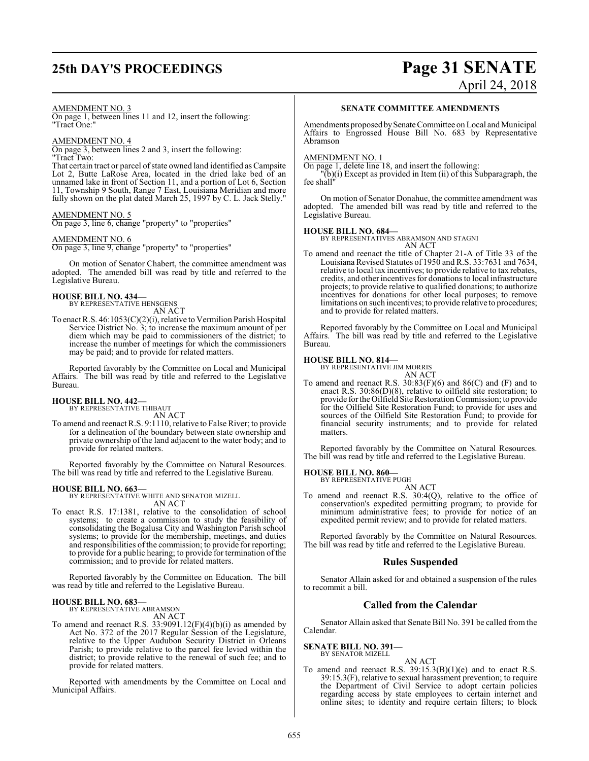## **25th DAY'S PROCEEDINGS Page 31 SENATE** April 24, 2018

#### AMENDMENT NO. 3

On page 1, between lines 11 and 12, insert the following: "Tract One:"

#### AMENDMENT NO. 4

On page 3, between lines 2 and 3, insert the following: "Tract Two:

That certain tract or parcel of state owned land identified as Campsite Lot 2, Butte LaRose Area, located in the dried lake bed of an unnamed lake in front of Section 11, and a portion of Lot 6, Section 11, Township 9 South, Range 7 East, Louisiana Meridian and more fully shown on the plat dated March 25, 1997 by C. L. Jack Stelly."

#### AMENDMENT NO. 5

On page 3, line 6, change "property" to "properties"

#### AMENDMENT NO. 6

On page 3, line 9, change "property" to "properties"

On motion of Senator Chabert, the committee amendment was adopted. The amended bill was read by title and referred to the Legislative Bureau.

### **HOUSE BILL NO. 434—**

BY REPRESENTATIVE HENSGENS AN ACT

To enact R.S. 46:1053(C)(2)(i), relative to Vermilion Parish Hospital Service District No. 3; to increase the maximum amount of per diem which may be paid to commissioners of the district; to increase the number of meetings for which the commissioners may be paid; and to provide for related matters.

Reported favorably by the Committee on Local and Municipal Affairs. The bill was read by title and referred to the Legislative Bureau.

## **HOUSE BILL NO. 442—** BY REPRESENTATIVE THIBAUT

AN ACT

To amend and reenact R.S. 9:1110, relative to False River; to provide for a delineation of the boundary between state ownership and private ownership of the land adjacent to the water body; and to provide for related matters.

Reported favorably by the Committee on Natural Resources. The bill was read by title and referred to the Legislative Bureau.

#### **HOUSE BILL NO. 663—**

BY REPRESENTATIVE WHITE AND SENATOR MIZELL AN ACT

To enact R.S. 17:1381, relative to the consolidation of school systems; to create a commission to study the feasibility of consolidating the Bogalusa City and Washington Parish school systems; to provide for the membership, meetings, and duties and responsibilities of the commission; to provide for reporting; to provide for a public hearing; to provide for termination of the commission; and to provide for related matters.

Reported favorably by the Committee on Education. The bill was read by title and referred to the Legislative Bureau.

## **HOUSE BILL NO. 683—** BY REPRESENTATIVE ABRAMSON

AN ACT

To amend and reenact R.S.  $33:9091.12(F)(4)(b)(i)$  as amended by Act No. 372 of the 2017 Regular Session of the Legislature, relative to the Upper Audubon Security District in Orleans Parish; to provide relative to the parcel fee levied within the district; to provide relative to the renewal of such fee; and to provide for related matters.

Reported with amendments by the Committee on Local and Municipal Affairs.

#### **SENATE COMMITTEE AMENDMENTS**

Amendments proposed bySenate Committee on Local and Municipal Affairs to Engrossed House Bill No. 683 by Representative Abramson

#### AMENDMENT NO. 1

On page 1, delete line 18, and insert the following:

"(b)(i) Except as provided in Item (ii) of this Subparagraph, the fee shall"

On motion of Senator Donahue, the committee amendment was adopted. The amended bill was read by title and referred to the Legislative Bureau.

**HOUSE BILL NO. 684—** BY REPRESENTATIVES ABRAMSON AND STAGNI AN ACT

To amend and reenact the title of Chapter 21-A of Title 33 of the Louisiana Revised Statutes of 1950 and R.S. 33:7631 and 7634, relative to local tax incentives; to provide relative to tax rebates, credits, and other incentives for donations to local infrastructure projects; to provide relative to qualified donations; to authorize incentives for donations for other local purposes; to remove limitations on such incentives; to provide relative to procedures; and to provide for related matters.

Reported favorably by the Committee on Local and Municipal Affairs. The bill was read by title and referred to the Legislative Bureau.

#### **HOUSE BILL NO. 814—**

BY REPRESENTATIVE JIM MORRIS AN ACT

To amend and reenact R.S.  $30:83(F)(6)$  and  $86(C)$  and  $(F)$  and to enact R.S. 30:86(D)(8), relative to oilfield site restoration; to provide for the Oilfield Site Restoration Commission; to provide for the Oilfield Site Restoration Fund; to provide for uses and sources of the Oilfield Site Restoration Fund; to provide for financial security instruments; and to provide for related matters.

Reported favorably by the Committee on Natural Resources. The bill was read by title and referred to the Legislative Bureau.

## **HOUSE BILL NO. 860—** BY REPRESENTATIVE PUGH

AN ACT

To amend and reenact R.S. 30:4(Q), relative to the office of conservation's expedited permitting program; to provide for minimum administrative fees; to provide for notice of an expedited permit review; and to provide for related matters.

Reported favorably by the Committee on Natural Resources. The bill was read by title and referred to the Legislative Bureau.

#### **Rules Suspended**

Senator Allain asked for and obtained a suspension of the rules to recommit a bill.

#### **Called from the Calendar**

Senator Allain asked that Senate Bill No. 391 be called from the Calendar.

#### **SENATE BILL NO. 391—** BY SENATOR MIZELL

AN ACT

To amend and reenact R.S.  $39:15.3(B)(1)(e)$  and to enact R.S. 39:15.3(F), relative to sexual harassment prevention; to require the Department of Civil Service to adopt certain policies regarding access by state employees to certain internet and online sites; to identity and require certain filters; to block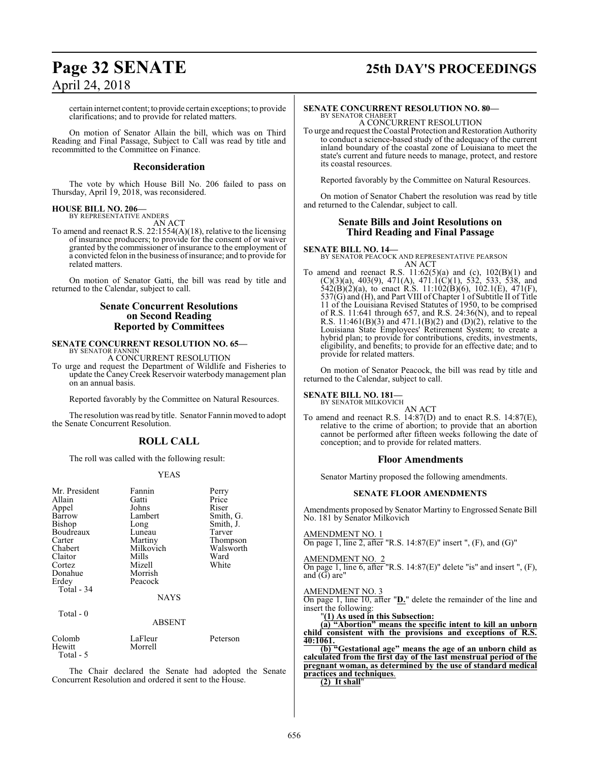## **Page 32 SENATE 25th DAY'S PROCEEDINGS**

certain internet content; to provide certain exceptions; to provide clarifications; and to provide for related matters.

On motion of Senator Allain the bill, which was on Third Reading and Final Passage, Subject to Call was read by title and recommitted to the Committee on Finance.

#### **Reconsideration**

The vote by which House Bill No. 206 failed to pass on Thursday, April 19, 2018, was reconsidered.

## **HOUSE BILL NO. 206—** BY REPRESENTATIVE ANDERS

AN ACT

To amend and reenact R.S. 22:1554(A)(18), relative to the licensing of insurance producers; to provide for the consent of or waiver

granted by the commissioner of insurance to the employment of a convicted felon in the business ofinsurance; and to provide for related matters.

On motion of Senator Gatti, the bill was read by title and returned to the Calendar, subject to call.

### **Senate Concurrent Resolutions on Second Reading Reported by Committees**

## **SENATE CONCURRENT RESOLUTION NO. 65—**

BY SENATOR FANNIN A CONCURRENT RESOLUTION

To urge and request the Department of Wildlife and Fisheries to update the CaneyCreek Reservoir waterbody management plan on an annual basis.

Reported favorably by the Committee on Natural Resources.

The resolution was read by title. Senator Fannin moved to adopt the Senate Concurrent Resolution.

## **ROLL CALL**

The roll was called with the following result:

#### YEAS

| Mr. President<br>Allain<br>Appel<br>Barrow<br>Bishop<br>Boudreaux<br>Carter<br>Chabert<br>Claitor<br>Cortez<br>Donahue<br>Erdey<br>Total - 34<br>Total - 0 | Fannin<br>Gatti<br>Johns<br>Lambert<br>Long<br>Luneau<br>Martiny<br>Milkovich<br>Mills<br>Mizell<br>Morrish<br>Peacock<br><b>NAYS</b><br><b>ABSENT</b> | Perry<br>Price<br>Riser<br>Smith, G.<br>Smith, J.<br>Tarver<br>Thompson<br>Walsworth<br>Ward<br>White |
|------------------------------------------------------------------------------------------------------------------------------------------------------------|--------------------------------------------------------------------------------------------------------------------------------------------------------|-------------------------------------------------------------------------------------------------------|
|                                                                                                                                                            |                                                                                                                                                        |                                                                                                       |
| Colomb<br>Hewitt<br>Total - 5                                                                                                                              | LaFleur<br>Morrell                                                                                                                                     | Peterson                                                                                              |

The Chair declared the Senate had adopted the Senate Concurrent Resolution and ordered it sent to the House.

## **SENATE CONCURRENT RESOLUTION NO. 80—** BY SENATOR CHABERT A CONCURRENT RESOLUTION

To urge and request the Coastal Protection and Restoration Authority to conduct a science-based study of the adequacy of the current inland boundary of the coastal zone of Louisiana to meet the

Reported favorably by the Committee on Natural Resources.

state's current and future needs to manage, protect, and restore

On motion of Senator Chabert the resolution was read by title and returned to the Calendar, subject to call.

### **Senate Bills and Joint Resolutions on Third Reading and Final Passage**

its coastal resources.

**SENATE BILL NO. 14—**<br>BY SENATOR PEACOCK AND REPRESENTATIVE PEARSON<br>AN ACT

To amend and reenact R.S.  $11:62(5)(a)$  and (c),  $102(B)(1)$  and  $(C)(3)(a)$ , 403(9), 471(A), 471.1(C)(1), 532, 533, 538, and  $542(B)(2)(a)$ , to enact R.S. 11:102(B)(6), 102.1(E), 471(F), 537(G) and (H), and Part VIII of Chapter 1 of Subtitle II of Title 11 of the Louisiana Revised Statutes of 1950, to be comprised of R.S. 11:641 through 657, and R.S. 24:36(N), and to repeal R.S. 11:461(B)(3) and 471.1(B)(2) and (D)(2), relative to the Louisiana State Employees' Retirement System; to create a hybrid plan; to provide for contributions, credits, investments, eligibility, and benefits; to provide for an effective date; and to provide for related matters.

On motion of Senator Peacock, the bill was read by title and returned to the Calendar, subject to call.

#### **SENATE BILL NO. 181—**

BY SENATOR MILKOVICH

AN ACT

To amend and reenact R.S. 14:87(D) and to enact R.S. 14:87(E), relative to the crime of abortion; to provide that an abortion cannot be performed after fifteen weeks following the date of conception; and to provide for related matters.

#### **Floor Amendments**

Senator Martiny proposed the following amendments.

#### **SENATE FLOOR AMENDMENTS**

Amendments proposed by Senator Martiny to Engrossed Senate Bill No. 181 by Senator Milkovich

AMENDMENT NO. 1

On page 1, line 2, after "R.S.  $14:87(E)$ " insert ", (F), and (G)"

#### AMENDMENT NO. 2

On page 1, line 6, after "R.S. 14:87(E)" delete "is" and insert ", (F), and  $(\overline{G})$  are"

#### AMENDMENT NO. 3

On page 1, line 10, after "**D.**" delete the remainder of the line and insert the following:

"**(1) As used in this Subsection:**

**(a) "Abortion" means the specific intent to kill an unborn child consistent with the provisions and exceptions of R.S. 40:1061.** 

**(b) "Gestational age" means the age of an unborn child as calculated from the first day of the last menstrual period of the pregnant woman, as determined by the use of standard medical practices and techniques**.

**(2) It shall**"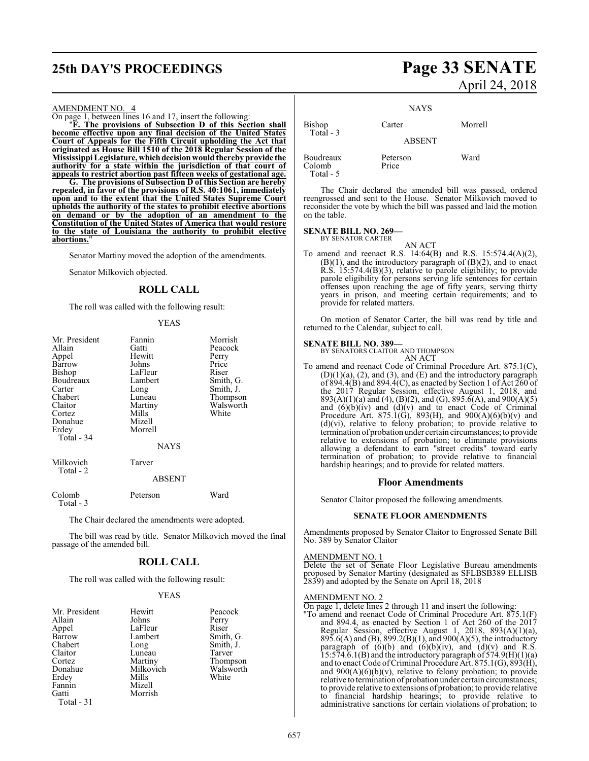## **25th DAY'S PROCEEDINGS Page 33 SENATE**

#### AMENDMENT NO. 4

On page 1, between lines 16 and 17, insert the following:

"**F. The provisions of Subsection D of this Section shall become effective upon any final decision of the United States Court of Appeals for the Fifth Circuit upholding the Act that originated as House Bill 1510 of the 2018 Regular Session of the Mississippi Legislature,whichdecisionwould thereby provide the authority for a state within the jurisdiction of that court of appeals to restrict abortion past fifteen weeks of gestational age.** 

**G. The provisions of Subsection D of this Section are hereby repealed, in favor of the provisions of R.S. 40:1061, immediately upon and to the extent that the United States Supreme Court upholds the authority of the states to prohibit elective abortions on demand or by the adoption of an amendment to the Constitution of the United States of America that would restore to the state of Louisiana the authority to prohibit elective abortions.**"

Senator Martiny moved the adoption of the amendments.

Senator Milkovich objected.

#### **ROLL CALL**

The roll was called with the following result:

#### YEAS

| Mr. President<br>Allain<br>Appel<br>Barrow<br><b>Bishop</b><br>Boudreaux<br>Carter<br>Chabert<br>Claitor<br>Cortez<br>Donahue<br>Erdey<br>Total - 34 | Fannin<br>Gatti<br>Hewitt<br>Johns<br>LaFleur<br>Lambert<br>Long<br>Luneau<br>Martiny<br>Mills<br>Mizell<br>Morrell<br>NAYS | Morrish<br>Peacock<br>Perry<br>Price<br>Riser<br>Smith, G.<br>Smith, J.<br>Thompson<br>Walsworth<br>White |
|------------------------------------------------------------------------------------------------------------------------------------------------------|-----------------------------------------------------------------------------------------------------------------------------|-----------------------------------------------------------------------------------------------------------|
| Milkovich<br>Total - 2                                                                                                                               | Tarver<br><b>ABSENT</b>                                                                                                     |                                                                                                           |
| Colomb<br>Total - 3                                                                                                                                  | Peterson                                                                                                                    | Ward                                                                                                      |

The Chair declared the amendments were adopted.

The bill was read by title. Senator Milkovich moved the final passage of the amended bill.

#### **ROLL CALL**

The roll was called with the following result:

#### YEAS

| Mr. President<br>Allain<br>Appel<br>Barrow<br>Chabert<br>Claitor<br>Cortez<br>Donahue<br>Erdey<br>Fannin<br>Gatti | Hewitt<br>Johns<br>LaFleur<br>Lambert<br>Long<br>Luneau<br>Martiny<br>Milkovich<br>Mills<br>Mizell<br>Morrish | Peacock<br>Perry<br>Riser<br>Smith, G.<br>Smith, J.<br>Tarver<br>Thompson<br>Walsworth<br>White |
|-------------------------------------------------------------------------------------------------------------------|---------------------------------------------------------------------------------------------------------------|-------------------------------------------------------------------------------------------------|
| Total $-31$                                                                                                       |                                                                                                               |                                                                                                 |

# April 24, 2018

**NAYS** 

| Bishop<br>Total $-3$             | Carter<br><b>ABSENT</b> | Morrell |
|----------------------------------|-------------------------|---------|
|                                  |                         |         |
| Boudreaux<br>Colomb<br>Total - 5 | Peterson<br>Price       | Ward    |

The Chair declared the amended bill was passed, ordered reengrossed and sent to the House. Senator Milkovich moved to reconsider the vote by which the bill was passed and laid the motion on the table.

## **SENATE BILL NO. 269—** BY SENATOR CARTER

AN ACT To amend and reenact R.S. 14:64(B) and R.S. 15:574.4(A)(2),  $(B)(1)$ , and the introductory paragraph of  $(B)(2)$ , and to enact R.S. 15:574.4(B)(3), relative to parole eligibility; to provide parole eligibility for persons serving life sentences for certain offenses upon reaching the age of fifty years, serving thirty years in prison, and meeting certain requirements; and to provide for related matters.

On motion of Senator Carter, the bill was read by title and returned to the Calendar, subject to call.

## **SENATE BILL NO. 389—** BY SENATORS CLAITOR AND THOMPSON

AN ACT

To amend and reenact Code of Criminal Procedure Art. 875.1(C),  $(D)(1)(a)$ ,  $(2)$ , and  $(3)$ , and  $(E)$  and the introductory paragraph of  $\frac{894.4(B)}{894.4(C)}$ , as enacted by Section 1 of Act  $\frac{260}{6}$  of the 2017 Regular Session, effective August 1, 2018, and  $893(A)(1)(a)$  and (4), (B)(2), and (G),  $895.\overline{6}(A)$ , and  $900(A)(5)$ and  $(6)(b)(iv)$  and  $(d)(v)$  and to enact Code of Criminal Procedure Art. 875.1(G), 893(H), and  $900(A)(6)(b)(v)$  and (d)(vi), relative to felony probation; to provide relative to termination of probation under certain circumstances; to provide relative to extensions of probation; to eliminate provisions allowing a defendant to earn "street credits" toward early termination of probation; to provide relative to financial hardship hearings; and to provide for related matters.

#### **Floor Amendments**

Senator Claitor proposed the following amendments.

#### **SENATE FLOOR AMENDMENTS**

Amendments proposed by Senator Claitor to Engrossed Senate Bill No. 389 by Senator Claitor

#### AMENDMENT NO. 1

Delete the set of Senate Floor Legislative Bureau amendments proposed by Senator Martiny (designated as SFLBSB389 ELLISB 2839) and adopted by the Senate on April 18, 2018

#### AMENDMENT NO. 2

On page 1, delete lines 2 through 11 and insert the following:

"To amend and reenact Code of Criminal Procedure Art. 875.1(F) and 894.4, as enacted by Section 1 of Act 260 of the 2017 Regular Session, effective August 1, 2018, 893(A)(1)(a), 895.6(A) and (B), 899.2(B)(1), and 900(A)(5), the introductory paragraph of  $(6)(b)$  and  $(6)(b)(iv)$ , and  $(d)(v)$  and R.S.  $15:574.6.1(B)$  and the introductory paragraph of  $574.9(H)(1)(a)$ and to enact Code of Criminal Procedure Art. 875.1(G), 893(H), and  $900(A)(6)(b)(v)$ , relative to felony probation; to provide relative to termination of probation under certain circumstances; to provide relative to extensions of probation; to provide relative to financial hardship hearings; to provide relative to administrative sanctions for certain violations of probation; to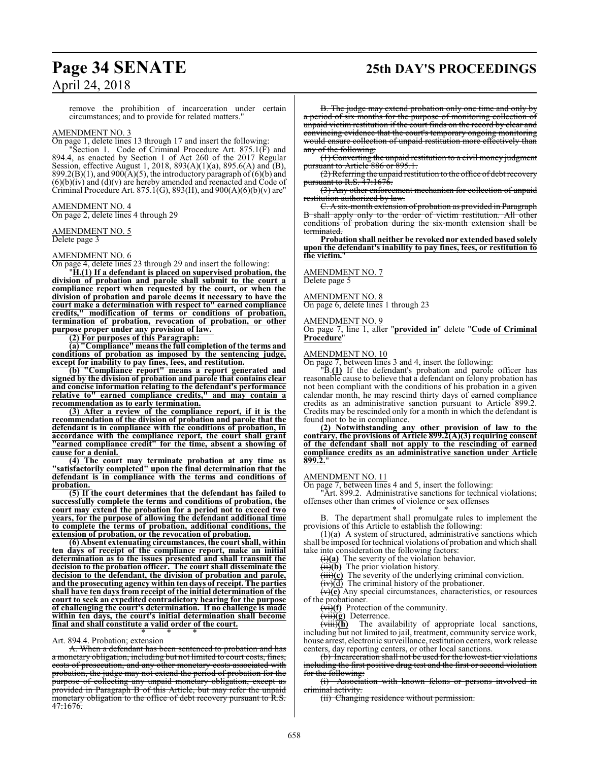**Page 34 SENATE 25th DAY'S PROCEEDINGS**

remove the prohibition of incarceration under certain circumstances; and to provide for related matters."

#### AMENDMENT NO. 3

On page 1, delete lines 13 through 17 and insert the following:

"Section 1. Code of Criminal Procedure Art. 875.1(F) and 894.4, as enacted by Section 1 of Act 260 of the 2017 Regular Session, effective August 1, 2018, 893(A)(1)(a), 895.6(A) and (B), 899.2(B)(1), and 900(A)(5), the introductory paragraph of (6)(b) and  $(6)(b)(iv)$  and  $(d)(v)$  are hereby amended and reenacted and Code of Criminal Procedure Art. 875.1(G), 893(H), and  $900(A)(6)(b)(v)$  are"

#### AMENDMENT NO. 4

On page 2, delete lines 4 through 29

AMENDMENT NO. 5 Delete page 3

#### AMENDMENT NO. 6

On page 4, delete lines 23 through 29 and insert the following:

"**H.(1) If a defendant is placed on supervised probation, the division of probation and parole shall submit to the court a compliance report when requested by the court, or when the division of probation and parole deems it necessary to have the court make a determination with respect to" earned compliance credits," modification of terms or conditions of probation, termination of probation, revocation of probation, or other purpose proper under any provision of law.** 

**(2) For purposes of this Paragraph:** 

**(a) "Compliance" means the full completion of the terms and conditions of probation as imposed by the sentencing judge, except for inability to pay fines, fees, and restitution.**

**(b) "Compliance report" means a report generated and signed by the division of probation and parole that contains clear and concise information relating to the defendant's performance relative to" earned compliance credits," and may contain a recommendation as to early termination.**

**(3) After a review of the compliance report, if it is the recommendation of the division of probation and parole that the defendant is in compliance with the conditions of probation, in accordance with the compliance report, the court shall grant "earned compliance credit" for the time, absent a showing of cause for a denial.** 

**(4) The court may terminate probation at any time as "satisfactorily completed" upon the final determination that the defendant is in compliance with the terms and conditions of probation.** 

**(5) If the court determines that the defendant has failed to successfully complete the terms and conditions of probation, the court may extend the probation for a period not to exceed two years, for the purpose of allowing the defendant additional time to complete the terms of probation, additional conditions, the extension of probation, or the revocation of probation.**

**(6) Absent extenuating circumstances, the court shall, within ten days of receipt of the compliance report, make an initial determination as to the issues presented and shall transmit the decision to the probation officer. The court shall disseminate the decision to the defendant, the division of probation and parole, and the prosecuting agency within ten days of receipt. The parties shall have ten daysfrom receipt of the initial determination of the court to seek an expedited contradictory hearing for the purpose of challenging the court's determination. If no challenge is made within ten days, the court's initial determination shall become final and shall constitute a valid order of the court.** \* \* \*

#### Art. 894.4. Probation; extension

A. When a defendant has been sentenced to probation and has a monetary obligation, including but not limited to court costs, fines, costs of prosecution, and any other monetary costs associated with probation, the judge may not extend the period of probation for the purpose of collecting any unpaid monetary obligation, except as provided in Paragraph B of this Article, but may refer the unpaid monetary obligation to the office of debt recovery pursuant to R.S. 47:1676.

B. The judge may extend probation only one time and only by a period of six months for the purpose of monitoring collection of unpaid victim restitution if the court finds on the record by clear and convincing evidence that the court's temporary ongoing monitoring would ensure collection of unpaid restitution more effectively than any of the following:

(1) Converting the unpaid restitution to a civil money judgment pursuant to Article 886 or 895.1.

(2) Referring the unpaid restitution to the office of debt recovery pursuant to R.S. 47:1676.

(3) Any other enforcement mechanism for collection of unpaid restitution authorized by law.

 $A$  six-month extension of probation as provided in Paragraph B shall apply only to the order of victim restitution. All other conditions of probation during the six-month extension shall be terminated.

**Probation shall neither be revoked nor extended based solely upon the defendant's inability to pay fines, fees, or restitution to the victim.**"

AMENDMENT NO. 7 Delete page 5

### AMENDMENT NO. 8

On page 6, delete lines 1 through 23

#### AMENDMENT NO. 9

On page 7, line 1, after "**provided in**" delete "**Code of Criminal Procedure**"

#### AMENDMENT NO. 10

On page 7, between lines 3 and 4, insert the following:

"B.**(1)** If the defendant's probation and parole officer has reasonable cause to believe that a defendant on felony probation has not been compliant with the conditions of his probation in a given calendar month, he may rescind thirty days of earned compliance credits as an administrative sanction pursuant to Article 899.2. Credits may be rescinded only for a month in which the defendant is found not to be in compliance.

**(2) Notwithstanding any other provision of law to the contrary, the provisions of Article 899.2(A)(3) requiring consent of the defendant shall not apply to the rescinding of earned compliance credits as an administrative sanction under Article 899.2.**"

#### AMENDMENT NO. 11

On page 7, between lines 4 and 5, insert the following:

"Art. 899.2. Administrative sanctions for technical violations; offenses other than crimes of violence or sex offenses

\* \* \* B. The department shall promulgate rules to implement the provisions of this Article to establish the following:

 $(1)(a)$  A system of structured, administrative sanctions which shall be imposed for technical violations of probation and which shall take into consideration the following factors:

(i)**(a)** The severity of the violation behavior.

(ii)**(b)** The prior violation history.

 $(iii)$ <sub>I</sub>C<sub>2</sub>) The severity of the underlying criminal conviction.

 $(iv)(d)$  The criminal history of the probationer.

(v)**(e)** Any special circumstances, characteristics, or resources of the probationer.

(vi)**(f)** Protection of the community.

(vii)**(g)** Deterrence. The availability of appropriate local sanctions, including but not limited to jail, treatment, community service work, house arrest, electronic surveillance, restitution centers, work release centers, day reporting centers, or other local sanctions.

(b) Incarceration shall not be used for the lowest-tier violations including the first positive drug test and the first or second violation for the following:

(i) Association with known felons or persons involved in criminal activity.

(ii) Changing residence without permission.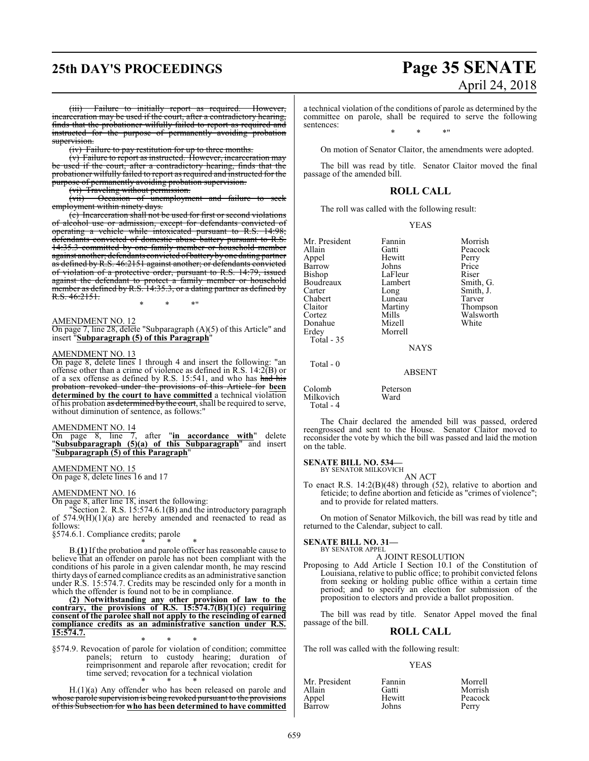# **25th DAY'S PROCEEDINGS Page 35 SENATE**

# April 24, 2018

(iii) Failure to initially report as required. However, incarceration may be used if the court, after a contradictory hearing, finds that the probationer wilfully failed to report as required and instructed for the purpose of permanently avoiding probation supervision.

(iv) Failure to pay restitution for up to three months.

(v) Failure to report as instructed. However, incarceration may be used if the court, after a contradictory hearing, finds that the probationer wilfully failed to report as required and instructed for the purpose of permanently avoiding probation supervision.

(vi) Traveling without permission.<br>(vii) Occasion of unemploym

Occasion of unemployment and failure to seek employment within ninety days.

(c) Incarceration shall not be used for first or second violations of alcohol use or admission, except for defendants convicted of operating a vehicle while intoxicated pursuant to R.S. 14:98; defendants convicted of domestic abuse battery pursuant to R.S. 14:35.3 committed by one family member or household member against another; defendants convicted of batteryby one dating partner as defined by R.S. 46:2151 against another; or defendants convicted of violation of a protective order, pursuant to R.S. 14:79, issued against the defendant to protect a family member or household member as defined by R.S. 14:35.3, or a dating partner as defined by R.S. 46:2151.

\* \* \*"

#### AMENDMENT NO. 12

On page 7, line 28, delete "Subparagraph (A)(5) of this Article" and insert "**Subparagraph (5) of this Paragraph** 

#### AMENDMENT NO. 13

On page 8, delete lines 1 through 4 and insert the following: "an offense other than a crime of violence as defined in R.S.  $14:2\overline{(B)}$  or of a sex offense as defined by R.S. 15:541, and who has had his probation revoked under the provisions of this Article for **been determined by the court to have committed** a technical violation of his probation as determined by the court, shall be required to serve, without diminution of sentence, as follows:"

#### AMENDMENT NO. 14

On page 8, line 7, after "**in accordance with**" delete "**Subsubparagraph (5)(a) of this Subparagraph**" and insert "**Subparagraph (5) of this Paragraph**"

AMENDMENT NO. 15 On page 8, delete lines 16 and 17

#### AMENDMENT NO. 16

On page 8, after line 18, insert the following:

"Section 2. R.S. 15:574.6.1(B) and the introductory paragraph of  $574.9(H)(1)(a)$  are hereby amended and reenacted to read as follows:

§574.6.1. Compliance credits; parole \* \* \*

B.**(1)** If the probation and parole officer has reasonable cause to believe that an offender on parole has not been compliant with the conditions of his parole in a given calendar month, he may rescind thirty days of earned compliance credits as an administrative sanction under R.S. 15:574.7. Credits may be rescinded only for a month in which the offender is found not to be in compliance.

**(2) Notwithstanding any other provision of law to the contrary, the provisions of R.S. 15:574.7(B)(1)(c) requiring consent of the parolee shall not apply to the rescinding of earned compliance credits as an administrative sanction under R.S. 15:574.7.**

\* \* \* §574.9. Revocation of parole for violation of condition; committee panels; return to custody hearing; duration of reimprisonment and reparole after revocation; credit for time served; revocation for a technical violation \* \* \*

H.(1)(a) Any offender who has been released on parole and whose parole supervision is being revoked pursuant to the provisions of this Subsection for **who has been determined to have committed** a technical violation of the conditions of parole as determined by the committee on parole, shall be required to serve the following sentences: \* \* \*"

On motion of Senator Claitor, the amendments were adopted.

The bill was read by title. Senator Claitor moved the final passage of the amended bill.

### **ROLL CALL**

The roll was called with the following result:

#### YEAS

Mr. President Fannin Morrish<br>Allain Gatti Peacock Allain Gatti Peacock Barrow Johns Price<br>Bishop LaFleur Riser Boudreaux Lamb<br>Carter Long Carter Long Smith, J.<br>Chabert Luneau Tarver Chabert Luneau<br>Claitor Martiny Claitor Martiny Thompson<br>
Cortez Mills Walsworth Donahue<br>Erdey Total - 35

Total - 0

Hewitt Perry<br>Johns Price LaFleur Riser<br>Lambert Smith, G. Mills Walsworth<br>
Mizell White

**NAYS** 

Morrell

#### ABSENT

Colomb Peterson<br>Milkovich Ward Milkovich Total - 4

The Chair declared the amended bill was passed, ordered reengrossed and sent to the House. Senator Claitor moved to reconsider the vote by which the bill was passed and laid the motion on the table.

## **SENATE BILL NO. 534—** BY SENATOR MILKOVICH

AN ACT

To enact R.S. 14:2(B)(48) through (52), relative to abortion and feticide; to define abortion and feticide as "crimes of violence"; and to provide for related matters.

On motion of Senator Milkovich, the bill was read by title and returned to the Calendar, subject to call.

#### **SENATE BILL NO. 31—** BY SENATOR APPEL

#### A JOINT RESOLUTION

Proposing to Add Article I Section 10.1 of the Constitution of Louisiana, relative to public office; to prohibit convicted felons from seeking or holding public office within a certain time period; and to specify an election for submission of the proposition to electors and provide a ballot proposition.

The bill was read by title. Senator Appel moved the final passage of the bill.

#### **ROLL CALL**

The roll was called with the following result:

#### YEAS

| Mr. President | Fannin | Morrell |
|---------------|--------|---------|
| Allain        | Gatti  | Morrish |
| Appel         | Hewitt | Peacock |
| Barrow        | Johns  | Perry   |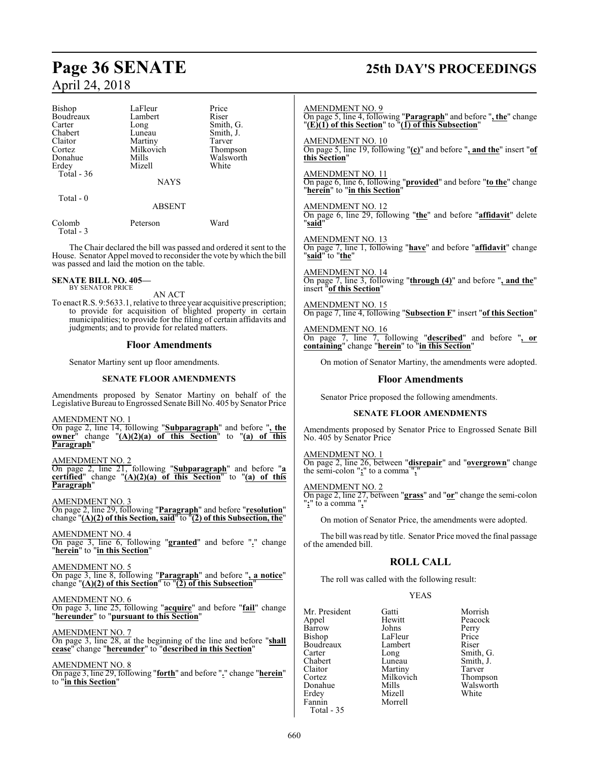| Bishop     | LaFleur       | Price     |
|------------|---------------|-----------|
| Boudreaux  | Lambert       | Riser     |
| Carter     | Long          | Smith, G. |
| Chabert    | Luneau        | Smith, J. |
| Claitor    | Martiny       | Tarver    |
| Cortez     | Milkovich     | Thompson  |
| Donahue    | Mills         | Walsworth |
| Erdey      | Mizell        | White     |
| Total - 36 |               |           |
|            | <b>NAYS</b>   |           |
| Total $-0$ |               |           |
|            | <b>ABSENT</b> |           |
| Colomb     | Peterson      | Ward      |

The Chair declared the bill was passed and ordered it sent to the House. Senator Appel moved to reconsider the vote by which the bill was passed and laid the motion on the table.

#### **SENATE BILL NO. 405—**

Total - 3

**Paragraph**"

BY SENATOR PRICE

AN ACT To enact R.S. 9:5633.1, relative to three year acquisitive prescription; to provide for acquisition of blighted property in certain municipalities; to provide for the filing of certain affidavits and judgments; and to provide for related matters.

#### **Floor Amendments**

Senator Martiny sent up floor amendments.

#### **SENATE FLOOR AMENDMENTS**

Amendments proposed by Senator Martiny on behalf of the Legislative Bureau to Engrossed Senate Bill No. 405 by Senator Price

AMENDMENT NO. 1 On page 2, line 14, following "**Subparagraph**" and before "**, the owner**" change "**(A)(2)(a) of this Section**" to "**(a) of this**

AMENDMENT NO. 2 On page 2, line 21, following "**Subparagraph**" and before "**a certified**" change "**(A)(2)(a) of this Section**" to "**(a) of this Paragraph**"

AMENDMENT NO. 3 On page 2, line 29, following "**Paragraph**" and before "**resolution**" change "**(A)(2) of this Section, said**" to "**(2) of this Subsection, the**"

AMENDMENT NO. 4 On page 3, line 6, following "**granted**" and before "**.**" change "**herein**" to "**in this Section**"

AMENDMENT NO. 5 On page 3, line 8, following "**Paragraph**" and before "**, a notice**" change "**(A)(2) of this Section**" to "**(2) of this Subsection**"

AMENDMENT NO. 6 On page 3, line 25, following "**acquire**" and before "**fail**" change "**hereunder**" to "**pursuant to this Section**"

AMENDMENT NO. 7 On page 3, line 28, at the beginning of the line and before "**shall cease**" change "**hereunder**" to "**described in this Section**"

AMENDMENT NO. 8

On page 3, line 29, following "**forth**" and before "**.**" change "**herein**" to "**in this Section**"

## **Page 36 SENATE 25th DAY'S PROCEEDINGS**

#### AMENDMENT NO. 9

On page 5, line 4, following "**Paragraph**" and before "**, the**" change "**(E)(1) of this Section**" to "**(1) of this Subsection**"

AMENDMENT NO. 10

On page 5, line 19, following "**(c)**" and before "**, and the**" insert "**of this Section**"

AMENDMENT NO. 11 On page 6, line 6, following "**provided**" and before "**to the**" change "**herein**" to "**in this Section**"

#### AMENDMENT NO. 12

On page 6, line 29, following "**the**" and before "**affidavit**" delete "**said**"

AMENDMENT NO. 13 On page 7, line 1, following "**have**" and before "**affidavit**" change "**said**" to "**the**"

AMENDMENT NO. 14 On page 7, line 3, following "**through (4)**" and before "**, and the**" insert "**of this Section**"

AMENDMENT NO. 15 On page 7, line 4, following "**Subsection F**" insert "**of this Section**"

AMENDMENT NO. 16 On page 7, line 7, following "**described**" and before "**, or containing**" change "**herein**" to "**in this Section**"

On motion of Senator Martiny, the amendments were adopted.

#### **Floor Amendments**

Senator Price proposed the following amendments.

#### **SENATE FLOOR AMENDMENTS**

Amendments proposed by Senator Price to Engrossed Senate Bill No. 405 by Senator Price

AMENDMENT NO. 1

On page 2, line 26, between "**disrepair**" and "**overgrown**" change the semi-colon "**;**" to a comma "**,**"

AMENDMENT NO. 2

On page 2, line 27, between "**grass**" and "**or**" change the semi-colon "**;**" to a comma "**,**"

On motion of Senator Price, the amendments were adopted.

The bill was read by title. Senator Price moved the final passage of the amended bill.

## **ROLL CALL**

The roll was called with the following result:

#### YEAS

| Mr. President | Gatti     | Morrish   |
|---------------|-----------|-----------|
| Appel         | Hewitt    | Peacock   |
| Barrow        | Johns     | Perry     |
| <b>Bishop</b> | LaFleur   | Price     |
| Boudreaux     | Lambert   | Riser     |
| Carter        | Long      | Smith, G. |
| Chabert       | Luneau    | Smith, J. |
| Claitor       | Martiny   | Tarver    |
| Cortez        | Milkovich | Thompson  |
| Donahue       | Mills     | Walsworth |
| Erdey         | Mizell    | White     |
| Fannin        | Morrell   |           |
| Total - 35    |           |           |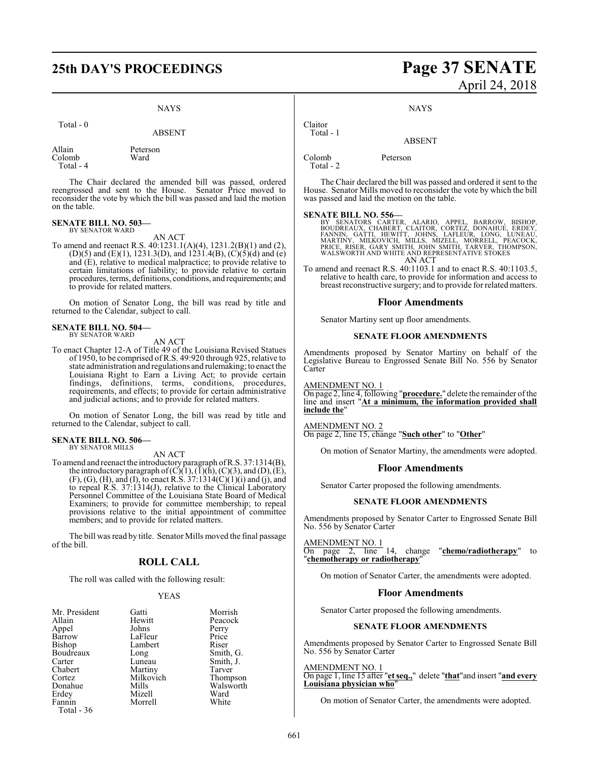## **25th DAY'S PROCEEDINGS Page 37 SENATE**

#### **NAYS**

Total - 0

ABSENT

Allain Peterson<br>Colomb Ward Colomb Total - 4

The Chair declared the amended bill was passed, ordered reengrossed and sent to the House. Senator Price moved to reconsider the vote by which the bill was passed and laid the motion on the table.

#### **SENATE BILL NO. 503—** BY SENATOR WARD

AN ACT

To amend and reenact R.S. 40:1231.1(A)(4), 1231.2(B)(1) and (2), (D)(5) and (E)(1), 1231.3(D), and 1231.4(B), (C)(5)(d) and (e) and (E), relative to medical malpractice; to provide relative to certain limitations of liability; to provide relative to certain procedures, terms, definitions, conditions, and requirements; and to provide for related matters.

On motion of Senator Long, the bill was read by title and returned to the Calendar, subject to call.

#### **SENATE BILL NO. 504—** BY SENATOR WARD

AN ACT

To enact Chapter 12-A of Title 49 of the Louisiana Revised Statues of 1950, to be comprised of R.S. 49:920 through 925, relative to state administration and regulations and rulemaking; to enact the Louisiana Right to Earn a Living Act; to provide certain findings, definitions, terms, conditions, procedures, requirements, and effects; to provide for certain administrative and judicial actions; and to provide for related matters.

On motion of Senator Long, the bill was read by title and returned to the Calendar, subject to call.

## **SENATE BILL NO. 506—** BY SENATOR MILLS

AN ACT

To amend and reenact the introductory paragraph ofR.S. 37:1314(B), the introductory paragraph of  $(C)(1)$ ,  $(1)(h)$ ,  $(C)(3)$ , and  $(D)$ ,  $(E)$ ,  $(F)$ ,  $(G)$ ,  $(H)$ , and  $(I)$ , to enact R.S. 37:1314 $(C)(1)(i)$  and  $(j)$ , and to repeal R.S. 37:1314(J), relative to the Clinical Laboratory Personnel Committee of the Louisiana State Board of Medical Examiners; to provide for committee membership; to repeal provisions relative to the initial appointment of committee members; and to provide for related matters.

The bill was read by title. Senator Mills moved the final passage of the bill.

### **ROLL CALL**

The roll was called with the following result:

#### YEAS

| Mr. President | Gatti     | Morrish   |
|---------------|-----------|-----------|
| Allain        | Hewitt    | Peacock   |
| Appel         | Johns     | Perry     |
| Barrow        | LaFleur   | Price     |
| <b>Bishop</b> | Lambert   | Riser     |
| Boudreaux     | Long      | Smith, G. |
| Carter        | Luneau    | Smith, J. |
| Chabert       | Martiny   | Tarver    |
| Cortez        | Milkovich | Thompson  |
| Donahue       | Mills     | Walsworth |
| Erdey         | Mizell    | Ward      |
| Fannin        | Morrell   | White     |
| Total - 36    |           |           |

# April 24, 2018

**NAYS** 

### ABSENT

Colomb Peterson Total - 2

Claitor Total - 1

The Chair declared the bill was passed and ordered it sent to the House. Senator Mills moved to reconsider the vote by which the bill was passed and laid the motion on the table.

SENATE BILL NO. 556—<br>BY SENATORS CARTER, ALARIO, APPEL, BARROW, BISHOP,<br>BOUDREAUX, CHABERT, CLAITOR, CORTEZ, DONAHUE, ERDEY,<br>FANNIN, GATTI, HEWITT, JOHNS, LAFLEUR, LONG, LUNEAU,<br>MARTINY, MILKOVICH, MILLS, MIZELL, MORRELL, AN ACT

To amend and reenact R.S. 40:1103.1 and to enact R.S. 40:1103.5, relative to health care, to provide for information and access to breast reconstructive surgery; and to provide for related matters.

#### **Floor Amendments**

Senator Martiny sent up floor amendments.

#### **SENATE FLOOR AMENDMENTS**

Amendments proposed by Senator Martiny on behalf of the Legislative Bureau to Engrossed Senate Bill No. 556 by Senator Carter

#### AMENDMENT NO. 1

On page 2, line 4, following "**procedure.**" delete the remainder ofthe line and insert "**At a minimum, the information provided shall include the**"

AMENDMENT NO. 2

On page 2, line 15, change "**Such other**" to "**Other**"

On motion of Senator Martiny, the amendments were adopted.

#### **Floor Amendments**

Senator Carter proposed the following amendments.

#### **SENATE FLOOR AMENDMENTS**

Amendments proposed by Senator Carter to Engrossed Senate Bill No. 556 by Senator Carter

AMENDMENT NO. 1 On page 2, line 14, change "**chemo/radiotherapy**" to "**chemotherapy or radiotherapy**"

On motion of Senator Carter, the amendments were adopted.

#### **Floor Amendments**

Senator Carter proposed the following amendments.

#### **SENATE FLOOR AMENDMENTS**

Amendments proposed by Senator Carter to Engrossed Senate Bill No. 556 by Senator Carter

#### AMENDMENT NO. 1

On page 1, line 15 after "**et seq.,**" delete "**that**"and insert "**and every Louisiana physician who**"

On motion of Senator Carter, the amendments were adopted.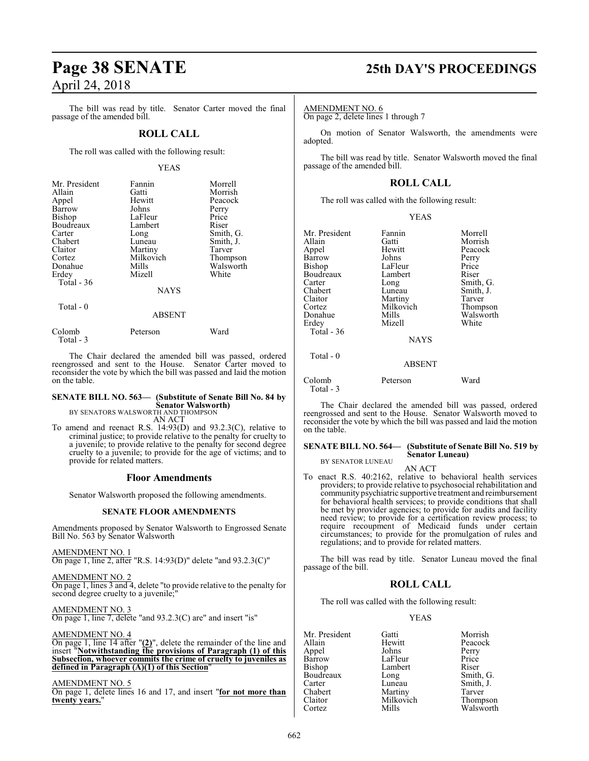The bill was read by title. Senator Carter moved the final passage of the amended bill.

### **ROLL CALL**

The roll was called with the following result:

#### YEAS

| Mr. President<br>Allain<br>Appel<br>Barrow<br><b>Bishop</b><br>Boudreaux<br>Carter<br>Chabert<br>Claitor<br>Cortez<br>Donahue<br>Erdey<br>Total - 36 | Fannin<br>Gatti<br>Hewitt<br>Johns<br>LaFleur<br>Lambert<br>Long<br>Luneau<br>Martiny<br>Milkovich<br>Mills<br>Mizell | Morrell<br>Morrish<br>Peacock<br>Perry<br>Price<br>Riser<br>Smith, G.<br>Smith, J.<br>Tarver<br>Thompson<br>Walsworth<br>White |
|------------------------------------------------------------------------------------------------------------------------------------------------------|-----------------------------------------------------------------------------------------------------------------------|--------------------------------------------------------------------------------------------------------------------------------|
|                                                                                                                                                      | <b>NAYS</b>                                                                                                           |                                                                                                                                |
| Total - 0                                                                                                                                            | <b>ABSENT</b>                                                                                                         |                                                                                                                                |

| Colomb    | Peterson | Ward |
|-----------|----------|------|
| Total - 3 |          |      |

The Chair declared the amended bill was passed, ordered reengrossed and sent to the House. Senator Carter moved to reconsider the vote by which the bill was passed and laid the motion on the table.

## **SENATE BILL NO. 563— (Substitute of Senate Bill No. 84 by Senator Walsworth)**<br>BY SENATORS WALSWORTH AND THOMPSON<br>AN ACT

To amend and reenact R.S. 14:93(D) and 93.2.3(C), relative to criminal justice; to provide relative to the penalty for cruelty to a juvenile; to provide relative to the penalty for second degree cruelty to a juvenile; to provide for the age of victims; and to provide for related matters.

#### **Floor Amendments**

Senator Walsworth proposed the following amendments.

#### **SENATE FLOOR AMENDMENTS**

Amendments proposed by Senator Walsworth to Engrossed Senate Bill No. 563 by Senator Walsworth

AMENDMENT NO. 1 On page 1, line 2, after "R.S. 14:93(D)" delete "and 93.2.3(C)"

AMENDMENT NO. 2 On page 1, lines 3 and 4, delete "to provide relative to the penalty for second degree cruelty to a juvenile;"

AMENDMENT NO. 3 On page 1, line 7, delete "and 93.2.3(C) are" and insert "is"

#### AMENDMENT NO. 4

On page 1, line 14 after "**(2)**", delete the remainder of the line and insert "**Notwithstanding the provisions of Paragraph (1) of this Subsection, whoever commits the crime of cruelty to juveniles as defined in Paragraph (A)(1) of this Section**"

### AMENDMENT NO. 5

On page 1, delete lines 16 and 17, and insert "**for not more than twenty years.**"

## **Page 38 SENATE 25th DAY'S PROCEEDINGS**

AMENDMENT NO. 6

On page 2, delete lines 1 through 7

On motion of Senator Walsworth, the amendments were adopted.

The bill was read by title. Senator Walsworth moved the final passage of the amended bill.

#### **ROLL CALL**

The roll was called with the following result:

| v<br>I |
|--------|
|--------|

| Mr. President<br>Allain<br>Appel<br>Barrow<br>Bishop<br>Boudreaux<br>Carter<br>Chabert<br>Claitor<br>Cortez<br>Donahue | Fannin<br>Gatti<br>Hewitt<br>Johns<br>LaFleur<br>Lambert<br>Long<br>Luneau<br>Martiny<br>Milkovich<br>Mills | Morrell<br>Morrish<br>Peacock<br>Perry<br>Price<br>Riser<br>Smith, G.<br>Smith, J.<br>Tarver<br>Thompson<br>Walsworth |
|------------------------------------------------------------------------------------------------------------------------|-------------------------------------------------------------------------------------------------------------|-----------------------------------------------------------------------------------------------------------------------|
| Erdey<br>Total - 36                                                                                                    | Mizell<br><b>NAYS</b>                                                                                       | White                                                                                                                 |
| Total - 0                                                                                                              | <b>ABSENT</b>                                                                                               |                                                                                                                       |
| Colomb<br>Total - 3                                                                                                    | Peterson                                                                                                    | Ward                                                                                                                  |

The Chair declared the amended bill was passed, ordered reengrossed and sent to the House. Senator Walsworth moved to reconsider the vote by which the bill was passed and laid the motion on the table.

#### **SENATE BILL NO. 564— (Substitute of Senate Bill No. 519 by Senator Luneau)**

BY SENATOR LUNEAU AN ACT

To enact R.S. 40:2162, relative to behavioral health services providers; to provide relative to psychosocial rehabilitation and community psychiatric supportive treatment and reimbursement for behavioral health services; to provide conditions that shall be met by provider agencies; to provide for audits and facility need review; to provide for a certification review process; to require recoupment of Medicaid funds under certain circumstances; to provide for the promulgation of rules and regulations; and to provide for related matters.

The bill was read by title. Senator Luneau moved the final passage of the bill.

#### **ROLL CALL**

The roll was called with the following result:

#### YEAS

| Mr. President | Gatti     | Morrish   |
|---------------|-----------|-----------|
| Allain        | Hewitt    | Peacock   |
| Appel         | Johns     | Perry     |
| Barrow        | LaFleur   | Price     |
| Bishop        | Lambert   | Riser     |
| Boudreaux     | Long      | Smith, G. |
| Carter        | Luneau    | Smith, J. |
| Chabert       | Martiny   | Tarver    |
| Claitor       | Milkovich | Thompson  |
| Cortez        | Mills     | Walsworth |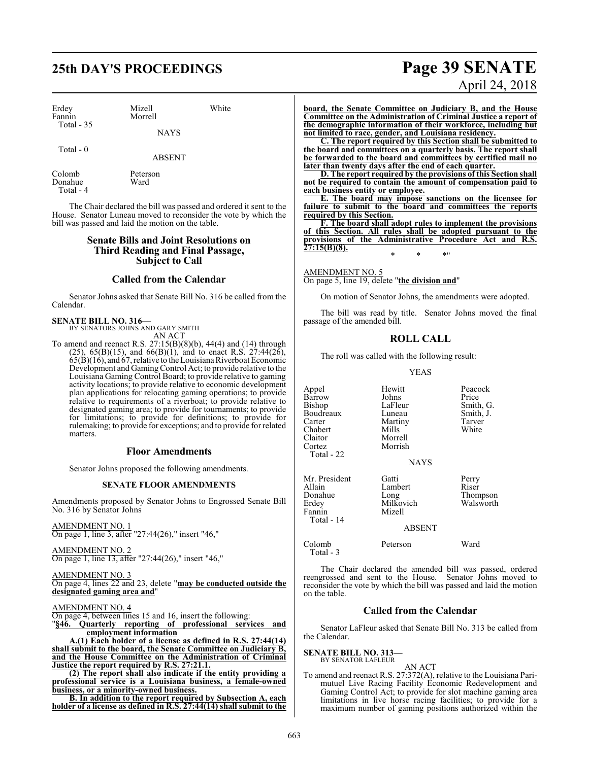# **25th DAY'S PROCEEDINGS Page 39 SENATE**

| Erdey<br>Fannin | Mizell<br>Morrell | White |
|-----------------|-------------------|-------|
| Total $-35$     | <b>NAYS</b>       |       |
| Total - 0       |                   |       |

ABSENT

Colomb Peterson<br>Donahue Ward Donahue Total - 4

The Chair declared the bill was passed and ordered it sent to the House. Senator Luneau moved to reconsider the vote by which the bill was passed and laid the motion on the table.

#### **Senate Bills and Joint Resolutions on Third Reading and Final Passage, Subject to Call**

#### **Called from the Calendar**

Senator Johns asked that Senate Bill No. 316 be called from the Calendar.

**SENATE BILL NO. 316—** BY SENATORS JOHNS AND GARY SMITH AN ACT

To amend and reenact R.S. 27:15(B)(8)(b), 44(4) and (14) through (25), 65(B)(15), and 66(B)(1), and to enact R.S. 27:44(26), 65(B)(16), and 67, relative to theLouisiana Riverboat Economic Development and GamingControl Act; to provide relative to the Louisiana Gaming Control Board; to provide relative to gaming activity locations; to provide relative to economic development plan applications for relocating gaming operations; to provide relative to requirements of a riverboat; to provide relative to designated gaming area; to provide for tournaments; to provide for limitations; to provide for definitions; to provide for rulemaking; to provide for exceptions; and to provide for related matters.

#### **Floor Amendments**

Senator Johns proposed the following amendments.

#### **SENATE FLOOR AMENDMENTS**

Amendments proposed by Senator Johns to Engrossed Senate Bill No. 316 by Senator Johns

AMENDMENT NO. 1 On page 1, line 3, after "27:44(26)," insert "46,"

AMENDMENT NO. 2 On page 1, line 13, after "27:44(26)," insert "46,"

AMENDMENT NO. 3 On page 4, lines 22 and 23, delete "**may be conducted outside the designated gaming area and**"

AMENDMENT NO. 4

On page 4, between lines 15 and 16, insert the following:<br>"§46. Quarterly reporting of professional serv

"**§46. Quarterly reporting of professional services and employment information**

**A.(1) Each holder of a license as defined in R.S. 27:44(14) shall submit to the board, the Senate Committee on Judiciary B, and the House Committee on the Administration of Criminal Justice the report required by R.S. 27:21.1.**

**(2) The report shall also indicate if the entity providing a professional service is a Louisiana business, a female-owned business, or a minority-owned business.**

**B. In addition to the report required by Subsection A, each holder of a license as defined in R.S. 27:44(14) shall submit to the**

# April 24, 2018

**board, the Senate Committee on Judiciary B, and the House Committee on the Administration of Criminal Justice a report of the demographic information of their workforce, including but not limited to race, gender, and Louisiana residency.**

**C. The report required by this Section shall be submitted to the board and committees on a quarterly basis. The report shall be forwarded to the board and committees by certified mail no later than twenty days after the end of each quarter.**

**D. The report required by the provisions of this Section shall not be required to contain the amount of compensation paid to each business entity or employee.**

**E. The board may impose sanctions on the licensee for failure to submit to the board and committees the reports required by this Section.**

**F. The board shall adopt rules to implement the provisions of this Section. All rules shall be adopted pursuant to the provisions of the Administrative Procedure Act and R.S. 27:15(B)(8).**

\* \* \*"

AMENDMENT NO. 5 On page 5, line 19, delete "**the division and**"

On motion of Senator Johns, the amendments were adopted.

The bill was read by title. Senator Johns moved the final passage of the amended bill.

#### **ROLL CALL**

The roll was called with the following result:

YEAS

| Appel<br>Barrow<br>Bishop<br>Boudreaux<br>Carter<br>Chabert<br>Claitor<br>Cortez<br>Total - 22 | Hewitt<br>Johns<br>LaFleur<br>Luneau<br>Martiny<br>Mills<br>Morrell<br>Morrish<br><b>NAYS</b> | Peacock<br>Price<br>Smith, G.<br>Smith, J.<br>Tarver<br>White |
|------------------------------------------------------------------------------------------------|-----------------------------------------------------------------------------------------------|---------------------------------------------------------------|
| Mr. President<br>Allain<br>Donahue<br>Erdey<br>Fannin<br>Total - 14                            | Gatti<br>Lambert<br>Long<br>Milkovich<br>Mizell<br><b>ABSENT</b>                              | Perry<br>Riser<br>Thompson<br>Walsworth                       |
| Colomb<br>Total - 3                                                                            | Peterson                                                                                      | Ward                                                          |

The Chair declared the amended bill was passed, ordered reengrossed and sent to the House. Senator Johns moved to reconsider the vote by which the bill was passed and laid the motion on the table.

#### **Called from the Calendar**

Senator LaFleur asked that Senate Bill No. 313 be called from the Calendar.

#### **SENATE BILL NO. 313—** BY SENATOR LAFLEUR

AN ACT

To amend and reenact R.S. 27:372(A), relative to the Louisiana Parimutuel Live Racing Facility Economic Redevelopment and Gaming Control Act; to provide for slot machine gaming area limitations in live horse racing facilities; to provide for a maximum number of gaming positions authorized within the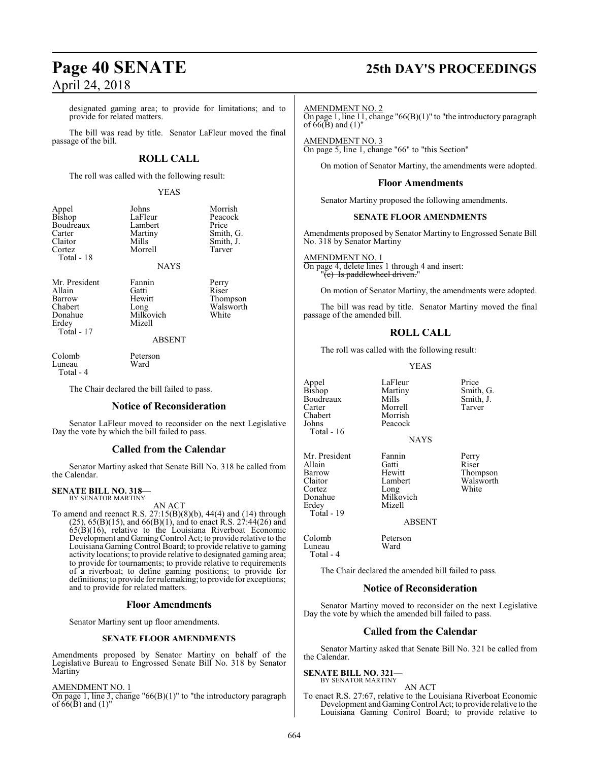designated gaming area; to provide for limitations; and to provide for related matters.

The bill was read by title. Senator LaFleur moved the final passage of the bill.

## **ROLL CALL**

The roll was called with the following result:

Lambert<br>Martiny

YEAS

Johns Morrish<br>LaFleur Peacock

Peacock<br>Price

Smith, J.<br>Tarver

| Appel      |
|------------|
| Bishop     |
| Boudreaux  |
| Carter     |
| Claitor    |
| Cortez     |
| Total - 18 |

Martiny Smith, G.<br>Mills Smith, J. Morrell NAYS

Mr. President Fannin Perry<br>Allain Gatti Riser Donahue Milkovich<br>Erdey Mizell Total - 17

Allain Gatti Riser Barrow Hewitt Thompson<br>
Chabert Long Walsworth Chabert Long Walsworth<br>
Donahue Milkovich White

ABSENT

Colomb Peterson<br>Luneau Ward Luneau Total - 4

The Chair declared the bill failed to pass.

Mizell

#### **Notice of Reconsideration**

Senator LaFleur moved to reconsider on the next Legislative Day the vote by which the bill failed to pass.

## **Called from the Calendar**

Senator Martiny asked that Senate Bill No. 318 be called from the Calendar.

#### **SENATE BILL NO. 318—**

BY SENATOR MARTINY AN ACT

To amend and reenact R.S. 27:15(B)(8)(b), 44(4) and (14) through  $(25)$ ,  $65(B)(15)$ , and  $66(B)(1)$ , and to enact R.S.  $27:44(26)$  and  $65(B)(16)$ , relative to the Louisiana Riverboat Economic Development and GamingControl Act; to provide relative to the Louisiana Gaming Control Board; to provide relative to gaming activity locations; to provide relative to designated gaming area; to provide for tournaments; to provide relative to requirements of a riverboat; to define gaming positions; to provide for definitions; to provide for rulemaking; to provide for exceptions; and to provide for related matters.

#### **Floor Amendments**

Senator Martiny sent up floor amendments.

#### **SENATE FLOOR AMENDMENTS**

Amendments proposed by Senator Martiny on behalf of the Legislative Bureau to Engrossed Senate Bill No. 318 by Senator Martiny

AMENDMENT NO. 1

On page 1, line 3, change " $66(B)(1)$ " to "the introductory paragraph of  $66(B)$  and  $(1)$ "

## **Page 40 SENATE 25th DAY'S PROCEEDINGS**

AMENDMENT NO. 2

On page 1, line 11, change " $66(B)(1)$ " to "the introductory paragraph of  $66(B)$  and  $(1)$ "

AMENDMENT NO. 3 On page 5, line 1, change "66" to "this Section"

On motion of Senator Martiny, the amendments were adopted.

#### **Floor Amendments**

Senator Martiny proposed the following amendments.

#### **SENATE FLOOR AMENDMENTS**

Amendments proposed by Senator Martiny to Engrossed Senate Bill No. 318 by Senator Martiny

AMENDMENT NO. 1 On page 4, delete lines 1 through 4 and insert: '(e) Is paddlewheel driven."

On motion of Senator Martiny, the amendments were adopted.

The bill was read by title. Senator Martiny moved the final passage of the amended bill.

### **ROLL CALL**

The roll was called with the following result:

YEAS

Martiny Smith, G.<br>Mills Smith, J.

Appel LaFleur Price<br>Bishop Martiny Smith Boudreaux Mills Smith,<br>Carter Morrell Tarver Carter<br>Chabert Chabert Morrish<br>Johns Peacock Total - 16

Cortez<br>Donahue

Luneau Total - 4

Total - 19

NAYS Mr. President Fannin Perry<br>Allain Gatti Riser Allain Gatti<br>Barrow Hewitt Barrow Hewitt Thompson<br>Claitor Lambert Walsworth Lambert Walsw<br>
Long White Donahue Milkovich<br>Erdev Mizell Mizell

Peacock

ABSENT

Colomb Peterson

The Chair declared the amended bill failed to pass.

#### **Notice of Reconsideration**

Senator Martiny moved to reconsider on the next Legislative Day the vote by which the amended bill failed to pass.

### **Called from the Calendar**

Senator Martiny asked that Senate Bill No. 321 be called from the Calendar.

## **SENATE BILL NO. 321—** BY SENATOR MARTINY

AN ACT

To enact R.S. 27:67, relative to the Louisiana Riverboat Economic Development and Gaming Control Act; to provide relative to the Louisiana Gaming Control Board; to provide relative to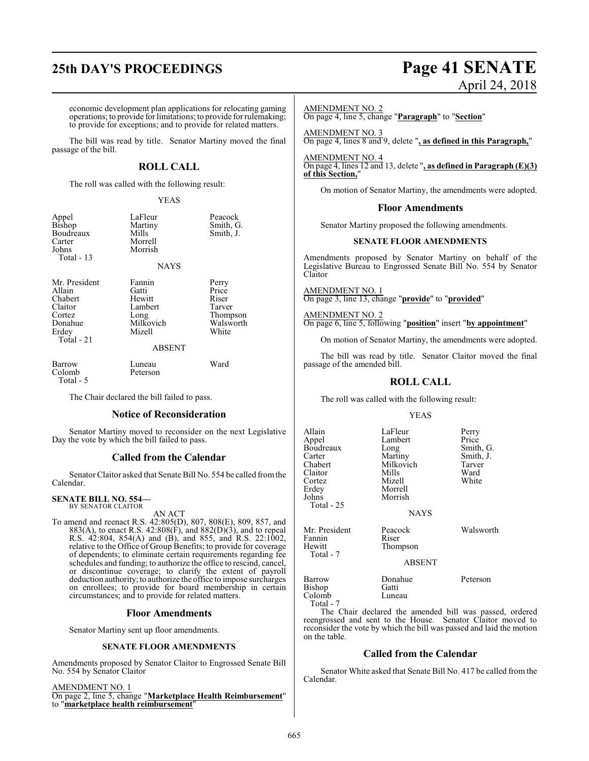## **25th DAY'S PROCEEDINGS Page 41 SENATE**

#### economic development plan applications for relocating gaming operations; to provide for limitations; to provide for rulemaking; to provide for exceptions; and to provide for related matters.

The bill was read by title. Senator Martiny moved the final passage of the bill.

### **ROLL CALL**

The roll was called with the following result:

#### YEAS

| Appel<br>Bishop<br>Boudreaux<br>Carter<br>Johns     | LaFleur<br>Martiny<br>Mills<br>Morrell<br>Morrish | Peacock<br>Smith, G.<br>Smith, J. |
|-----------------------------------------------------|---------------------------------------------------|-----------------------------------|
| Total - 13                                          | <b>NAYS</b>                                       |                                   |
| Mr. President<br>Allain<br>Chabert<br>$\sim$ $\sim$ | Fannin<br>Gatti<br>Hewitt<br><b>T</b> 1.          | Perry<br>Price<br>Riser<br>Ē      |

Claitor Lambert Tarver<br>
Cortez Long Thomp Cortez Long Thompson<br>
Donahue Milkovich Walsworth Donahue Milkovich Walsworth<br>
Erdey Mizell White Total - 21

## Mizell

ABSENT

Barrow Luneau Ward<br>Colomb Peterson Colomb Total - 5

The Chair declared the bill failed to pass.

### **Notice of Reconsideration**

Senator Martiny moved to reconsider on the next Legislative Day the vote by which the bill failed to pass.

### **Called from the Calendar**

Senator Claitor asked that Senate Bill No. 554 be called fromthe Calendar.

#### **SENATE BILL NO. 554** BY SENATOR CLAITOR

AN ACT

To amend and reenact R.S. 42:805(D), 807, 808(E), 809, 857, and 883(A), to enact R.S. 42:808(F), and 882(D)(3), and to repeal R.S. 42:804, 854(A) and (B), and 855, and R.S. 22:1002, relative to the Office of Group Benefits; to provide for coverage of dependents; to eliminate certain requirements regarding fee schedules and funding; to authorize the office to rescind, cancel, or discontinue coverage; to clarify the extent of payroll deduction authority; to authorize the office to impose surcharges on enrollees; to provide for board membership in certain circumstances; and to provide for related matters.

### **Floor Amendments**

Senator Martiny sent up floor amendments.

#### **SENATE FLOOR AMENDMENTS**

Amendments proposed by Senator Claitor to Engrossed Senate Bill No. 554 by Senator Claitor

AMENDMENT NO. 1

#### On page 2, line 5, change "**Marketplace Health Reimbursement**" to "**marketplace health reimbursement**"

# April 24, 2018

AMENDMENT NO. 2

On page 4, line 5, change "**Paragraph**" to "**Section**"

AMENDMENT NO. 3 On page 4, lines 8 and 9, delete "**, as defined in this Paragraph,**"

AMENDMENT NO. 4 On page 4, lines 12 and 13, delete "**, as defined in Paragraph (E)(3) of this Section,**"

On motion of Senator Martiny, the amendments were adopted.

#### **Floor Amendments**

Senator Martiny proposed the following amendments.

#### **SENATE FLOOR AMENDMENTS**

Amendments proposed by Senator Martiny on behalf of the Legislative Bureau to Engrossed Senate Bill No. 554 by Senator Claitor

AMENDMENT NO. 1 On page 3, line 13, change "**provide**" to "**provided**"

AMENDMENT NO. 2 On page 6, line 5, following "**position**" insert "**by appointment**"

On motion of Senator Martiny, the amendments were adopted.

The bill was read by title. Senator Claitor moved the final passage of the amended bill.

## **ROLL CALL**

The roll was called with the following result:

#### YEAS

| Allain<br>Appel<br>Boudreaux<br>Carter<br>Chabert<br>Claitor<br>Cortez<br>Erdev<br>Johns<br>Total - 25 | LaFleur<br>Lambert<br>Long<br>Martiny<br>Milkovich<br>Mills<br>Mizell<br>Morrell<br>Morrish<br><b>NAYS</b> | Perry<br>Price<br>Smith, G.<br>Smith, J.<br>Tarver<br>Ward<br>White |
|--------------------------------------------------------------------------------------------------------|------------------------------------------------------------------------------------------------------------|---------------------------------------------------------------------|
| Mr. President<br>Fannin<br>Hewitt<br>Total - 7                                                         | Peacock<br>Riser<br>Thompson<br><b>ABSENT</b>                                                              | Walsworth                                                           |
| Barrow<br>Bishop<br>Colomb<br>Total - 7                                                                | Donahue<br>Gatti<br>Luneau                                                                                 | Peterson                                                            |

The Chair declared the amended bill was passed, ordered reengrossed and sent to the House. Senator Claitor moved to reconsider the vote by which the bill was passed and laid the motion on the table.

### **Called from the Calendar**

Senator White asked that Senate Bill No. 417 be called from the Calendar.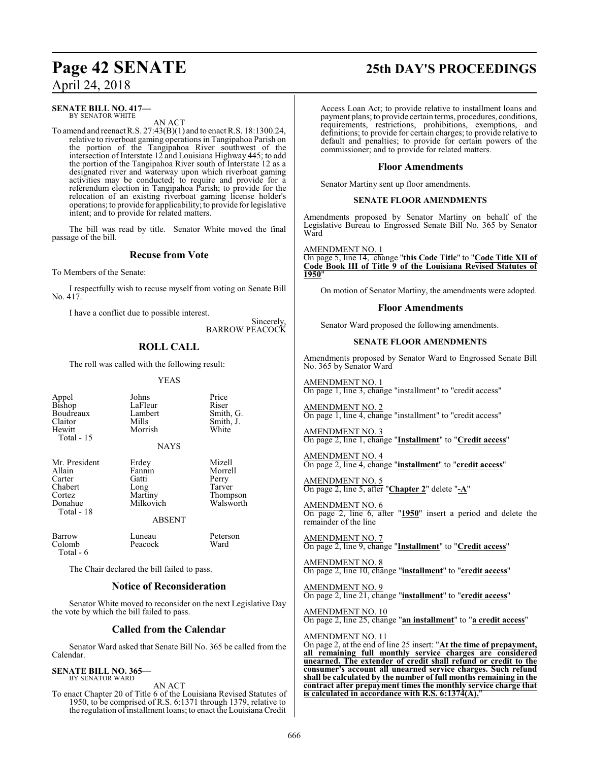## **Page 42 SENATE 25th DAY'S PROCEEDINGS**

# April 24, 2018

#### **SENATE BILL NO. 417—** BY SENATOR WHITE

AN ACT

To amend and reenact R.S. 27:43(B)(1) and to enact R.S. 18:1300.24, relative to riverboat gaming operations in Tangipahoa Parish on the portion of the Tangipahoa River southwest of the intersection of Interstate 12 and Louisiana Highway 445; to add the portion of the Tangipahoa River south of Interstate 12 as a designated river and waterway upon which riverboat gaming activities may be conducted; to require and provide for a referendum election in Tangipahoa Parish; to provide for the relocation of an existing riverboat gaming license holder's operations; to provide for applicability; to provide for legislative intent; and to provide for related matters.

The bill was read by title. Senator White moved the final passage of the bill.

### **Recuse from Vote**

To Members of the Senate:

I respectfully wish to recuse myself from voting on Senate Bill No. 417.

I have a conflict due to possible interest.

Sincerely, BARROW PEACOCK

## **ROLL CALL**

The roll was called with the following result:

YEAS

| Appel<br><b>Bishop</b><br>Boudreaux<br>Claitor<br>Hewitt<br>Total - 15          | Johns<br>LaFleur<br>Lambert<br>Mills<br>Morrish<br>NAYS                   | Price<br>Riser<br>Smith, G.<br>Smith, J.<br>White             |
|---------------------------------------------------------------------------------|---------------------------------------------------------------------------|---------------------------------------------------------------|
| Mr. President<br>Allain<br>Carter<br>Chabert<br>Cortez<br>Donahue<br>Total - 18 | Erdey<br>Fannin<br>Gatti<br>Long<br>Martiny<br>Milkovich<br><b>ABSENT</b> | Mizell<br>Morrell<br>Perry<br>Tarver<br>Thompson<br>Walsworth |
| Barrow<br>Colomb<br>Total - 6                                                   | Luneau<br>Peacock<br>The Chain declared the hill foiled to nego           | Peterson<br>Ward                                              |

The Chair declared the bill failed to pass.

### **Notice of Reconsideration**

Senator White moved to reconsider on the next Legislative Day the vote by which the bill failed to pass.

## **Called from the Calendar**

Senator Ward asked that Senate Bill No. 365 be called from the Calendar.

#### **SENATE BILL NO. 365—** BY SENATOR WARD

AN ACT

To enact Chapter 20 of Title 6 of the Louisiana Revised Statutes of 1950, to be comprised of R.S. 6:1371 through 1379, relative to the regulation ofinstallment loans; to enact theLouisiana Credit Access Loan Act; to provide relative to installment loans and payment plans; to provide certain terms, procedures, conditions, requirements, restrictions, prohibitions, exemptions, and definitions; to provide for certain charges; to provide relative to default and penalties; to provide for certain powers of the commissioner; and to provide for related matters.

### **Floor Amendments**

Senator Martiny sent up floor amendments.

#### **SENATE FLOOR AMENDMENTS**

Amendments proposed by Senator Martiny on behalf of the Legislative Bureau to Engrossed Senate Bill No. 365 by Senator Ward

AMENDMENT NO. 1

On page 5, line 14, change "**this Code Title**" to "**Code Title XII of Code Book III of Title 9 of the Louisiana Revised Statutes of 1950**"

On motion of Senator Martiny, the amendments were adopted.

#### **Floor Amendments**

Senator Ward proposed the following amendments.

#### **SENATE FLOOR AMENDMENTS**

Amendments proposed by Senator Ward to Engrossed Senate Bill No. 365 by Senator Ward

AMENDMENT NO. 1 On page 1, line 3, change "installment" to "credit access"

AMENDMENT NO. 2 On page 1, line 4, change "installment" to "credit access"

AMENDMENT NO. 3 On page 2, line 1, change "**Installment**" to "**Credit access**"

AMENDMENT NO. 4 On page 2, line 4, change "**installment**" to "**credit access**"

AMENDMENT NO. 5 On page 2, line 5, after "**Chapter 2**" delete "**-A**"

AMENDMENT NO. 6 On page 2, line 6, after "**1950**" insert a period and delete the remainder of the line

AMENDMENT NO. 7 On page 2, line 9, change "**Installment**" to "**Credit access**"

AMENDMENT NO. 8 On page 2, line 10, change "**installment**" to "**credit access**"

AMENDMENT NO. 9 On page 2, line 21, change "**installment**" to "**credit access**"

AMENDMENT NO. 10 On page 2, line 25, change "**an installment**" to "**a credit access**"

#### AMENDMENT NO. 11

On page 2, at the end of line 25 insert: "**At the time of prepayment, all remaining full monthly service charges are considered unearned. The extender of credit shall refund or credit to the consumer's account all unearned service charges. Such refund shall be calculated by the number of full months remaining in the contract after prepayment times the monthly service charge that is calculated in accordance with R.S. 6:1374(A).**"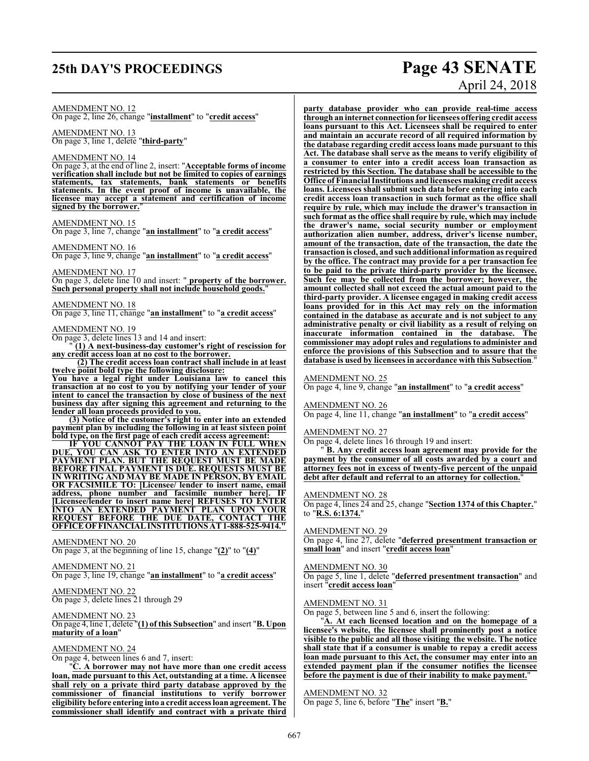## **25th DAY'S PROCEEDINGS Page 43 SENATE**

AMENDMENT NO. 12

On page 2, line 26, change "**installment**" to "**credit access**"

AMENDMENT NO. 13 On page 3, line 1, delete "**third-party**"

#### AMENDMENT NO. 14

On page 3, at the end of line 2, insert: "**Acceptable forms of income verification shall include but not be limited to copies of earnings statements, tax statements, bank statements or benefits statements. In the event proof of income is unavailable, the licensee may accept a statement and certification of income** signed by the borrower.

#### AMENDMENT NO. 15

On page 3, line 7, change "**an installment**" to "**a credit access**"

AMENDMENT NO. 16 On page 3, line 9, change "**an installment**" to "**a credit access**"

AMENDMENT NO. 17

On page 3, delete line 10 and insert: " **property of the borrower. Such personal property shall not include household goods.**"

AMENDMENT NO. 18

On page 3, line 11, change "**an installment**" to "**a credit access**"

#### AMENDMENT NO. 19

On page 3, delete lines 13 and 14 and insert:

" **(1) A next-business-day customer's right of rescission for any credit access loan at no cost to the borrower.**

**(2) The credit access loan contract shall include in at least twelve point bold type the following disclosure:**

**You have a legal right under Louisiana law to cancel this transaction at no cost to you by notifying your lender of your intent to cancel the transaction by close of business of the next business day after signing this agreement and returning to the lender all loan proceeds provided to you.**

**(3) Notice of the customer's right to enter into an extended payment plan by including the following in at least sixteen point bold type, on the first page of each credit access agreement:** 

**IF YOU CANNOT PAY THE LOAN IN FULL WHEN DUE, YOU CAN ASK TO ENTER INTO AN EXTENDED PAYMENT PLAN. BUT THE REQUEST MUST BE MADE BEFORE FINAL PAYMENT IS DUE. REQUESTS MUST BE IN WRITING AND MAY BE MADE IN PERSON, BY EMAIL OR FACSIMILE TO: [Licensee/ lender to insert name, email address, phone number and facsimile number here]. IF [Licensee/lender to insert name here] REFUSES TO ENTER INTO AN EXTENDED PAYMENT PLAN UPON YOUR REQUEST BEFORE THE DUE DATE, CONTACT THE OFFICEOFFINANCIALINSTITUTIONS AT 1-888-525-9414."**

#### AMENDMENT NO. 20

On page 3, at the beginning of line 15, change "**(2)**" to "**(4)**"

AMENDMENT NO. 21 On page 3, line 19, change "**an installment**" to "**a credit access**"

AMENDMENT NO. 22 On page 3, delete lines 21 through 29

#### AMENDMENT NO. 23

On page 4, line 1, delete "**(1) of this Subsection**" and insert "**B. Upon maturity of a loan**"

#### AMENDMENT NO. 24

On page 4, between lines 6 and 7, insert:

"**C. A borrower may not have more than one credit access loan, made pursuant to this Act, outstanding at a time. A licensee shall rely on a private third party database approved by the commissioner of financial institutions to verify borrower eligibility before entering into a credit access loan agreement. The commissioner shall identify and contract with a private third**

# April 24, 2018

**party database provider who can provide real-time access through an internet connection for licensees offering credit access loans pursuant to this Act. Licensees shall be required to enter and maintain an accurate record of all required information by the database regarding credit access loans made pursuant to this Act. The database shall serve as the means to verify eligibility of a consumer to enter into a credit access loan transaction as restricted by this Section. The database shall be accessible to the Office of Financial Institutions andlicensees making credit access loans. Licensees shall submit such data before entering into each credit access loan transaction in such format as the office shall require by rule, which may include the drawer's transaction in such format as the office shall require by rule, which may include the drawer's name, social security number or employment authorization alien number, address, driver's license number, amount of the transaction, date of the transaction, the date the transaction is closed, and such additional information as required by the office. The contract may provide for a per transaction fee to be paid to the private third-party provider by the licensee. Such fee may be collected from the borrower; however, the amount collected shall not exceed the actual amount paid to the third-party provider. A licensee engaged in making credit access loans provided for in this Act may rely on the information contained in the database as accurate and is not subject to any administrative penalty or civil liability as a result of relying on inaccurate information contained in the database. The commissioner may adopt rules and regulations to administer and enforce the provisions of this Subsection and to assure that the database is used by licensees in accordance with this Subsection**."

#### AMENDMENT NO. 25

On page 4, line 9, change "**an installment**" to "**a credit access**"

AMENDMENT NO. 26

On page 4, line 11, change "**an installment**" to "**a credit access**"

#### AMENDMENT NO. 27

On page 4, delete lines 16 through 19 and insert:

" **B. Any credit access loan agreement may provide for the payment by the consumer of all costs awarded by a court and attorney fees not in excess of twenty-five percent of the unpaid debt after default and referral to an attorney for collection.**"

#### AMENDMENT NO. 28

On page 4, lines 24 and 25, change "**Section 1374 of this Chapter.**" to "**R.S. 6:1374.**"

#### AMENDMENT NO. 29

On page 4, line 27, delete "**deferred presentment transaction or small loan**" and insert "**credit access loan**"

#### AMENDMENT NO. 30

On page 5, line 1, delete "**deferred presentment transaction**" and insert "**credit access loan**"

#### AMENDMENT NO. 31

On page 5, between line 5 and 6, insert the following:

"**A. At each licensed location and on the homepage of a licensee's website, the licensee shall prominently post a notice visible to the public and all those visiting the website. The notice shall state that if a consumer is unable to repay a credit access loan made pursuant to this Act, the consumer may enter into an extended payment plan if the consumer notifies the licensee before the payment is due of their inability to make payment.**"

#### AMENDMENT NO. 32

On page 5, line 6, before "**The**" insert "**B.**"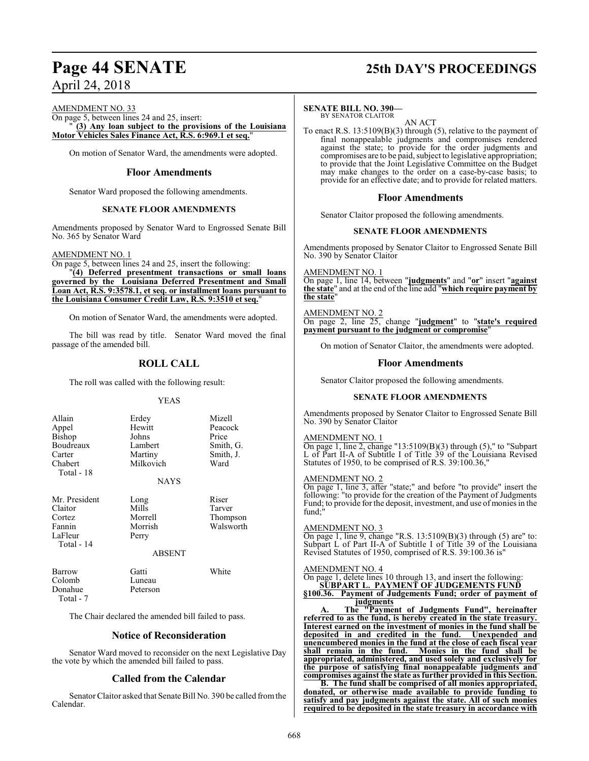#### AMENDMENT NO. 33

On page 5, between lines 24 and 25, insert: " **(3) Any loan subject to the provisions of the Louisiana Motor Vehicles Sales Finance Act, R.S. 6:969.1 et seq.**"

On motion of Senator Ward, the amendments were adopted.

#### **Floor Amendments**

Senator Ward proposed the following amendments.

#### **SENATE FLOOR AMENDMENTS**

Amendments proposed by Senator Ward to Engrossed Senate Bill No. 365 by Senator Ward

#### AMENDMENT NO. 1

On page 5, between lines 24 and 25, insert the following:

"**(4) Deferred presentment transactions or small loans governed by the Louisiana Deferred Presentment and Small Loan Act, R.S. 9:3578.1, et seq. or installment loans pursuant to the Louisiana Consumer Credit Law, R.S. 9:3510 et seq.**"

On motion of Senator Ward, the amendments were adopted.

The bill was read by title. Senator Ward moved the final passage of the amended bill.

## **ROLL CALL**

The roll was called with the following result:

#### YEAS

| Allain<br>Appel<br><b>Bishop</b><br>Boudreaux<br>Carter<br>Chabert<br>Total - 18 | Erdey<br>Hewitt<br>Johns<br>Lambert<br>Martiny<br>Milkovich<br><b>NAYS</b> | Mizell<br>Peacock<br>Price<br>Smith, G.<br>Smith, J.<br>Ward |
|----------------------------------------------------------------------------------|----------------------------------------------------------------------------|--------------------------------------------------------------|
| Mr. President<br>Claitor<br>Cortez<br>Fannin<br>LaFleur<br>Total - 14            | Long<br>Mills<br>Morrell<br>Morrish<br>Perry<br><b>ABSENT</b>              | Riser<br>Tarver<br>Thompson<br>Walsworth                     |
| Barrow                                                                           | Gatti                                                                      | White                                                        |

Colomb Luneau Donahue Peterson Total - 7

The Chair declared the amended bill failed to pass.

#### **Notice of Reconsideration**

Senator Ward moved to reconsider on the next Legislative Day the vote by which the amended bill failed to pass.

### **Called from the Calendar**

Senator Claitor asked that Senate Bill No. 390 be called fromthe Calendar.

## **Page 44 SENATE 25th DAY'S PROCEEDINGS**

#### **SENATE BILL NO. 390—**

BY SENATOR CLAITOR AN ACT

To enact R.S. 13:5109(B)(3) through (5), relative to the payment of final nonappealable judgments and compromises rendered against the state; to provide for the order judgments and compromises are to be paid, subject to legislative appropriation; to provide that the Joint Legislative Committee on the Budget may make changes to the order on a case-by-case basis; to provide for an effective date; and to provide for related matters.

#### **Floor Amendments**

Senator Claitor proposed the following amendments.

#### **SENATE FLOOR AMENDMENTS**

Amendments proposed by Senator Claitor to Engrossed Senate Bill No. 390 by Senator Claitor

AMENDMENT NO. 1

On page 1, line 14, between "**judgments**" and "**or**" insert "**against the state**" and at the end of the line add "**which require payment by the state**"

AMENDMENT NO. 2 On page 2, line 25, change "**judgment**" to "**state's required payment pursuant to the judgment or compromise**"

On motion of Senator Claitor, the amendments were adopted.

#### **Floor Amendments**

Senator Claitor proposed the following amendments.

#### **SENATE FLOOR AMENDMENTS**

Amendments proposed by Senator Claitor to Engrossed Senate Bill No. 390 by Senator Claitor

#### AMENDMENT NO. 1

On page 1, line 2, change "13:5109(B)(3) through (5)," to "Subpart L of Part II-A of Subtitle I of Title 39 of the Louisiana Revised Statutes of 1950, to be comprised of R.S. 39:100.36,"

#### AMENDMENT NO. 2

On page 1, line 3, after "state;" and before "to provide" insert the following: "to provide for the creation of the Payment of Judgments Fund; to provide for the deposit, investment, and use of monies in the fund:

#### AMENDMENT NO. 3

On page 1, line 9, change "R.S. 13:5109(B)(3) through (5) are" to: Subpart L of Part II-A of Subtitle I of Title 39 of the Louisiana Revised Statutes of 1950, comprised of R.S. 39:100.36 is"

#### AMENDMENT NO. 4

On page 1, delete lines 10 through 13, and insert the following: **SUBPART L. PAYMENT OF JUDGEMENTS FUND §100.36. Payment of Judgements Fund; order of payment of**

**judgments**

**A. The "Payment of Judgments Fund", hereinafter referred to as the fund, is hereby created in the state treasury. Interest earned on the investment of monies in the fund shall be deposited in and credited in the fund. Unexpended and unencumbered monies in the fund at the close of each fiscal year shall remain in the fund. Monies in the fund shall be appropriated, administered, and used solely and exclusively for the purpose of satisfying final nonappealable judgments and compromises against the state as further provided in this Section.**

**B. The fund shall be comprised of all monies appropriated, donated, or otherwise made available to provide funding to satisfy and pay judgments against the state. All of such monies required to be deposited in the state treasury in accordance with**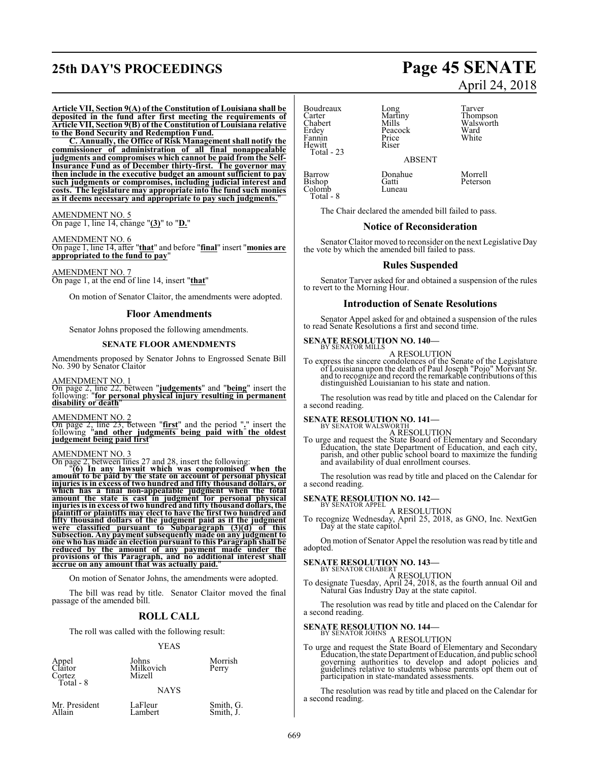# **25th DAY'S PROCEEDINGS Page 45 SENATE**

#### **Article VII, Section 9(A) of the Constitution of Louisiana shall be deposited in the fund after first meeting the requirements of Article VII, Section 9(B) of the Constitution of Louisiana relative to the Bond Security and Redemption Fund.**

**C. Annually, the Office of Risk Management shall notify the commissioner of administration of all final nonappealable judgments and compromises which cannot be paid from the Self-Insurance Fund as of December thirty-first. The governor may then include in the executive budget an amount sufficient to pay such judgments or compromises, including judicial interest and costs. The legislature may appropriate into the fund such monies as it deems necessary and appropriate to pay such judgments.**"

## AMENDMENT NO. 5

On page 1, line 14, change "**(3)**" to "**D.**"

AMENDMENT NO. 6 On page 1, line 14, after "**that**" and before "**final**" insert "**monies are appropriated to the fund to pay**"

## AMENDMENT NO. 7

On page 1, at the end of line 14, insert "**that**"

On motion of Senator Claitor, the amendments were adopted.

#### **Floor Amendments**

Senator Johns proposed the following amendments.

#### **SENATE FLOOR AMENDMENTS**

Amendments proposed by Senator Johns to Engrossed Senate Bill No. 390 by Senator Claitor

AMENDMENT NO. 1

On page 2, line 22, between "**judgements**" and "**being**" insert the following: "**for personal physical injury resulting in permanent disability or death**"

#### AMENDMENT NO. 2

On page 2, line 23, between "**first**" and the period "**.**" insert the following "**and other judgments being paid with the oldest judgement being paid first**"

#### AMENDMENT NO. 3

On page 2, between lines 27 and 28, insert the following: "**(6) In any lawsuit which was compromised when the**

**amount to be paid by the state on account of personal physical injuries is in excess of two hundred and fifty thousand dollars, or** which has a final non-appealable judgment when the total<br>amount the state is cast in judgment for personal physical<br>injuries is in excess of two hundred and fifty thousand dollars, the<br>plaintiff or plaintiffs may elect to **fifty thousand dollars of the judgment paid as if the judgment were classified pursuant to Subparagraph (3)(d) of this Subsection. Any payment subsequently made on any judgment to one who has made an election pursuant to this Paragraph shall be reduced by the amount of any payment made under the provisions of this Paragraph, and no additional interest shall accrue on any amount that was actually paid.**"

On motion of Senator Johns, the amendments were adopted.

The bill was read by title. Senator Claitor moved the final passage of the amended bill.

#### **ROLL CALL**

The roll was called with the following result:

#### YEAS

Smith, J.

| Appel   |   |
|---------|---|
| Claitor |   |
| Cortez  |   |
| Total   | x |

Johns Morrish<br>
Milkovich Perry Milkovich Mizell NAYS

Mr. President LaFleur Smith, G.<br>Allain Lambert Smith, J.

Boudreaux Long Tarver<br>Carter Martiny Thomp Carter Martiny Thompson<br>Chabert Mills Walsworth Chabert Mills Mills Walsworth<br>
Erdev Peacock Ward Erdey Peacock Ward Fannin Price White Hewitt Riser Total - 23

Colomb Total - 8

#### ABSENT

Barrow Donahue Morrell<br>Bishop Gatti Peterson Bishop Gatti<br>Colomb Luneau

The Chair declared the amended bill failed to pass.

#### **Notice of Reconsideration**

Senator Claitor moved to reconsider on the next Legislative Day the vote by which the amended bill failed to pass.

#### **Rules Suspended**

Senator Tarver asked for and obtained a suspension of the rules to revert to the Morning Hour.

#### **Introduction of Senate Resolutions**

Senator Appel asked for and obtained a suspension of the rules to read Senate Resolutions a first and second time.

# **SENATE RESOLUTION NO. 140–** BY SENATOR MILLS

A RESOLUTION To express the sincere condolences of the Senate of the Legislature of Louisiana upon the death of Paul Joseph "Pojo" Morvant Sr. and to recognize and record the remarkable contributions ofthis

distinguished Louisianian to his state and nation.

The resolution was read by title and placed on the Calendar for a second reading.

## **SENATE RESOLUTION NO. 141-**<br>BY SENATOR WALSWORTH

A RESOLUTION

To urge and request the State Board of Elementary and Secondary Education, the state Department of Education, and each city, parish, and other public school board to maximize the funding and availability of dual enrollment courses.

The resolution was read by title and placed on the Calendar for a second reading.

## **SENATE RESOLUTION NO. 142-**

A RESOLUTION

To recognize Wednesday, April 25, 2018, as GNO, Inc. NextGen Day at the state capitol.

On motion of Senator Appel the resolution was read by title and adopted.

## **SENATE RESOLUTION NO. 143-**<br>BY SENATOR CHABERT

**A RESOLUTION** 

To designate Tuesday, April 24, 2018, as the fourth annual Oil and Natural Gas Industry Day at the state capitol.

The resolution was read by title and placed on the Calendar for a second reading.

## **SENATE RESOLUTION NO. 144–**<br>BY SENATOR JOHNS

A RESOLUTION<br>To urge and request the State Board of Elementary and Secondary Education, the state Department ofEducation, and public school governing authorities to develop and adopt policies and guidelines relative to students whose parents opt them out of participation in state-mandated assessments.

The resolution was read by title and placed on the Calendar for a second reading.

# April 24, 2018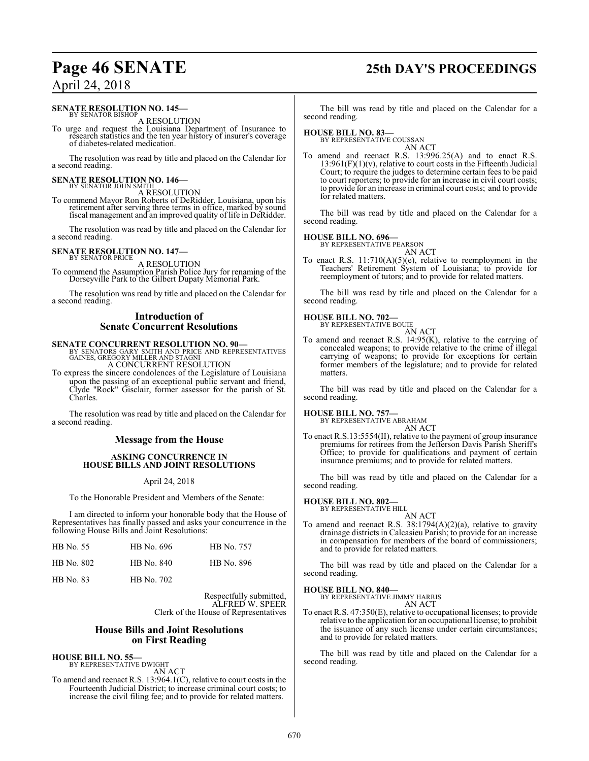## **Page 46 SENATE 25th DAY'S PROCEEDINGS**

## April 24, 2018

## **SENATE RESOLUTION NO. 145–**<br>BY SENATOR BISHOP

A RESOLUTION

To urge and request the Louisiana Department of Insurance to research statistics and the ten year history of insurer's coverage of diabetes-related medication.

The resolution was read by title and placed on the Calendar for a second reading.

# **SENATE RESOLUTION NO. 146—**<br>BY SENATOR JOHN SMITH A RESOLUTION

To commend Mayor Ron Roberts of DeRidder, Louisiana, upon his retirement after serving three terms in office, marked by sound fiscal management and an improved quality of life in DeRidder.

The resolution was read by title and placed on the Calendar for a second reading.

## **SENATE RESOLUTION NO. 147-**<br>BY SENATOR PRICE

A RESOLUTION To commend the Assumption Parish Police Jury for renaming of the Dorseyville Park to the Gilbert Dupaty Memorial Park.

The resolution was read by title and placed on the Calendar for a second reading.

### **Introduction of Senate Concurrent Resolutions**

**SENATE CONCURRENT RESOLUTION NO. 90—** BY SENATORS GARY SMITH AND PRICE AND REPRESENTATIVES GAINES, GREGORY MILLER AND STAGNI

A CONCURRENT RESOLUTION To express the sincere condolences of the Legislature of Louisiana

upon the passing of an exceptional public servant and friend, Clyde "Rock" Gisclair, former assessor for the parish of St. Charles.

The resolution was read by title and placed on the Calendar for a second reading.

## **Message from the House**

#### **ASKING CONCURRENCE IN HOUSE BILLS AND JOINT RESOLUTIONS**

April 24, 2018

To the Honorable President and Members of the Senate:

I am directed to inform your honorable body that the House of Representatives has finally passed and asks your concurrence in the following House Bills and Joint Resolutions:

| HB No. 55  | HB No. 696 | HB No. 757 |
|------------|------------|------------|
| HB No. 802 | HB No. 840 | HB No. 896 |
| HB No. 83  | HB No. 702 |            |

Respectfully submitted, ALFRED W. SPEER Clerk of the House of Representatives

### **House Bills and Joint Resolutions on First Reading**

**HOUSE BILL NO. 55—** BY REPRESENTATIVE DWIGHT

AN ACT

To amend and reenact R.S. 13:964.1(C), relative to court costs in the Fourteenth Judicial District; to increase criminal court costs; to increase the civil filing fee; and to provide for related matters.

The bill was read by title and placed on the Calendar for a second reading.

#### **HOUSE BILL NO. 83—**

BY REPRESENTATIVE COUSSAN AN ACT

To amend and reenact R.S. 13:996.25(A) and to enact R.S.  $13:961(F)(1)(v)$ , relative to court costs in the Fifteenth Judicial Court; to require the judges to determine certain fees to be paid to court reporters; to provide for an increase in civil court costs; to provide for an increase in criminal court costs; and to provide for related matters.

The bill was read by title and placed on the Calendar for a second reading.

### **HOUSE BILL NO. 696—**

BY REPRESENTATIVE PEARSON AN ACT

To enact R.S. 11:710(A)(5)(e), relative to reemployment in the Teachers' Retirement System of Louisiana; to provide for reemployment of tutors; and to provide for related matters.

The bill was read by title and placed on the Calendar for a second reading.

#### **HOUSE BILL NO. 702—**

BY REPRESENTATIVE BOUIE

- AN ACT
- To amend and reenact R.S. 14:95(K), relative to the carrying of concealed weapons; to provide relative to the crime of illegal carrying of weapons; to provide for exceptions for certain former members of the legislature; and to provide for related matters.

The bill was read by title and placed on the Calendar for a second reading.

#### **HOUSE BILL NO. 757—**

BY REPRESENTATIVE ABRAHAM AN ACT

To enact R.S.13:5554(II), relative to the payment of group insurance premiums for retirees from the Jefferson Davis Parish Sheriff's Office; to provide for qualifications and payment of certain insurance premiums; and to provide for related matters.

The bill was read by title and placed on the Calendar for a second reading.

## **HOUSE BILL NO. 802—** BY REPRESENTATIVE HILL

AN ACT To amend and reenact R.S.  $38:1794(A)(2)(a)$ , relative to gravity drainage districts in Calcasieu Parish; to provide for an increase in compensation for members of the board of commissioners; and to provide for related matters.

The bill was read by title and placed on the Calendar for a second reading.

#### **HOUSE BILL NO. 840—**

BY REPRESENTATIVE JIMMY HARRIS AN ACT

To enact R.S. 47:350(E), relative to occupational licenses; to provide relative to the application for an occupational license; to prohibit the issuance of any such license under certain circumstances; and to provide for related matters.

The bill was read by title and placed on the Calendar for a second reading.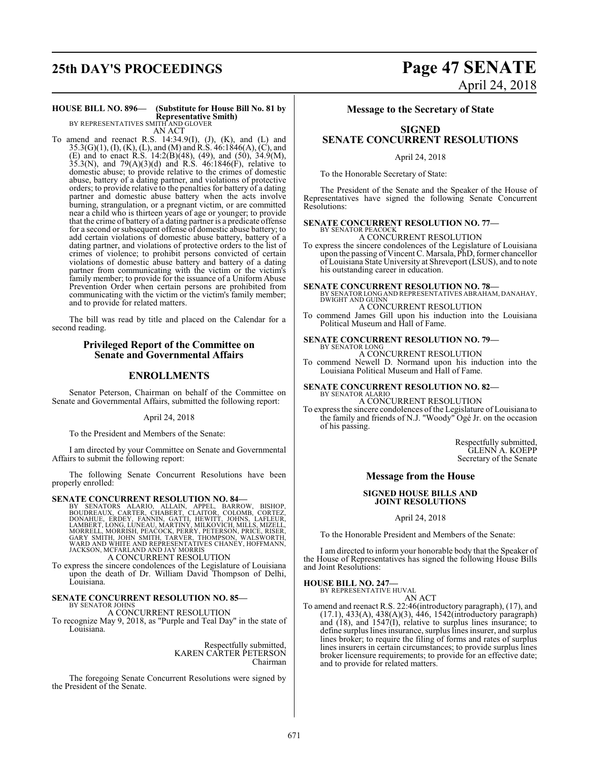## **25th DAY'S PROCEEDINGS Page 47 SENATE** April 24, 2018

#### **HOUSE BILL NO. 896— (Substitute for House Bill No. 81 by Representative Smith)** BY REPRESENTATIVES SMITH AND GLOVER

AN ACT

To amend and reenact R.S.  $14:34.9(I)$ ,  $(J)$ ,  $(K)$ , and  $(L)$  and 35.3(G)(1), (I), (K), (L), and (M) and R.S. 46:1846(A), (C), and (E) and to enact R.S. 14:2(B)(48), (49), and (50), 34.9(M), 35.3(N), and 79(A)(3)(d) and R.S. 46:1846(F), relative to domestic abuse; to provide relative to the crimes of domestic abuse, battery of a dating partner, and violations of protective orders; to provide relative to the penalties for battery of a dating partner and domestic abuse battery when the acts involve burning, strangulation, or a pregnant victim, or are committed near a child who is thirteen years of age or younger; to provide that the crime of battery of a dating partner is a predicate offense for a second or subsequent offense of domestic abuse battery; to add certain violations of domestic abuse battery, battery of a dating partner, and violations of protective orders to the list of crimes of violence; to prohibit persons convicted of certain violations of domestic abuse battery and battery of a dating partner from communicating with the victim or the victim's family member; to provide for the issuance of a Uniform Abuse Prevention Order when certain persons are prohibited from communicating with the victim or the victim's family member; and to provide for related matters.

The bill was read by title and placed on the Calendar for a second reading.

#### **Privileged Report of the Committee on Senate and Governmental Affairs**

### **ENROLLMENTS**

Senator Peterson, Chairman on behalf of the Committee on Senate and Governmental Affairs, submitted the following report:

#### April 24, 2018

To the President and Members of the Senate:

I am directed by your Committee on Senate and Governmental Affairs to submit the following report:

The following Senate Concurrent Resolutions have been properly enrolled:

#### **SENATE CONCURRENT RESOLUTION NO. 84—**

BY SENATORS ALARIO, ALLAIN, APPEL, BARROW, BISHOP,<br>BOUDREAUX, CARTER, CHABERT, CLAITOR, COLOMB, CORTEZ,<br>DONAHUE, ERDEY, FANNIN, GATTI, HEWITT, JOHNS, LAFLEUR,<br>LAMBERT, LONG, LUNEAU, MARTINY, MILKOVICH, MILLS, MIZELL,<br>MORRE

### A CONCURRENT RESOLUTION

To express the sincere condolences of the Legislature of Louisiana upon the death of Dr. William David Thompson of Delhi, Louisiana.

## **SENATE CONCURRENT RESOLUTION NO. 85—**

BY SENATOR JOHNS A CONCURRENT RESOLUTION

To recognize May 9, 2018, as "Purple and Teal Day" in the state of Louisiana.

> Respectfully submitted, KAREN CARTER PETERSON Chairman

The foregoing Senate Concurrent Resolutions were signed by the President of the Senate.

#### **Message to the Secretary of State**

## **SIGNED SENATE CONCURRENT RESOLUTIONS**

April 24, 2018

To the Honorable Secretary of State:

The President of the Senate and the Speaker of the House of Representatives have signed the following Senate Concurrent Resolutions:

#### **SENATE CONCURRENT RESOLUTION NO. 77—**

BY SENATOR PEACOCK A CONCURRENT RESOLUTION

To express the sincere condolences of the Legislature of Louisiana upon the passing of Vincent C. Marsala, PhD, former chancellor of Louisiana State University at Shreveport (LSUS), and to note his outstanding career in education.

**SENATE CONCURRENT RESOLUTION NO. 78—**

BY SENATOR LONG AND REPRESENTATIVES ABRAHAM, DANAHAY, DWIGHT AND GUINN A CONCURRENT RESOLUTION

To commend James Gill upon his induction into the Louisiana Political Museum and Hall of Fame.

#### **SENATE CONCURRENT RESOLUTION NO. 79—** BY SENATOR LONG

A CONCURRENT RESOLUTION

To commend Newell D. Normand upon his induction into the Louisiana Political Museum and Hall of Fame.

#### **SENATE CONCURRENT RESOLUTION NO. 82—** BY SENATOR ALARIO A CONCURRENT RESOLUTION

To express the sincere condolences of the Legislature of Louisiana to the family and friends of N.J. "Woody" Ogé Jr. on the occasion of his passing.

> Respectfully submitted, GLENN A. KOEPP Secretary of the Senate

#### **Message from the House**

#### **SIGNED HOUSE BILLS AND JOINT RESOLUTIONS**

#### April 24, 2018

To the Honorable President and Members of the Senate:

I am directed to inform your honorable body that the Speaker of the House of Representatives has signed the following House Bills and Joint Resolutions:

#### **HOUSE BILL NO. 247—**

BY REPRESENTATIVE HUVAL AN ACT

To amend and reenact R.S. 22:46(introductory paragraph), (17), and (17.1), 433(A), 438(A)(3), 446, 1542(introductory paragraph) and (18), and 1547(I), relative to surplus lines insurance; to define surplus lines insurance, surplus lines insurer, and surplus lines broker; to require the filing of forms and rates of surplus lines insurers in certain circumstances; to provide surplus lines broker licensure requirements; to provide for an effective date; and to provide for related matters.